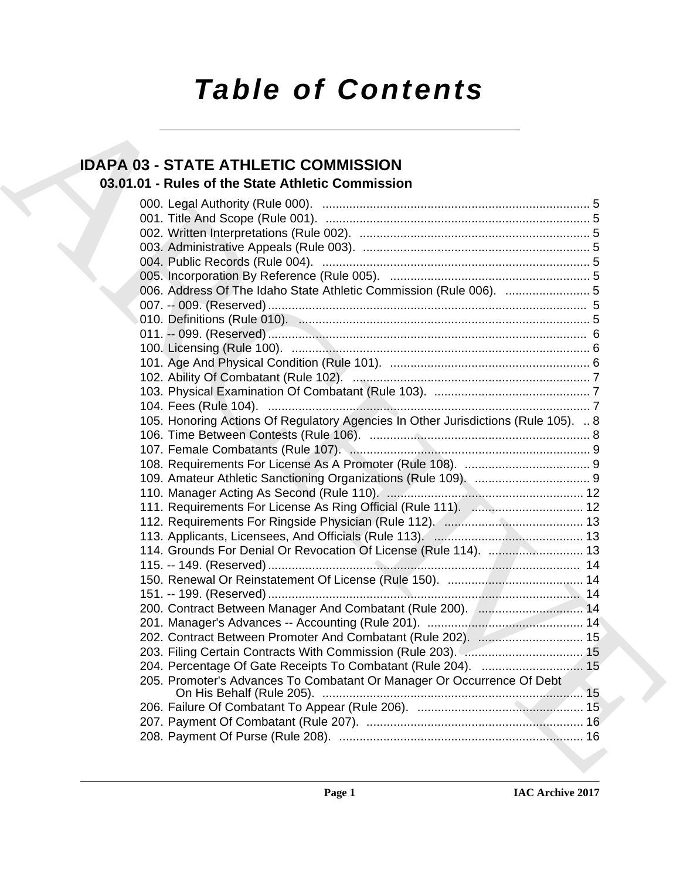# *Table of Contents*

# **IDAPA 03 - STATE ATHLETIC COMMISSION**

## **03.01.01 - Rules of the State Athletic Commission**

| <b>IDAPA 03 - STATE ATHLETIC COMMISSION</b>                                        |  |
|------------------------------------------------------------------------------------|--|
| 03.01.01 - Rules of the State Athletic Commission                                  |  |
|                                                                                    |  |
|                                                                                    |  |
|                                                                                    |  |
|                                                                                    |  |
|                                                                                    |  |
|                                                                                    |  |
|                                                                                    |  |
|                                                                                    |  |
|                                                                                    |  |
|                                                                                    |  |
|                                                                                    |  |
|                                                                                    |  |
|                                                                                    |  |
|                                                                                    |  |
|                                                                                    |  |
|                                                                                    |  |
| 105. Honoring Actions Of Regulatory Agencies In Other Jurisdictions (Rule 105).  8 |  |
|                                                                                    |  |
|                                                                                    |  |
|                                                                                    |  |
|                                                                                    |  |
|                                                                                    |  |
|                                                                                    |  |
|                                                                                    |  |
|                                                                                    |  |
| 114. Grounds For Denial Or Revocation Of License (Rule 114).  13                   |  |
|                                                                                    |  |
|                                                                                    |  |
|                                                                                    |  |
|                                                                                    |  |
|                                                                                    |  |
| 202. Contract Between Promoter And Combatant (Rule 202).  15                       |  |
|                                                                                    |  |
| 204. Percentage Of Gate Receipts To Combatant (Rule 204).  15                      |  |
| 205. Promoter's Advances To Combatant Or Manager Or Occurrence Of Debt             |  |
|                                                                                    |  |
|                                                                                    |  |
|                                                                                    |  |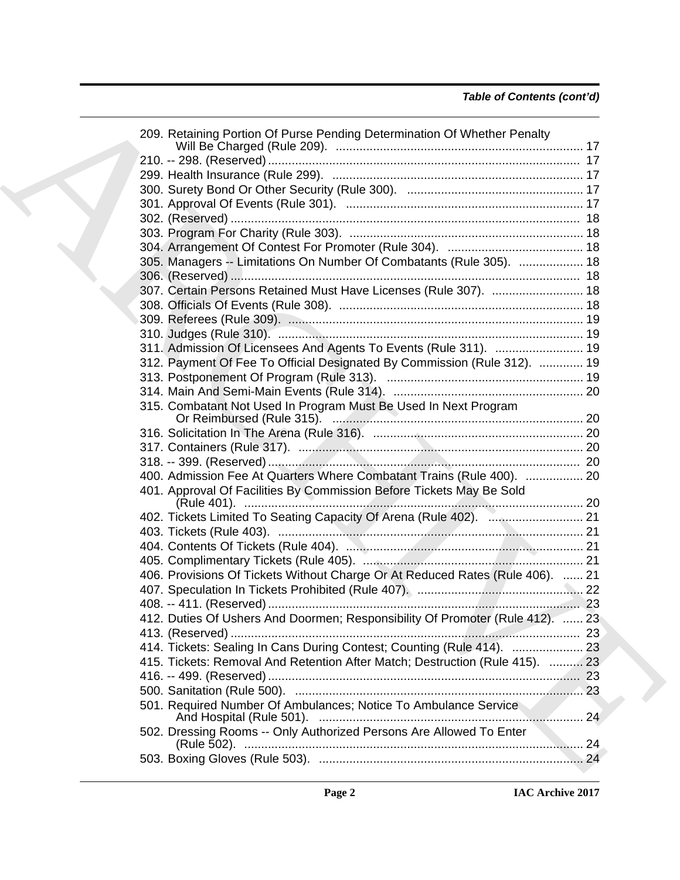| 209. Retaining Portion Of Purse Pending Determination Of Whether Penalty      |  |
|-------------------------------------------------------------------------------|--|
|                                                                               |  |
|                                                                               |  |
|                                                                               |  |
|                                                                               |  |
|                                                                               |  |
|                                                                               |  |
|                                                                               |  |
| 305. Managers -- Limitations On Number Of Combatants (Rule 305).  18          |  |
|                                                                               |  |
| 307. Certain Persons Retained Must Have Licenses (Rule 307).  18              |  |
|                                                                               |  |
|                                                                               |  |
|                                                                               |  |
| 311. Admission Of Licensees And Agents To Events (Rule 311).  19              |  |
| 312. Payment Of Fee To Official Designated By Commission (Rule 312).  19      |  |
|                                                                               |  |
|                                                                               |  |
| 315. Combatant Not Used In Program Must Be Used In Next Program               |  |
|                                                                               |  |
|                                                                               |  |
|                                                                               |  |
|                                                                               |  |
| 400. Admission Fee At Quarters Where Combatant Trains (Rule 400).  20         |  |
| 401. Approval Of Facilities By Commission Before Tickets May Be Sold          |  |
|                                                                               |  |
|                                                                               |  |
|                                                                               |  |
|                                                                               |  |
|                                                                               |  |
| 406. Provisions Of Tickets Without Charge Or At Reduced Rates (Rule 406).  21 |  |
|                                                                               |  |
|                                                                               |  |
| 412. Duties Of Ushers And Doormen; Responsibility Of Promoter (Rule 412).  23 |  |
|                                                                               |  |
| 414. Tickets: Sealing In Cans During Contest; Counting (Rule 414).  23        |  |
| 415. Tickets: Removal And Retention After Match; Destruction (Rule 415).  23  |  |
|                                                                               |  |
|                                                                               |  |
|                                                                               |  |
| 501. Required Number Of Ambulances; Notice To Ambulance Service               |  |
| 502. Dressing Rooms -- Only Authorized Persons Are Allowed To Enter           |  |
|                                                                               |  |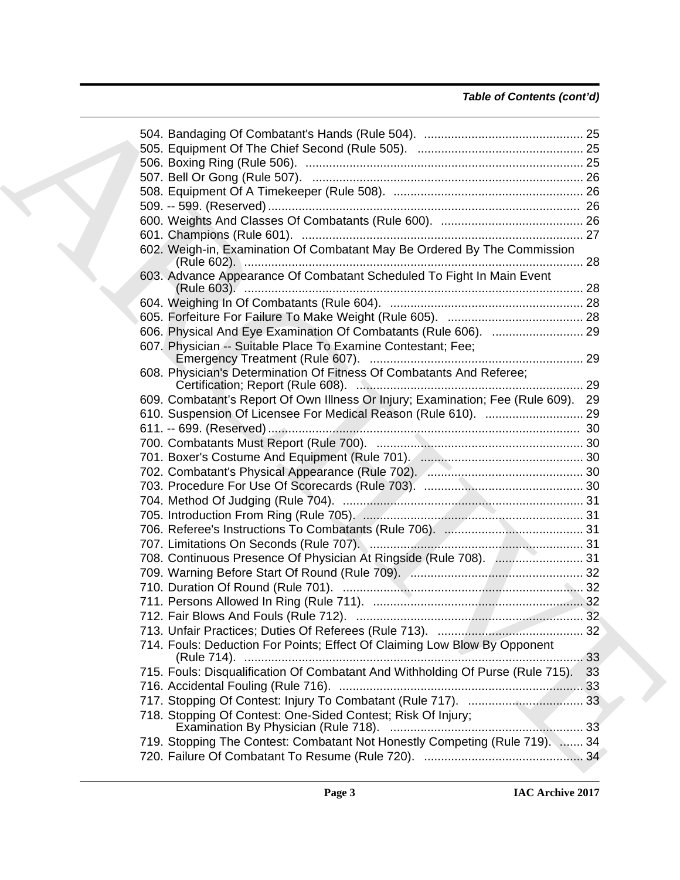| 602. Weigh-in, Examination Of Combatant May Be Ordered By The Commission          |    |
|-----------------------------------------------------------------------------------|----|
| 603. Advance Appearance Of Combatant Scheduled To Fight In Main Event             |    |
|                                                                                   |    |
|                                                                                   |    |
|                                                                                   |    |
| 607. Physician -- Suitable Place To Examine Contestant; Fee;                      |    |
| 608. Physician's Determination Of Fitness Of Combatants And Referee;              |    |
| 609. Combatant's Report Of Own Illness Or Injury; Examination; Fee (Rule 609). 29 |    |
|                                                                                   |    |
|                                                                                   |    |
|                                                                                   |    |
|                                                                                   |    |
|                                                                                   |    |
|                                                                                   |    |
|                                                                                   |    |
|                                                                                   |    |
|                                                                                   |    |
|                                                                                   |    |
| 708. Continuous Presence Of Physician At Ringside (Rule 708).  31                 |    |
|                                                                                   |    |
|                                                                                   |    |
|                                                                                   |    |
|                                                                                   |    |
|                                                                                   |    |
|                                                                                   |    |
| 714. Fouls: Deduction For Points; Effect Of Claiming Low Blow By Opponent         |    |
| 715. Fouls: Disqualification Of Combatant And Withholding Of Purse (Rule 715).    | 33 |
|                                                                                   |    |
|                                                                                   |    |
| 718. Stopping Of Contest: One-Sided Contest; Risk Of Injury;                      | 33 |
| 719. Stopping The Contest: Combatant Not Honestly Competing (Rule 719).  34       |    |
|                                                                                   |    |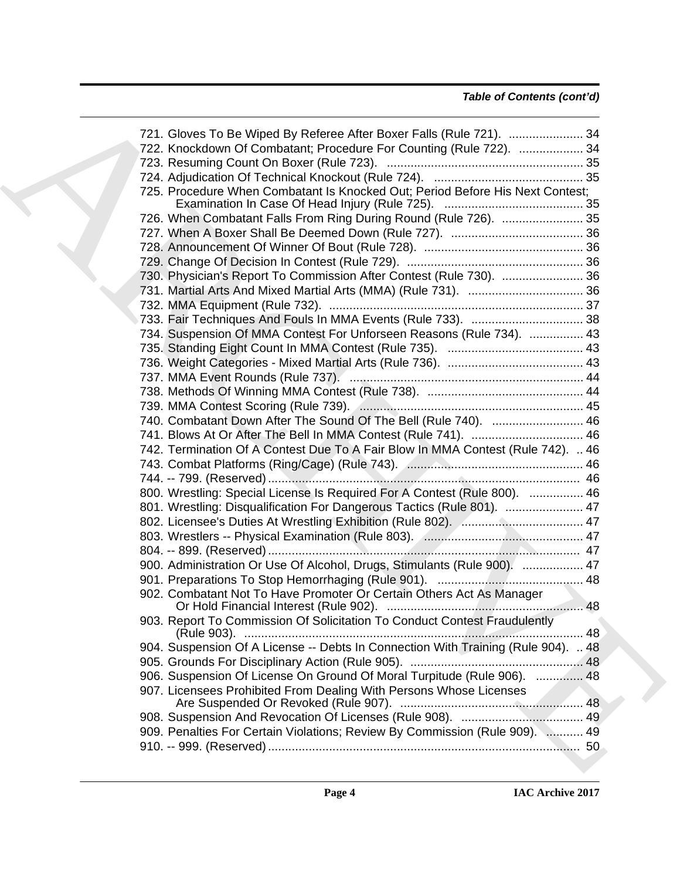### *Table of Contents (cont'd)*

| 721. Gloves To Be Wiped By Referee After Boxer Falls (Rule 721).  34              |  |
|-----------------------------------------------------------------------------------|--|
| 722. Knockdown Of Combatant; Procedure For Counting (Rule 722).  34               |  |
|                                                                                   |  |
|                                                                                   |  |
| 725. Procedure When Combatant Is Knocked Out; Period Before His Next Contest;     |  |
|                                                                                   |  |
| 726. When Combatant Falls From Ring During Round (Rule 726).  35                  |  |
|                                                                                   |  |
|                                                                                   |  |
|                                                                                   |  |
| 730. Physician's Report To Commission After Contest (Rule 730).  36               |  |
|                                                                                   |  |
|                                                                                   |  |
|                                                                                   |  |
| 734. Suspension Of MMA Contest For Unforseen Reasons (Rule 734).  43              |  |
|                                                                                   |  |
|                                                                                   |  |
|                                                                                   |  |
|                                                                                   |  |
|                                                                                   |  |
| 740. Combatant Down After The Sound Of The Bell (Rule 740).  46                   |  |
| 741. Blows At Or After The Bell In MMA Contest (Rule 741).  46                    |  |
| 742. Termination Of A Contest Due To A Fair Blow In MMA Contest (Rule 742).  46   |  |
|                                                                                   |  |
|                                                                                   |  |
| 800. Wrestling: Special License Is Required For A Contest (Rule 800).  46         |  |
| 801. Wrestling: Disqualification For Dangerous Tactics (Rule 801).  47            |  |
|                                                                                   |  |
|                                                                                   |  |
|                                                                                   |  |
| 900. Administration Or Use Of Alcohol, Drugs, Stimulants (Rule 900).  47          |  |
|                                                                                   |  |
| 902. Combatant Not To Have Promoter Or Certain Others Act As Manager              |  |
|                                                                                   |  |
| 903. Report To Commission Of Solicitation To Conduct Contest Fraudulently         |  |
| 904. Suspension Of A License -- Debts In Connection With Training (Rule 904).  48 |  |
|                                                                                   |  |
| 906. Suspension Of License On Ground Of Moral Turpitude (Rule 906).  48           |  |
| 907. Licensees Prohibited From Dealing With Persons Whose Licenses                |  |
|                                                                                   |  |
| 909. Penalties For Certain Violations; Review By Commission (Rule 909).  49       |  |
|                                                                                   |  |
|                                                                                   |  |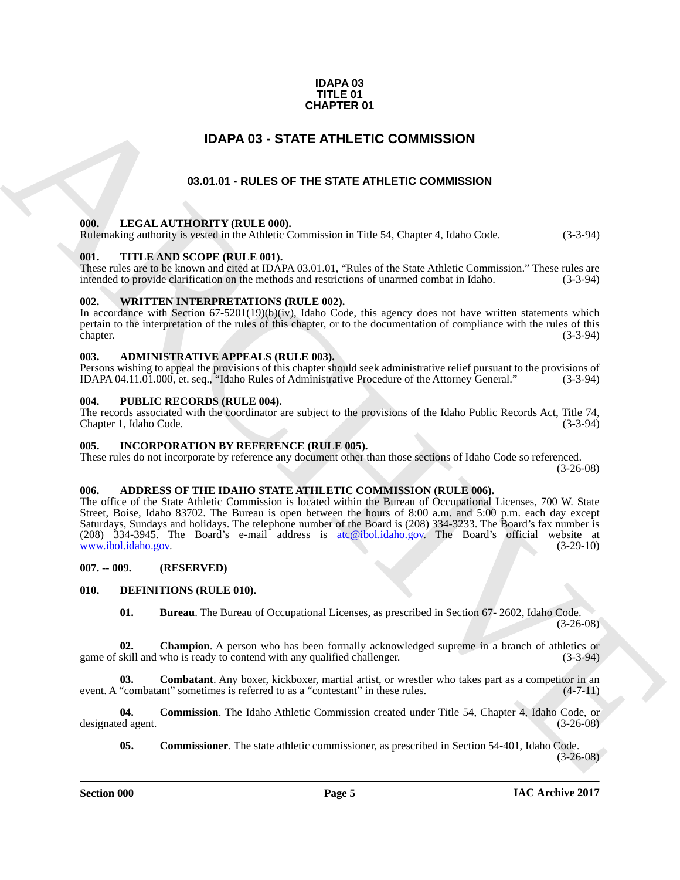#### **IDAPA 03 TITLE 01 CHAPTER 01**

### **IDAPA 03 - STATE ATHLETIC COMMISSION**

#### **03.01.01 - RULES OF THE STATE ATHLETIC COMMISSION**

#### <span id="page-4-2"></span><span id="page-4-1"></span>**000. LEGAL AUTHORITY (RULE 000).**

Rulemaking authority is vested in the Athletic Commission in Title 54, Chapter 4, Idaho Code. (3-3-94)

#### <span id="page-4-3"></span>**001. TITLE AND SCOPE (RULE 001).**

These rules are to be known and cited at IDAPA 03.01.01, "Rules of the State Athletic Commission." These rules are intended to provide clarification on the methods and restrictions of unarmed combat in Idaho. (3-3-94) intended to provide clarification on the methods and restrictions of unarmed combat in Idaho.

#### <span id="page-4-4"></span>**002. WRITTEN INTERPRETATIONS (RULE 002).**

In accordance with Section  $67-5201(19)(b)(iv)$ , Idaho Code, this agency does not have written statements which pertain to the interpretation of the rules of this chapter, or to the documentation of compliance with the rules of this chapter. (3-3-94)

#### <span id="page-4-5"></span>**003. ADMINISTRATIVE APPEALS (RULE 003).**

Persons wishing to appeal the provisions of this chapter should seek administrative relief pursuant to the provisions of IDAPA 04.11.01.000, et. seq., "Idaho Rules of Administrative Procedure of the Attorney General." (3-3 IDAPA 04.11.01.000, et. seq., "Idaho Rules of Administrative Procedure of the Attorney General."

#### <span id="page-4-6"></span>**004. PUBLIC RECORDS (RULE 004).**

The records associated with the coordinator are subject to the provisions of the Idaho Public Records Act, Title 74, Chapter 1, Idaho Code. (3-3-94)

#### <span id="page-4-18"></span><span id="page-4-7"></span>**005. INCORPORATION BY REFERENCE (RULE 005).**

These rules do not incorporate by reference any document other than those sections of Idaho Code so referenced. (3-26-08)

#### <span id="page-4-11"></span><span id="page-4-8"></span>**006. ADDRESS OF THE IDAHO STATE ATHLETIC COMMISSION (RULE 006).**

<span id="page-4-0"></span>**C[H](mailto:atc@ibol.idaho.gov)APTER 01**<br> **CHAPTER OF STATE ATHLETIC COMMISSION**<br> **CALIATION COMMISSION**<br> **CALIATION COMMISSION**<br> **CONSULTATION COMMISSION**<br> **CONSULTATION CONTINUATION COMMISSION**<br> **CONSULTATION CONSULTATION CONSULTATION CONSULTATION** The office of the State Athletic Commission is located within the Bureau of Occupational Licenses, 700 W. State Street, Boise, Idaho 83702. The Bureau is open between the hours of 8:00 a.m. and 5:00 p.m. each day except Saturdays, Sundays and holidays. The telephone number of the Board is (208) 334-3233. The Board's fax number is (208)  $334-3945$ . The Board's e-mail address is atc@ibol.idaho.gov. The Board's official website at www.ibol.idaho.gov. (3-29-10) www.ibol.idaho.gov.

<span id="page-4-9"></span>**007. -- 009. (RESERVED)**

#### <span id="page-4-10"></span>**010. DEFINITIONS (RULE 010).**

<span id="page-4-15"></span><span id="page-4-14"></span><span id="page-4-13"></span><span id="page-4-12"></span>**01. Bureau**. The Bureau of Occupational Licenses, as prescribed in Section 67- 2602, Idaho Code. (3-26-08)

**02.** Champion. A person who has been formally acknowledged supreme in a branch of athletics or skill and who is ready to contend with any qualified challenger. (3-3-94) game of skill and who is ready to contend with any qualified challenger.

**03. Combatant**. Any boxer, kickboxer, martial artist, or wrestler who takes part as a competitor in an "combatant" sometimes is referred to as a "contestant" in these rules.  $(4-7-11)$ event. A "combatant" sometimes is referred to as a "contestant" in these rules.

**04. Commission**. The Idaho Athletic Commission created under Title 54, Chapter 4, Idaho Code, or designated agent. (3-26-08)

<span id="page-4-17"></span><span id="page-4-16"></span>**05. Commissioner**. The state athletic commissioner, as prescribed in Section 54-401, Idaho Code.

 $(3-26-08)$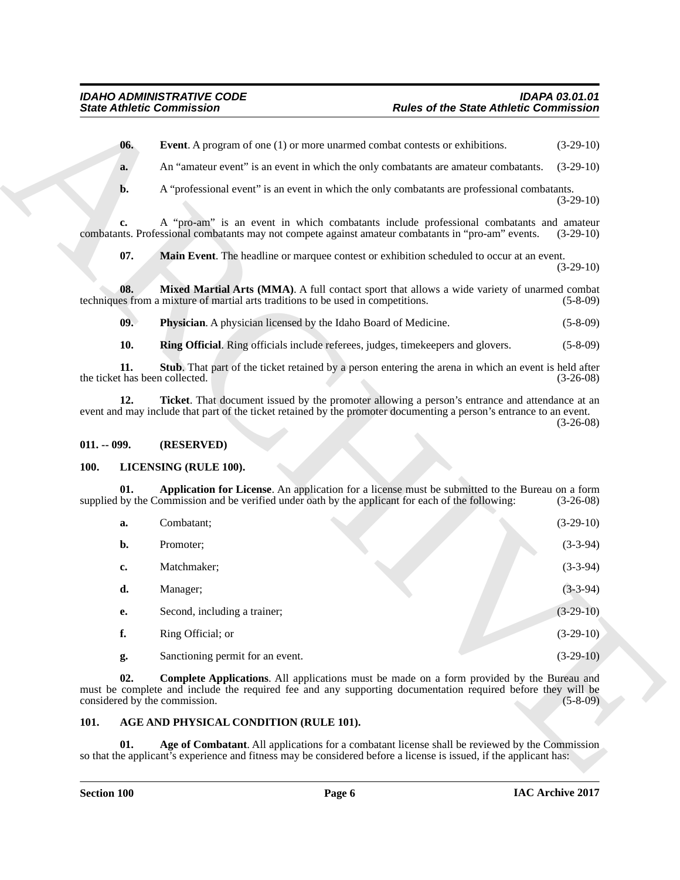#### <span id="page-5-11"></span><span id="page-5-10"></span><span id="page-5-9"></span><span id="page-5-8"></span><span id="page-5-7"></span><span id="page-5-0"></span>**011. -- 099. (RESERVED)**

#### <span id="page-5-13"></span><span id="page-5-12"></span><span id="page-5-1"></span>**100. LICENSING (RULE 100).**

<span id="page-5-6"></span><span id="page-5-5"></span>

|                                       | <b>State Athletic Commission</b>                                                                                                                                                                                                          | <b>Rules of the State Athletic Commission</b> |             |
|---------------------------------------|-------------------------------------------------------------------------------------------------------------------------------------------------------------------------------------------------------------------------------------------|-----------------------------------------------|-------------|
| 06.                                   | <b>Event.</b> A program of one (1) or more unarmed combat contests or exhibitions.                                                                                                                                                        |                                               | $(3-29-10)$ |
| a.                                    | An "amateur event" is an event in which the only combatants are amateur combatants.                                                                                                                                                       |                                               | $(3-29-10)$ |
| b.                                    | A "professional event" is an event in which the only combatants are professional combatants.                                                                                                                                              |                                               | $(3-29-10)$ |
| c.                                    | A "pro-am" is an event in which combatants include professional combatants and amateur<br>combatants. Professional combatants may not compete against amateur combatants in "pro-am" events.                                              |                                               | $(3-29-10)$ |
| 07.                                   | Main Event. The headline or marquee contest or exhibition scheduled to occur at an event.                                                                                                                                                 |                                               | $(3-29-10)$ |
| 08.                                   | Mixed Martial Arts (MMA). A full contact sport that allows a wide variety of unarmed combat<br>techniques from a mixture of martial arts traditions to be used in competitions.                                                           |                                               | $(5-8-09)$  |
| 09.                                   | Physician. A physician licensed by the Idaho Board of Medicine.                                                                                                                                                                           |                                               | $(5-8-09)$  |
| 10.                                   | Ring Official. Ring officials include referees, judges, timekeepers and glovers.                                                                                                                                                          |                                               | $(5-8-09)$  |
| 11.<br>the ticket has been collected. | Stub. That part of the ticket retained by a person entering the arena in which an event is held after                                                                                                                                     |                                               | $(3-26-08)$ |
| 12.                                   | Ticket. That document issued by the promoter allowing a person's entrance and attendance at an<br>event and may include that part of the ticket retained by the promoter documenting a person's entrance to an event.                     |                                               | $(3-26-08)$ |
| $011. - 099.$                         | (RESERVED)                                                                                                                                                                                                                                |                                               |             |
| <b>100.</b>                           | LICENSING (RULE 100).                                                                                                                                                                                                                     |                                               |             |
| 01.                                   | Application for License. An application for a license must be submitted to the Bureau on a form<br>supplied by the Commission and be verified under oath by the applicant for each of the following:                                      |                                               | $(3-26-08)$ |
| a.                                    | Combatant;                                                                                                                                                                                                                                |                                               | $(3-29-10)$ |
| b.                                    | Promoter;                                                                                                                                                                                                                                 |                                               | $(3-3-94)$  |
| c.                                    | Matchmaker;                                                                                                                                                                                                                               |                                               | $(3-3-94)$  |
| d.                                    | Manager;                                                                                                                                                                                                                                  |                                               | $(3-3-94)$  |
| е.                                    | Second, including a trainer;                                                                                                                                                                                                              |                                               | $(3-29-10)$ |
| f.                                    | Ring Official; or                                                                                                                                                                                                                         |                                               | $(3-29-10)$ |
| g.                                    | Sanctioning permit for an event.                                                                                                                                                                                                          |                                               | $(3-29-10)$ |
| 02.                                   | Complete Applications. All applications must be made on a form provided by the Bureau and<br>must be complete and include the required fee and any supporting documentation required before they will be<br>considered by the commission. |                                               | $(5-8-09)$  |
| 101.                                  | AGE AND PHYSICAL CONDITION (RULE 101).                                                                                                                                                                                                    |                                               |             |
|                                       |                                                                                                                                                                                                                                           |                                               |             |

#### <span id="page-5-14"></span><span id="page-5-4"></span><span id="page-5-3"></span><span id="page-5-2"></span>**101. AGE AND PHYSICAL CONDITION (RULE 101).**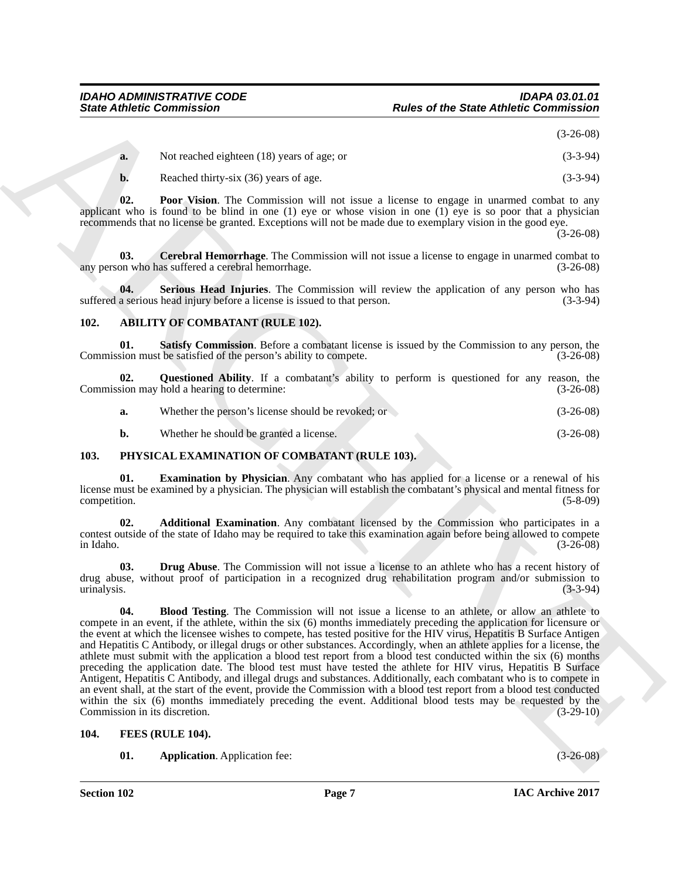(3-26-08)

<span id="page-6-7"></span>

| <b>a.</b> | Not reached eighteen (18) years of age; or | $(3-3-94)$ |
|-----------|--------------------------------------------|------------|
|           | Reached thirty-six (36) years of age.      | $(3-3-94)$ |

**02. Poor Vision**. The Commission will not issue a license to engage in unarmed combat to any applicant who is found to be blind in one (1) eye or whose vision in one  $(1)$  eye is so poor that a physician recommends that no license be granted. Exceptions will not be made due to exemplary vision in the good eye.

(3-26-08)

<span id="page-6-6"></span>**03. Cerebral Hemorrhage**. The Commission will not issue a license to engage in unarmed combat to on who has suffered a cerebral hemorrhage. any person who has suffered a cerebral hemorrhage.

<span id="page-6-8"></span>**04.** Serious Head Injuries. The Commission will review the application of any person who has a serious head injury before a license is issued to that person. (3-3-94) suffered a serious head injury before a license is issued to that person.

### <span id="page-6-3"></span><span id="page-6-0"></span>**102. ABILITY OF COMBATANT (RULE 102).**

<span id="page-6-5"></span>**01. Satisfy Commission**. Before a combatant license is issued by the Commission to any person, the satisfied of the person's ability to compete. (3-26-08) Commission must be satisfied of the person's ability to compete.

**02.** Questioned Ability. If a combatant's ability to perform is questioned for any reason, the sion may hold a hearing to determine: (3-26-08) Commission may hold a hearing to determine:

<span id="page-6-4"></span>

| Whether the person's license should be revoked; or<br>a. | $(3-26-08)$ |  |
|----------------------------------------------------------|-------------|--|
|----------------------------------------------------------|-------------|--|

<span id="page-6-15"></span><span id="page-6-11"></span>**b.** Whether he should be granted a license. (3-26-08)

#### <span id="page-6-1"></span>**103. PHYSICAL EXAMINATION OF COMBATANT (RULE 103).**

**01. Examination by Physician**. Any combatant who has applied for a license or a renewal of his license must be examined by a physician. The physician will establish the combatant's physical and mental fitness for competition. (5-8-09)

<span id="page-6-12"></span>**02. Additional Examination**. Any combatant licensed by the Commission who participates in a contest outside of the state of Idaho may be required to take this examination again before being allowed to compete  $\mu$  in Idaho. (3-26-08)

<span id="page-6-14"></span><span id="page-6-13"></span>**03. Drug Abuse**. The Commission will not issue a license to an athlete who has a recent history of drug abuse, without proof of participation in a recognized drug rehabilitation program and/or submission to urinalysis. (3-3-94)

Since Attitude Commission Text of the State Attitude (Commission 1997)<br>
A. Normal control of the State Attitude Commission 1991<br>
A. Reached Schware The Commission 1991 and also a license is meant to manner in unamed cruit **04. Blood Testing**. The Commission will not issue a license to an athlete, or allow an athlete to compete in an event, if the athlete, within the six (6) months immediately preceding the application for licensure or the event at which the licensee wishes to compete, has tested positive for the HIV virus, Hepatitis B Surface Antigen and Hepatitis C Antibody, or illegal drugs or other substances. Accordingly, when an athlete applies for a license, the athlete must submit with the application a blood test report from a blood test conducted within the six (6) months preceding the application date. The blood test must have tested the athlete for HIV virus, Hepatitis B Surface Antigent, Hepatitis C Antibody, and illegal drugs and substances. Additionally, each combatant who is to compete in an event shall, at the start of the event, provide the Commission with a blood test report from a blood test conducted within the six (6) months immediately preceding the event. Additional blood tests may be requested by the Commission in its discretion. (3-29-10)

#### <span id="page-6-2"></span>**104. FEES (RULE 104).**

<span id="page-6-10"></span><span id="page-6-9"></span>**01. Application**. Application fee: (3-26-08)

**Section 102 Page 7**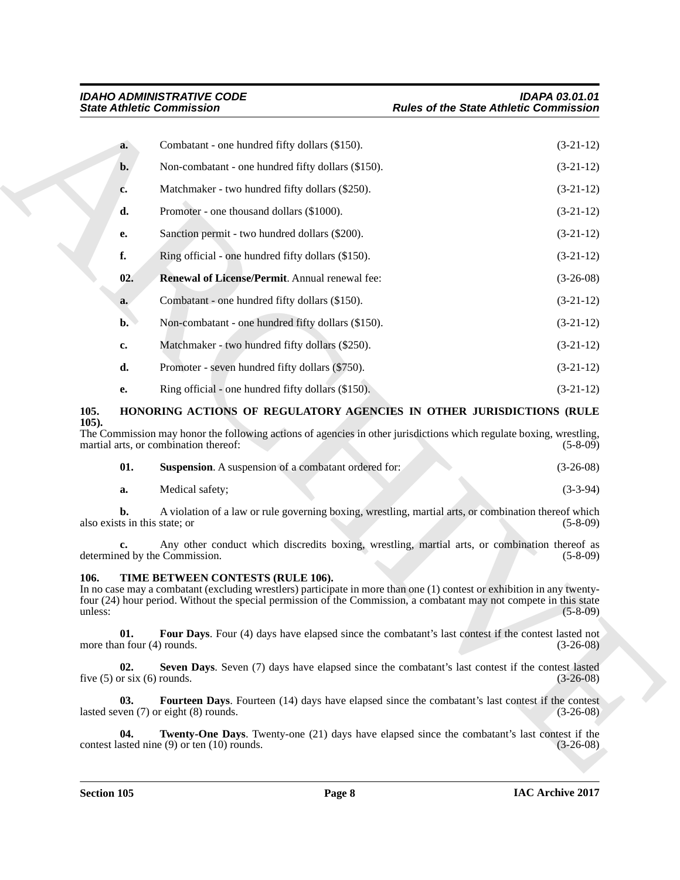| Combatant - one hundred fifty dollars (\$150).<br>a.<br>Non-combatant - one hundred fifty dollars (\$150).<br>b.<br>Matchmaker - two hundred fifty dollars (\$250).<br>c.<br>Promoter - one thousand dollars (\$1000).<br>d.<br>Sanction permit - two hundred dollars (\$200).                       | $(3-21-12)$<br>$(3-21-12)$ |
|------------------------------------------------------------------------------------------------------------------------------------------------------------------------------------------------------------------------------------------------------------------------------------------------------|----------------------------|
|                                                                                                                                                                                                                                                                                                      |                            |
|                                                                                                                                                                                                                                                                                                      |                            |
|                                                                                                                                                                                                                                                                                                      | $(3-21-12)$                |
|                                                                                                                                                                                                                                                                                                      | $(3-21-12)$                |
| e.                                                                                                                                                                                                                                                                                                   | $(3-21-12)$                |
| f.<br>Ring official - one hundred fifty dollars (\$150).                                                                                                                                                                                                                                             | $(3-21-12)$                |
| Renewal of License/Permit. Annual renewal fee:<br>02.                                                                                                                                                                                                                                                | $(3-26-08)$                |
| Combatant - one hundred fifty dollars (\$150).<br>a.                                                                                                                                                                                                                                                 | $(3-21-12)$                |
| Non-combatant - one hundred fifty dollars (\$150).<br>$\mathbf{b}$ .                                                                                                                                                                                                                                 | $(3-21-12)$                |
| Matchmaker - two hundred fifty dollars (\$250).<br>c.                                                                                                                                                                                                                                                | $(3-21-12)$                |
| d.<br>Promoter - seven hundred fifty dollars (\$750).                                                                                                                                                                                                                                                | $(3-21-12)$                |
| Ring official - one hundred fifty dollars (\$150).<br>е.                                                                                                                                                                                                                                             | $(3-21-12)$                |
| 105.<br>HONORING ACTIONS OF REGULATORY AGENCIES IN OTHER JURISDICTIONS (RULE                                                                                                                                                                                                                         |                            |
| $105$ ).<br>The Commission may honor the following actions of agencies in other jurisdictions which regulate boxing, wrestling,<br>martial arts, or combination thereof:                                                                                                                             | $(5-8-09)$                 |
| 01.<br><b>Suspension.</b> A suspension of a combatant ordered for:                                                                                                                                                                                                                                   | $(3-26-08)$                |
| Medical safety;<br>a.                                                                                                                                                                                                                                                                                | $(3-3-94)$                 |
| A violation of a law or rule governing boxing, wrestling, martial arts, or combination thereof which<br>b.<br>also exists in this state; or                                                                                                                                                          | $(5-8-09)$                 |
| Any other conduct which discredits boxing, wrestling, martial arts, or combination thereof as<br>c.<br>determined by the Commission.                                                                                                                                                                 | $(5-8-09)$                 |
| TIME BETWEEN CONTESTS (RULE 106).<br>106.<br>In no case may a combatant (excluding wrestlers) participate in more than one (1) contest or exhibition in any twenty-<br>four (24) hour period. Without the special permission of the Commission, a combatant may not compete in this state<br>unless: | $(5-8-09)$                 |
| 01.<br>Four Days. Four (4) days have elapsed since the combatant's last contest if the contest lasted not<br>more than four (4) rounds.                                                                                                                                                              | $(3-26-08)$                |
| 02.<br>Seven Days. Seven (7) days have elapsed since the combatant's last contest if the contest lasted<br>five $(5)$ or six $(6)$ rounds.                                                                                                                                                           | $(3-26-08)$                |
| 03.<br>Fourteen Days. Fourteen (14) days have elapsed since the combatant's last contest if the contest<br>lasted seven (7) or eight (8) rounds.                                                                                                                                                     | $(3-26-08)$                |
| 04.<br><b>Twenty-One Days.</b> Twenty-one (21) days have elapsed since the combatant's last contest if the<br>contest lasted nine $(9)$ or ten $(10)$ rounds.                                                                                                                                        | $(3-26-08)$                |
|                                                                                                                                                                                                                                                                                                      |                            |

#### <span id="page-7-3"></span><span id="page-7-2"></span><span id="page-7-0"></span>**105. HONORING ACTIONS OF REGULATORY AGENCIES IN OTHER JURISDICTIONS (RULE 105).**

<span id="page-7-4"></span>

| <b>Suspension.</b> A suspension of a combatant ordered for: | $(3-26-08)$ |
|-------------------------------------------------------------|-------------|
|                                                             |             |

#### <span id="page-7-9"></span><span id="page-7-8"></span><span id="page-7-7"></span><span id="page-7-6"></span><span id="page-7-5"></span><span id="page-7-1"></span>**106. TIME BETWEEN CONTESTS (RULE 106).**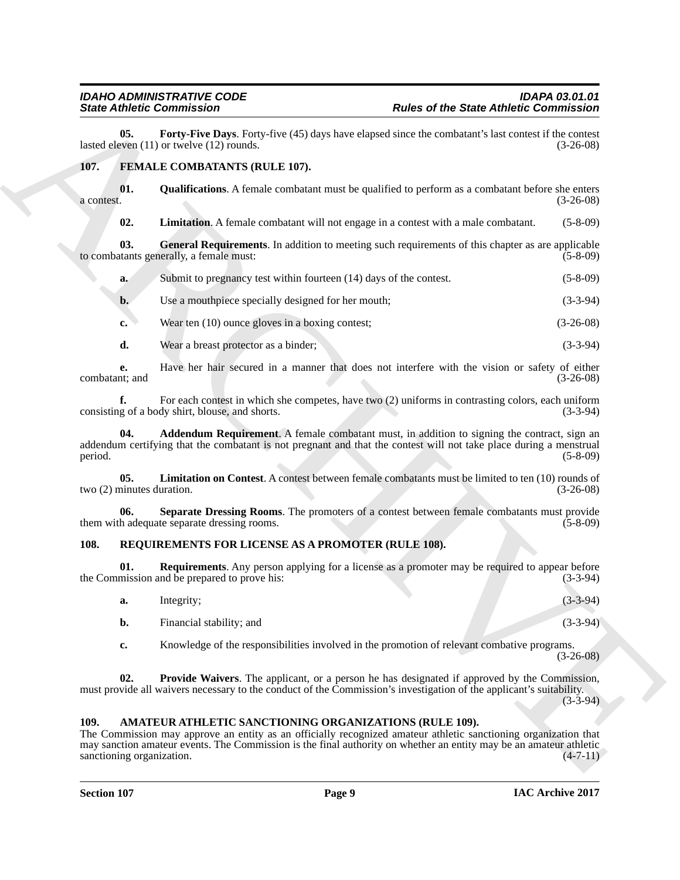<span id="page-8-14"></span>**05.** Forty-Five Days. Forty-five (45) days have elapsed since the combatant's last contest if the contest even (11) or twelve (12) rounds. lasted eleven  $(11)$  or twelve  $(12)$  rounds.

#### <span id="page-8-4"></span><span id="page-8-0"></span>**107. FEMALE COMBATANTS (RULE 107).**

**01.** Qualifications. A female combatant must be qualified to perform as a combatant before she enters a contest.  $(3-26-08)$  $a$  contest.  $(3-26-08)$ 

<span id="page-8-9"></span><span id="page-8-7"></span><span id="page-8-6"></span>**02. Limitation**. A female combatant will not engage in a contest with a male combatant. (5-8-09)

**03.** General Requirements. In addition to meeting such requirements of this chapter as are applicable tants generally, a female must: (5-8-09) to combatants generally, a female must:

- **a.** Submit to pregnancy test within fourteen (14) days of the contest. (5-8-09)
- **b.** Use a mouthpiece specially designed for her mouth; (3-3-94)
- **c.** Wear ten (10) ounce gloves in a boxing contest; (3-26-08)
- **d.** Wear a breast protector as a binder; (3-3-94)

**e.** Have her hair secured in a manner that does not interfere with the vision or safety of either tit, and  $(3-26-08)$ combatant; and

<span id="page-8-5"></span>**f.** For each contest in which she competes, have two (2) uniforms in contrasting colors, each uniform g of a body shirt, blouse, and shorts. (3-3-94) consisting of a body shirt, blouse, and shorts.

Since *Of the State Andreio* Commission <sup>R</sup> Robert of the State Andrew Commission<br>
Indices and the State Commission Commission Commission Commission Commission Commission Commission Commission<br>
1979. FEMALE COMBATANTS (RU **Addendum Requirement**. A female combatant must, in addition to signing the contract, sign an addendum certifying that the combatant is not pregnant and that the contest will not take place during a menstrual period. (5-8-09) period. (5-8-09)

<span id="page-8-8"></span>**05.** Limitation on Contest. A contest between female combatants must be limited to ten (10) rounds of ninutes duration. (3-26-08) two  $(2)$  minutes duration.

<span id="page-8-10"></span>**06.** Separate Dressing Rooms. The promoters of a contest between female combatants must provide h adequate separate dressing rooms. (5-8-09) them with adequate separate dressing rooms.

#### <span id="page-8-11"></span><span id="page-8-1"></span>**108. REQUIREMENTS FOR LICENSE AS A PROMOTER (RULE 108).**

**01. Requirements**. Any person applying for a license as a promoter may be required to appear before mission and be prepared to prove his: (3-3-94) the Commission and be prepared to prove his:

- <span id="page-8-13"></span>**a.** Integrity; (3-3-94)
- **b.** Financial stability; and (3-3-94)

<span id="page-8-12"></span>**c.** Knowledge of the responsibilities involved in the promotion of relevant combative programs.  $(3-26-08)$ 

**02. Provide Waivers**. The applicant, or a person he has designated if approved by the Commission, must provide all waivers necessary to the conduct of the Commission's investigation of the applicant's suitability.

 $(3-3-94)$ 

#### <span id="page-8-3"></span><span id="page-8-2"></span>**109. AMATEUR ATHLETIC SANCTIONING ORGANIZATIONS (RULE 109).**

The Commission may approve an entity as an officially recognized amateur athletic sanctioning organization that may sanction amateur events. The Commission is the final authority on whether an entity may be an amateur athletic sanctioning organization. (4-7-11) sanctioning organization.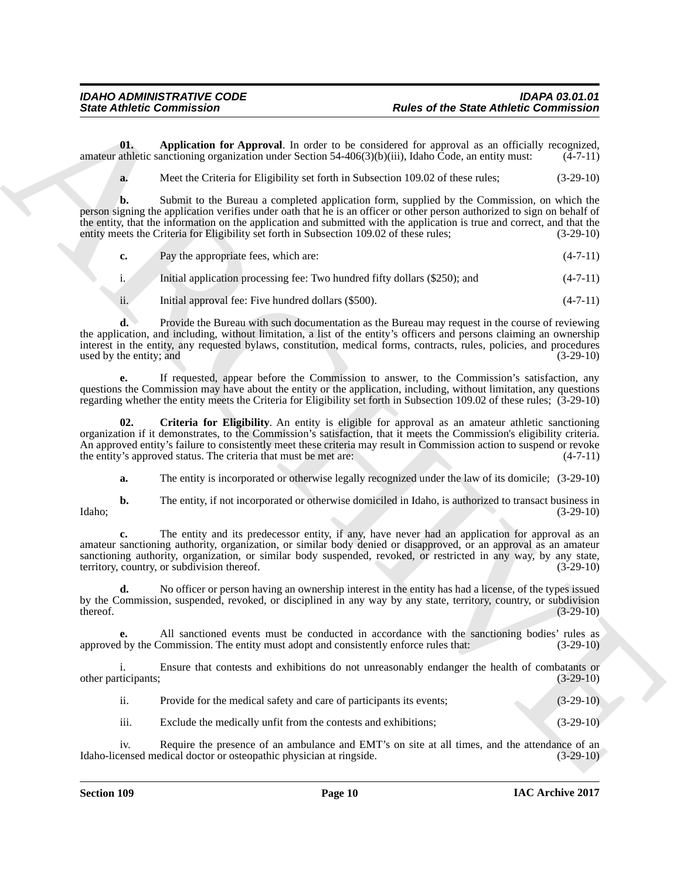**01. Application for Approval**. In order to be considered for approval as an officially recognized, athletic sanctioning organization under Section 54-406(3)(b)(iii), Idaho Code, an entity must: (4-7-11) amateur athletic sanctioning organization under Section  $54-406(3)(b)(iii)$ , Idaho Code, an entity must:

<span id="page-9-0"></span>**a.** Meet the Criteria for Eligibility set forth in Subsection 109.02 of these rules; (3-29-10)

Since Athletic Commission<br>
Units Commission<br>
Units of the state of the State Athletic Commission<br>
News of the State Athletic Commission<br>
News of the State Athletic Commission<br>
News of the Commission (Actual Commission (Ac **b.** Submit to the Bureau a completed application form, supplied by the Commission, on which the person signing the application verifies under oath that he is an officer or other person authorized to sign on behalf of the entity, that the information on the application and submitted with the application is true and correct, and that the entity meets the Criteria for Eligibility set forth in Subsection 109.02 of these rules; (3-29-10)

|  | Pay the appropriate fees, which are: | $(4-7-11)$ |
|--|--------------------------------------|------------|
|--|--------------------------------------|------------|

i. Initial application processing fee: Two hundred fifty dollars (\$250); and (4-7-11)

ii. Initial approval fee: Five hundred dollars (\$500). (4-7-11)

**d.** Provide the Bureau with such documentation as the Bureau may request in the course of reviewing the application, and including, without limitation, a list of the entity's officers and persons claiming an ownership interest in the entity, any requested bylaws, constitution, medical forms, contracts, rules, policies, and procedures used by the entity; and

**e.** If requested, appear before the Commission to answer, to the Commission's satisfaction, any questions the Commission may have about the entity or the application, including, without limitation, any questions regarding whether the entity meets the Criteria for Eligibility set forth in Subsection 109.02 of these rules; (3-29-10)

**02. Criteria for Eligibility**. An entity is eligible for approval as an amateur athletic sanctioning organization if it demonstrates, to the Commission's satisfaction, that it meets the Commission's eligibility criteria. An approved entity's failure to consistently meet these criteria may result in Commission action to suspend or revoke the entity's approved status. The criteria that must be met are:  $(4-7-11)$ the entity's approved status. The criteria that must be met are:

<span id="page-9-1"></span>**a.** The entity is incorporated or otherwise legally recognized under the law of its domicile; (3-29-10)

**b.** The entity, if not incorporated or otherwise domiciled in Idaho, is authorized to transact business in  $(3-29-10)$ Idaho; (3-29-10)

**c.** The entity and its predecessor entity, if any, have never had an application for approval as an amateur sanctioning authority, organization, or similar body denied or disapproved, or an approval as an amateur sanctioning authority, organization, or similar body suspended, revoked, or restricted in any way, by any state, territory, country, or subdivision thereof. (3-29-10) territory, country, or subdivision thereof.

**d.** No officer or person having an ownership interest in the entity has had a license, of the types issued by the Commission, suspended, revoked, or disciplined in any way by any state, territory, country, or subdivision thereof. (3-29-10)  $t$  thereof.  $(3-29-10)$ 

All sanctioned events must be conducted in accordance with the sanctioning bodies' rules as Commission. The entity must adopt and consistently enforce rules that: (3-29-10) approved by the Commission. The entity must adopt and consistently enforce rules that:

i. Ensure that contests and exhibitions do not unreasonably endanger the health of combatants or ticipants; (3-29-10) other participants;

ii. Provide for the medical safety and care of participants its events; (3-29-10)

iii. Exclude the medically unfit from the contests and exhibitions; (3-29-10)

iv. Require the presence of an ambulance and EMT's on site at all times, and the attendance of an ensed medical doctor or osteopathic physician at ringside. (3-29-10) Idaho-licensed medical doctor or osteopathic physician at ringside.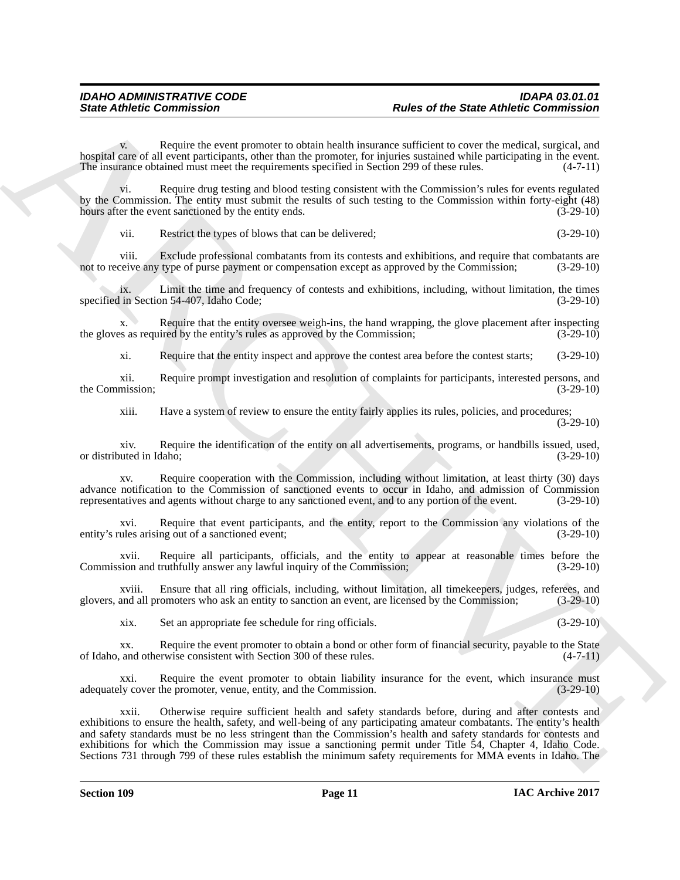Require the event promoter to obtain health insurance sufficient to cover the medical, surgical, and hospital care of all event participants, other than the promoter, for injuries sustained while participating in the event.<br>The insurance obtained must meet the requirements specified in Section 299 of these rules. (4-7-11) The insurance obtained must meet the requirements specified in Section 299 of these rules.

vi. Require drug testing and blood testing consistent with the Commission's rules for events regulated by the Commission. The entity must submit the results of such testing to the Commission within forty-eight (48) hours after the event sanctioned by the entity ends. (3-29-10)

vii. Restrict the types of blows that can be delivered; (3-29-10)

viii. Exclude professional combatants from its contests and exhibitions, and require that combatants are very any type of purse payment or compensation except as approved by the Commission: (3-29-10) not to receive any type of purse payment or compensation except as approved by the Commission;

ix. Limit the time and frequency of contests and exhibitions, including, without limitation, the times specified in Section 54-407, Idaho Code;

x. Require that the entity oversee weigh-ins, the hand wrapping, the glove placement after inspecting the gloves as required by the entity's rules as approved by the Commission; (3-29-10)

xi. Require that the entity inspect and approve the contest area before the contest starts; (3-29-10)

xii. Require prompt investigation and resolution of complaints for participants, interested persons, and<br>
(3-29-10) the Commission;

xiii. Have a system of review to ensure the entity fairly applies its rules, policies, and procedures;

(3-29-10)

xiv. Require the identification of the entity on all advertisements, programs, or handbills issued, used, or distributed in Idaho;

xv. Require cooperation with the Commission, including without limitation, at least thirty (30) days advance notification to the Commission of sanctioned events to occur in Idaho, and admission of Commission representatives and agents without charge to any sanctioned event, and to any portion of the event. (3-29-10) representatives and agents without charge to any sanctioned event, and to any portion of the event.

xvi. Require that event participants, and the entity, report to the Commission any violations of the ules arising out of a sanctioned event: (3-29-10) entity's rules arising out of a sanctioned event;

xvii. Require all participants, officials, and the entity to appear at reasonable times before the sion and truthfully answer any lawful inquiry of the Commission; (3-29-10) Commission and truthfully answer any lawful inquiry of the Commission;

xviii. Ensure that all ring officials, including, without limitation, all timekeepers, judges, referees, and glovers, and all promoters who ask an entity to sanction an event, are licensed by the Commission; (3-29-10)

xix. Set an appropriate fee schedule for ring officials. (3-29-10)

xx. Require the event promoter to obtain a bond or other form of financial security, payable to the State of Idaho, and otherwise consistent with Section 300 of these rules. (4-7-11)

xxi. Require the event promoter to obtain liability insurance for the event, which insurance must<br>ly cover the promoter, venue, entity, and the Commission. (3-29-10) adequately cover the promoter, venue, entity, and the Commission.

Since Abbetic Commission<br>
Since Abbetic Commission<br>
Negrocio ante content no content abbetic Content noise<br>
Negrocio ante abbetic Commission<br>
Negrocio ante abbetic content abbetic content in the space of the space of the xxii. Otherwise require sufficient health and safety standards before, during and after contests and exhibitions to ensure the health, safety, and well-being of any participating amateur combatants. The entity's health and safety standards must be no less stringent than the Commission's health and safety standards for contests and exhibitions for which the Commission may issue a sanctioning permit under Title 54, Chapter 4, Idaho Code. Sections 731 through 799 of these rules establish the minimum safety requirements for MMA events in Idaho. The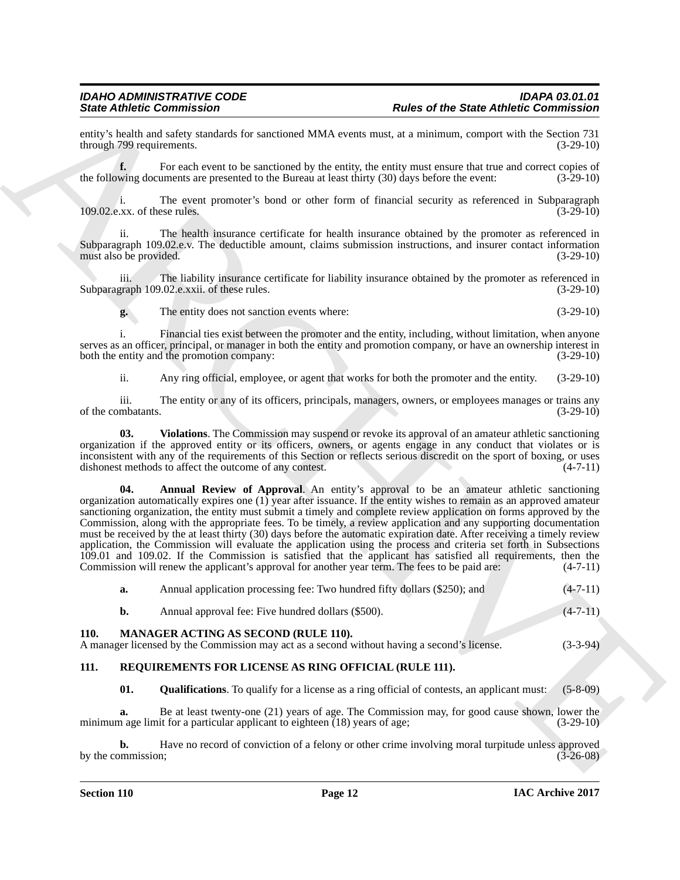entity's health and safety standards for sanctioned MMA events must, at a minimum, comport with the Section 731 through 799 requirements. (3-29-10) through 799 requirements.

**f.** For each event to be sanctioned by the entity, the entity must ensure that true and correct copies of the following documents are presented to the Bureau at least thirty (30) days before the event: (3-29-10)

i. The event promoter's bond or other form of financial security as referenced in Subparagraph (3-29-10) (3-29-10)  $109.02$ .e.xx. of these rules.

ii. The health insurance certificate for health insurance obtained by the promoter as referenced in Subparagraph 109.02.e.v. The deductible amount, claims submission instructions, and insurer contact information must also be provided. (3-29-10) must also be provided.

iii. The liability insurance certificate for liability insurance obtained by the promoter as referenced in Subparagraph 109.02.e.xxii. of these rules. (3-29-10)

**g.** The entity does not sanction events where: (3-29-10)

i. Financial ties exist between the promoter and the entity, including, without limitation, when anyone serves as an officer, principal, or manager in both the entity and promotion company, or have an ownership interest in both the entity and the promotion company: (3-29-10) both the entity and the promotion company:

<span id="page-11-3"></span>ii. Any ring official, employee, or agent that works for both the promoter and the entity. (3-29-10)

iii. The entity or any of its officers, principals, managers, owners, or employees manages or trains any mbatants. (3-29-10) of the combatants.

<span id="page-11-2"></span>**03. Violations**. The Commission may suspend or revoke its approval of an amateur athletic sanctioning organization if the approved entity or its officers, owners, or agents engage in any conduct that violates or is inconsistent with any of the requirements of this Section or reflects serious discredit on the sport of boxing, or uses dishonest methods to affect the outcome of any contest. (4-7-11) dishonest methods to affect the outcome of any contest.

Since *Columni*zion Commission Controller and the state data column in the state data column is the state of the state data column in the state of the state of the state of the state of the state of the state of the state **Annual Review of Approval.** An entity's approval to be an amateur athletic sanctioning organization automatically expires one (1) year after issuance. If the entity wishes to remain as an approved amateur sanctioning organization, the entity must submit a timely and complete review application on forms approved by the Commission, along with the appropriate fees. To be timely, a review application and any supporting documentation must be received by the at least thirty (30) days before the automatic expiration date. After receiving a timely review application, the Commission will evaluate the application using the process and criteria set forth in Subsections  $109.01$  and  $109.02$ . If the Commission is satisfied that the applicant has satisfied all requirements, then the Commission will renew the applicant's approval for another year term. The fees to be paid are:  $(4-7-11)$ Commission will renew the applicant's approval for another year term. The fees to be paid are:

<span id="page-11-4"></span>

| Annual application processing fee: Two hundred fifty dollars (\$250); and | $(4-7-11)$                                                                                                                                 |
|---------------------------------------------------------------------------|--------------------------------------------------------------------------------------------------------------------------------------------|
| Annual approval fee: Five hundred dollars (\$500).                        | $(4-7-11)$                                                                                                                                 |
|                                                                           | $(3-3-94)$                                                                                                                                 |
|                                                                           | <b>MANAGER ACTING AS SECOND (RULE 110).</b><br>A manager licensed by the Commission may act as a second without having a second's license. |

#### <span id="page-11-1"></span><span id="page-11-0"></span>**111. REQUIREMENTS FOR LICENSE AS RING OFFICIAL (RULE 111).**

<span id="page-11-6"></span><span id="page-11-5"></span>**01.** Qualifications. To qualify for a license as a ring official of contests, an applicant must: (5-8-09)

**a.** Be at least twenty-one (21) years of age. The Commission may, for good cause shown, lower the minimum age limit for a particular applicant to eighteen (18) years of age; (3-29-10)

**b.** Have no record of conviction of a felony or other crime involving moral turpitude unless approved mussion; (3-26-08) by the commission;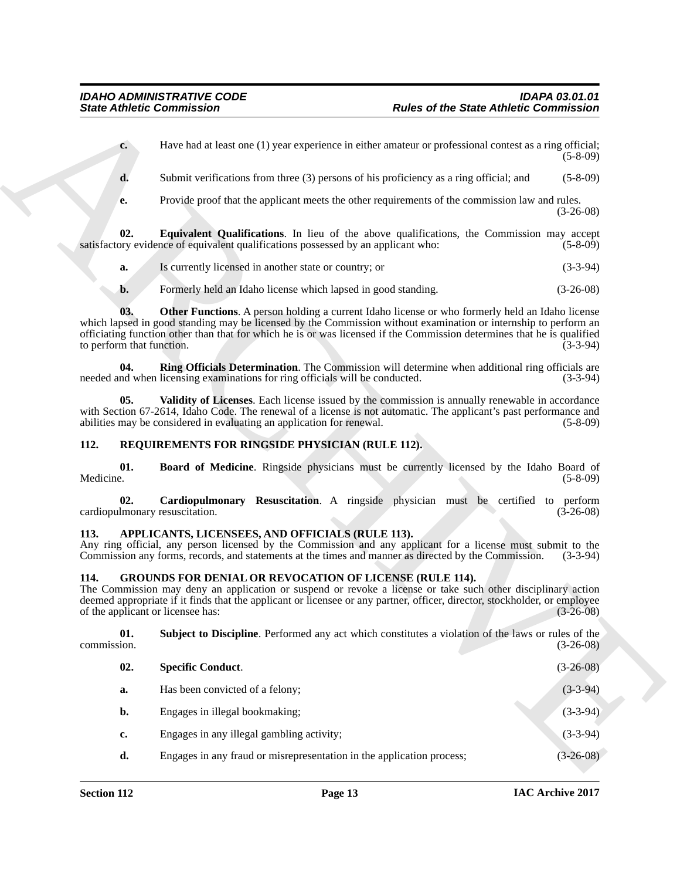- <span id="page-12-7"></span>**a.** Is currently licensed in another state or country; or (3-3-94)
- <span id="page-12-9"></span><span id="page-12-8"></span>**b.** Formerly held an Idaho license which lapsed in good standing. (3-26-08)

#### <span id="page-12-12"></span><span id="page-12-11"></span><span id="page-12-10"></span><span id="page-12-0"></span>**112. REQUIREMENTS FOR RINGSIDE PHYSICIAN (RULE 112).**

#### <span id="page-12-13"></span><span id="page-12-3"></span><span id="page-12-1"></span>**113. APPLICANTS, LICENSEES, AND OFFICIALS (RULE 113).**

#### <span id="page-12-6"></span><span id="page-12-5"></span><span id="page-12-4"></span><span id="page-12-2"></span>**114. GROUNDS FOR DENIAL OR REVOCATION OF LICENSE (RULE 114).**

|                                                         | <b>State Athletic Commission</b>                                                                    | <b>Rules of the State Athletic Commission</b>                                                                                                                                                                                                                                                                                                       |             |
|---------------------------------------------------------|-----------------------------------------------------------------------------------------------------|-----------------------------------------------------------------------------------------------------------------------------------------------------------------------------------------------------------------------------------------------------------------------------------------------------------------------------------------------------|-------------|
|                                                         | $c_{\cdot}$                                                                                         | Have had at least one (1) year experience in either amateur or professional contest as a ring official;                                                                                                                                                                                                                                             | $(5-8-09)$  |
|                                                         | d.                                                                                                  | Submit verifications from three (3) persons of his proficiency as a ring official; and                                                                                                                                                                                                                                                              | $(5-8-09)$  |
|                                                         | е.                                                                                                  | Provide proof that the applicant meets the other requirements of the commission law and rules.                                                                                                                                                                                                                                                      | $(3-26-08)$ |
|                                                         | 02.<br>satisfactory evidence of equivalent qualifications possessed by an applicant who:            | Equivalent Qualifications. In lieu of the above qualifications, the Commission may accept                                                                                                                                                                                                                                                           | $(5-8-09)$  |
|                                                         | Is currently licensed in another state or country; or<br>a.                                         |                                                                                                                                                                                                                                                                                                                                                     | $(3-3-94)$  |
|                                                         | Formerly held an Idaho license which lapsed in good standing.<br>b.                                 |                                                                                                                                                                                                                                                                                                                                                     | $(3-26-08)$ |
|                                                         | 03.<br>to perform that function.                                                                    | <b>Other Functions.</b> A person holding a current Idaho license or who formerly held an Idaho license<br>which lapsed in good standing may be licensed by the Commission without examination or internship to perform an<br>officiating function other than that for which he is or was licensed if the Commission determines that he is qualified | $(3-3-94)$  |
|                                                         | 04.<br>needed and when licensing examinations for ring officials will be conducted.                 | Ring Officials Determination. The Commission will determine when additional ring officials are                                                                                                                                                                                                                                                      | $(3-3-94)$  |
|                                                         | 05.<br>abilities may be considered in evaluating an application for renewal.                        | Validity of Licenses. Each license issued by the commission is annually renewable in accordance<br>with Section 67-2614, Idaho Code. The renewal of a license is not automatic. The applicant's past performance and                                                                                                                                | $(5-8-09)$  |
| 112.<br>REQUIREMENTS FOR RINGSIDE PHYSICIAN (RULE 112). |                                                                                                     |                                                                                                                                                                                                                                                                                                                                                     |             |
| Medicine.                                               | 01.                                                                                                 | <b>Board of Medicine.</b> Ringside physicians must be currently licensed by the Idaho Board of                                                                                                                                                                                                                                                      | $(5-8-09)$  |
|                                                         | 02.<br>cardiopulmonary resuscitation.                                                               | Cardiopulmonary Resuscitation. A ringside physician must be certified to perform                                                                                                                                                                                                                                                                    | $(3-26-08)$ |
| 113.                                                    | APPLICANTS, LICENSEES, AND OFFICIALS (RULE 113).                                                    | Any ring official, any person licensed by the Commission and any applicant for a license must submit to the<br>Commission any forms, records, and statements at the times and manner as directed by the Commission.                                                                                                                                 | $(3-3-94)$  |
| 114.                                                    | <b>GROUNDS FOR DENIAL OR REVOCATION OF LICENSE (RULE 114).</b><br>of the applicant or licensee has: | The Commission may deny an application or suspend or revoke a license or take such other disciplinary action<br>deemed appropriate if it finds that the applicant or licensee or any partner, officer, director, stockholder, or employee                                                                                                           | $(3-26-08)$ |
| commission.                                             | 01.                                                                                                 | Subject to Discipline. Performed any act which constitutes a violation of the laws or rules of the                                                                                                                                                                                                                                                  | $(3-26-08)$ |
|                                                         | <b>Specific Conduct.</b><br>02.                                                                     |                                                                                                                                                                                                                                                                                                                                                     | $(3-26-08)$ |
|                                                         | Has been convicted of a felony;<br>a.                                                               |                                                                                                                                                                                                                                                                                                                                                     | $(3-3-94)$  |
|                                                         | Engages in illegal bookmaking;<br>b.                                                                |                                                                                                                                                                                                                                                                                                                                                     | $(3-3-94)$  |
|                                                         | Engages in any illegal gambling activity;<br>c.                                                     |                                                                                                                                                                                                                                                                                                                                                     | $(3-3-94)$  |
|                                                         |                                                                                                     |                                                                                                                                                                                                                                                                                                                                                     |             |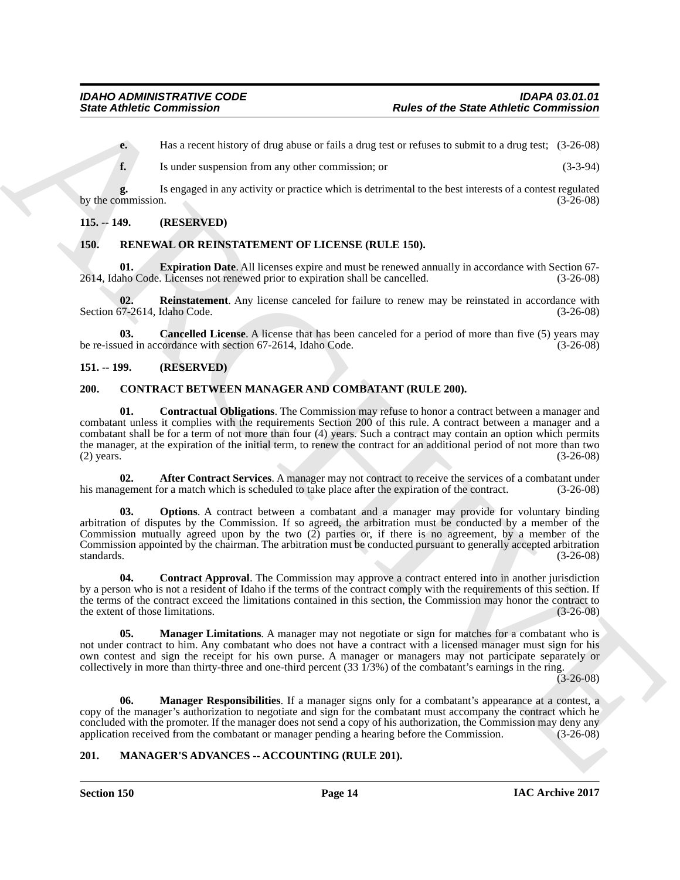**e.** Has a recent history of drug abuse or fails a drug test or refuses to submit to a drug test;  $(3-26-08)$ 

**f.** Is under suspension from any other commission; or (3-3-94)

**g.** Is engaged in any activity or practice which is detrimental to the best interests of a contest regulated by the commission.

#### <span id="page-13-0"></span>**115. -- 149. (RESERVED)**

#### <span id="page-13-13"></span><span id="page-13-1"></span>**150. RENEWAL OR REINSTATEMENT OF LICENSE (RULE 150).**

<span id="page-13-15"></span>**01. Expiration Date**. All licenses expire and must be renewed annually in accordance with Section 67-<br>aho Code. Licenses not renewed prior to expiration shall be cancelled. (3-26-08) 2614, Idaho Code. Licenses not renewed prior to expiration shall be cancelled.

<span id="page-13-16"></span>**02.** Reinstatement. Any license canceled for failure to renew may be reinstated in accordance with  $57-2614$ , Idaho Code. (3-26-08) Section 67-2614, Idaho Code.

<span id="page-13-14"></span>**03. Cancelled License**. A license that has been canceled for a period of more than five (5) years may used in accordance with section 67-2614. Idaho Code. (3-26-08) be re-issued in accordance with section 67-2614, Idaho Code.

#### <span id="page-13-2"></span>**151. -- 199. (RESERVED)**

#### <span id="page-13-8"></span><span id="page-13-5"></span><span id="page-13-3"></span>**200. CONTRACT BETWEEN MANAGER AND COMBATANT (RULE 200).**

**Since Athletic Commission**<br> **Color of the State Athletic Commission**<br> **Color of the State at a state is a state of the state at a state of the state at a state of the State 2th (1998)<br>
<b>Let us note that the state is a st 01. Contractual Obligations**. The Commission may refuse to honor a contract between a manager and combatant unless it complies with the requirements Section 200 of this rule. A contract between a manager and a combatant shall be for a term of not more than four (4) years. Such a contract may contain an option which permits the manager, at the expiration of the initial term, to renew the contract for an additional period of not more than two (2) years. (3-26-08) (2) years. (3-26-08)

<span id="page-13-6"></span>**02. After Contract Services**. A manager may not contract to receive the services of a combatant under his management for a match which is scheduled to take place after the expiration of the contract. (3-26-08)

<span id="page-13-11"></span>**03. Options**. A contract between a combatant and a manager may provide for voluntary binding arbitration of disputes by the Commission. If so agreed, the arbitration must be conducted by a member of the Commission mutually agreed upon by the two  $(2)$  parties or, if there is no agreement, by a member of the Commission appointed by the chairman. The arbitration must be conducted pursuant to generally accepted arbitration standards. (3-26-08)

<span id="page-13-7"></span>**04.** Contract Approval. The Commission may approve a contract entered into in another jurisdiction by a person who is not a resident of Idaho if the terms of the contract comply with the requirements of this section. If the terms of the contract exceed the limitations contained in this section, the Commission may honor the contract to the extent of those limitations. (3-26-08)

<span id="page-13-9"></span>**05. Manager Limitations**. A manager may not negotiate or sign for matches for a combatant who is not under contract to him. Any combatant who does not have a contract with a licensed manager must sign for his own contest and sign the receipt for his own purse. A manager or managers may not participate separately or collectively in more than thirty-three and one-third percent (33 1/3%) of the combatant's earnings in the ring.

 $(3-26-08)$ 

<span id="page-13-10"></span>**06. Manager Responsibilities**. If a manager signs only for a combatant's appearance at a contest, a copy of the manager's authorization to negotiate and sign for the combatant must accompany the contract which he concluded with the promoter. If the manager does not send a copy of his authorization, the Commission may deny any application received from the combatant or manager pending a hearing before the Commission. (3-26-08) application received from the combatant or manager pending a hearing before the Commission.

#### <span id="page-13-12"></span><span id="page-13-4"></span>**201. MANAGER'S ADVANCES -- ACCOUNTING (RULE 201).**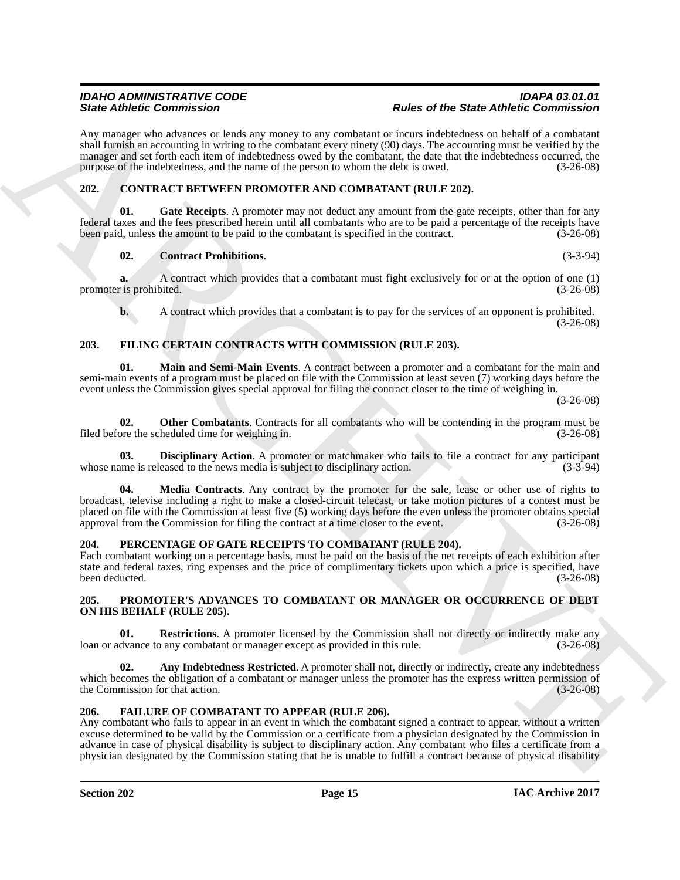Any manager who advances or lends any money to any combatant or incurs indebtedness on behalf of a combatant shall furnish an accounting in writing to the combatant every ninety (90) days. The accounting must be verified by the manager and set forth each item of indebtedness owed by the combatant, the date that the indebtedness occurred, the purpose of the indebtedness, and the name of the person to whom the debt is owed. (3-26-08)

### <span id="page-14-5"></span><span id="page-14-0"></span>**202. CONTRACT BETWEEN PROMOTER AND COMBATANT (RULE 202).**

Gate Receipts. A promoter may not deduct any amount from the gate receipts, other than for any federal taxes and the fees prescribed herein until all combatants who are to be paid a percentage of the receipts have been paid, unless the amount to be paid to the combatant is specified in the contract. (3-26-08)

#### <span id="page-14-7"></span><span id="page-14-6"></span>**02. Contract Prohibitions**. (3-3-94)

**a.** A contract which provides that a combatant must fight exclusively for or at the option of one (1) promoter is prohibited. (3-26-08)

<span id="page-14-11"></span><span id="page-14-9"></span>**b.** A contract which provides that a combatant is to pay for the services of an opponent is prohibited. (3-26-08)

### <span id="page-14-1"></span>**203. FILING CERTAIN CONTRACTS WITH COMMISSION (RULE 203).**

**01. Main and Semi-Main Events**. A contract between a promoter and a combatant for the main and semi-main events of a program must be placed on file with the Commission at least seven (7) working days before the event unless the Commission gives special approval for filing the contract closer to the time of weighing in.

(3-26-08)

<span id="page-14-13"></span>**02. Other Combatants**. Contracts for all combatants who will be contending in the program must be ore the scheduled time for weighing in. (3-26-08) filed before the scheduled time for weighing in.

<span id="page-14-12"></span><span id="page-14-10"></span>**03. Disciplinary Action**. A promoter or matchmaker who fails to file a contract for any participant ame is released to the news media is subject to disciplinary action. (3-3-94) whose name is released to the news media is subject to disciplinary action.

Since differential and account of the since of the Since of the Since differential and the since of the Since of the Since differential and account of the Since of the Since of the Since different in the since of the Sinc **Media Contracts**. Any contract by the promoter for the sale, lease or other use of rights to broadcast, televise including a right to make a closed-circuit telecast, or take motion pictures of a contest must be placed on file with the Commission at least five (5) working days before the even unless the promoter obtains special approval from the Commission for filing the contract at a time closer to the event. (3-26-08) approval from the Commission for filing the contract at a time closer to the event.

#### <span id="page-14-14"></span><span id="page-14-2"></span>**204. PERCENTAGE OF GATE RECEIPTS TO COMBATANT (RULE 204).**

Each combatant working on a percentage basis, must be paid on the basis of the net receipts of each exhibition after state and federal taxes, ring expenses and the price of complimentary tickets upon which a price is specified, have been deducted. (3-26-08)

#### <span id="page-14-15"></span><span id="page-14-3"></span>**205. PROMOTER'S ADVANCES TO COMBATANT OR MANAGER OR OCCURRENCE OF DEBT ON HIS BEHALF (RULE 205).**

<span id="page-14-17"></span>**01. Restrictions**. A promoter licensed by the Commission shall not directly or indirectly make any dyance to any combatant or manager except as provided in this rule. (3-26-08) loan or advance to any combatant or manager except as provided in this rule.

<span id="page-14-16"></span>**02.** Any Indebtedness Restricted. A promoter shall not, directly or indirectly, create any indebtedness which becomes the obligation of a combatant or manager unless the promoter has the express written permission of the Commission for that action. (3-26-08) the Commission for that action.

#### <span id="page-14-8"></span><span id="page-14-4"></span>**206. FAILURE OF COMBATANT TO APPEAR (RULE 206).**

Any combatant who fails to appear in an event in which the combatant signed a contract to appear, without a written excuse determined to be valid by the Commission or a certificate from a physician designated by the Commission in advance in case of physical disability is subject to disciplinary action. Any combatant who files a certificate from a physician designated by the Commission stating that he is unable to fulfill a contract because of physical disability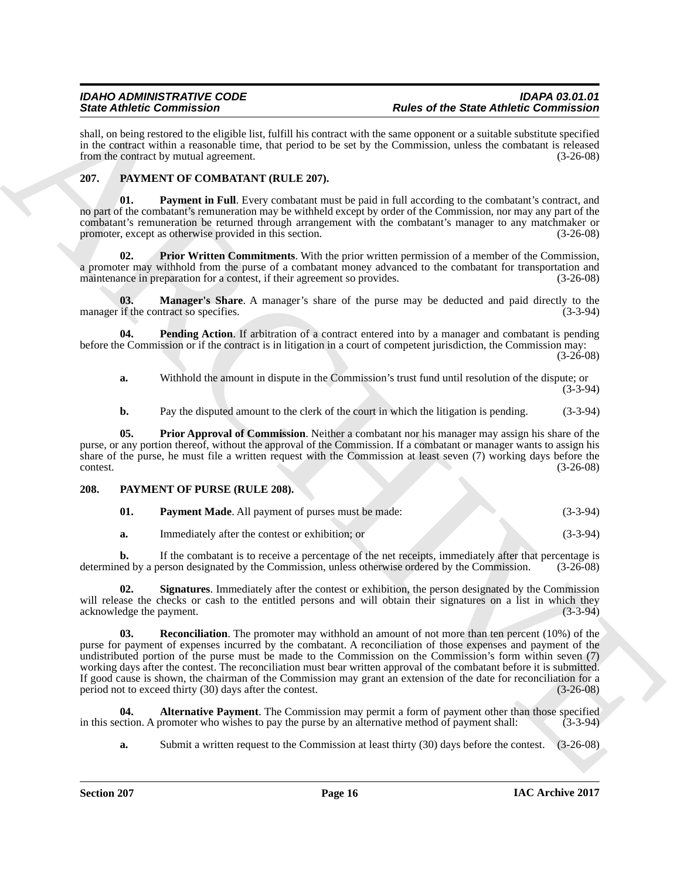shall, on being restored to the eligible list, fulfill his contract with the same opponent or a suitable substitute specified in the contract within a reasonable time, that period to be set by the Commission, unless the combatant is released from the contract by mutual agreement. (3-26-08) from the contract by mutual agreement.

### <span id="page-15-2"></span><span id="page-15-0"></span>**207. PAYMENT OF COMBATANT (RULE 207).**

<span id="page-15-4"></span>**01. Payment in Full**. Every combatant must be paid in full according to the combatant's contract, and no part of the combatant's remuneration may be withheld except by order of the Commission, nor may any part of the combatant's remuneration be returned through arrangement with the combatant's manager to any matchmaker or promoter, except as otherwise provided in this section. (3-26-08)

<span id="page-15-7"></span>**02. Prior Written Commitments**. With the prior written permission of a member of the Commission, a promoter may withhold from the purse of a combatant money advanced to the combatant for transportation and maintenance in preparation for a contest, if their agreement so provides. (3-26-08)

<span id="page-15-3"></span>**03. Manager's Share**. A manager's share of the purse may be deducted and paid directly to the if the contract so specifies. (3-3-94) manager if the contract so specifies.

**04.** Pending Action. If arbitration of a contract entered into by a manager and combatant is pending before the Commission or if the contract is in litigation in a court of competent jurisdiction, the Commission may: (3-26-08)

<span id="page-15-5"></span>**a.** Withhold the amount in dispute in the Commission's trust fund until resolution of the dispute; or (3-3-94)

<span id="page-15-6"></span>**b.** Pay the disputed amount to the clerk of the court in which the litigation is pending. (3-3-94)

**05. Prior Approval of Commission**. Neither a combatant nor his manager may assign his share of the purse, or any portion thereof, without the approval of the Commission. If a combatant or manager wants to assign his share of the purse, he must file a written request with the Commission at least seven (7) working days before the contest. (3-26-08)

#### <span id="page-15-1"></span>**208. PAYMENT OF PURSE (RULE 208).**

<span id="page-15-10"></span><span id="page-15-8"></span>

| 01. | <b>Payment Made.</b> All payment of purses must be made: | $(3-3-94)$ |
|-----|----------------------------------------------------------|------------|
|     | Immediately after the contest or exhibition; or          | $(3-3-94)$ |

<span id="page-15-12"></span>

**b.** If the combatant is to receive a percentage of the net receipts, immediately after that percentage is ed by a person designated by the Commission, unless otherwise ordered by the Commission. (3-26-08) determined by a person designated by the Commission, unless otherwise ordered by the Commission.

<span id="page-15-11"></span>**02. Signatures**. Immediately after the contest or exhibition, the person designated by the Commission will release the checks or cash to the entitled persons and will obtain their signatures on a list in which they acknowledge the payment. (3-3-94) acknowledge the payment.

Since *Contenting* is the main of the since of the Since *Reformation* and the since the since the Since *Contenting* is the contenting in the since  $\alpha$  and  $\alpha$  and  $\alpha$  and  $\alpha$  and  $\alpha$  and  $\alpha$  and  $\alpha$  and  $\alpha$  and **03. Reconciliation**. The promoter may withhold an amount of not more than ten percent (10%) of the purse for payment of expenses incurred by the combatant. A reconciliation of those expenses and payment of the undistributed portion of the purse must be made to the Commission on the Commission's form within seven (7) working days after the contest. The reconciliation must bear written approval of the combatant before it is submitted. If good cause is shown, the chairman of the Commission may grant an extension of the date for reconciliation for a period not to exceed thirty  $(30)$  days after the contest.  $(3-26-08)$ period not to exceed thirty  $(30)$  days after the contest.

**04. Alternative Payment**. The Commission may permit a form of payment other than those specified in this section. A promoter who wishes to pay the purse by an alternative method of payment shall: (3-3-94)

<span id="page-15-9"></span>**a.** Submit a written request to the Commission at least thirty (30) days before the contest. (3-26-08)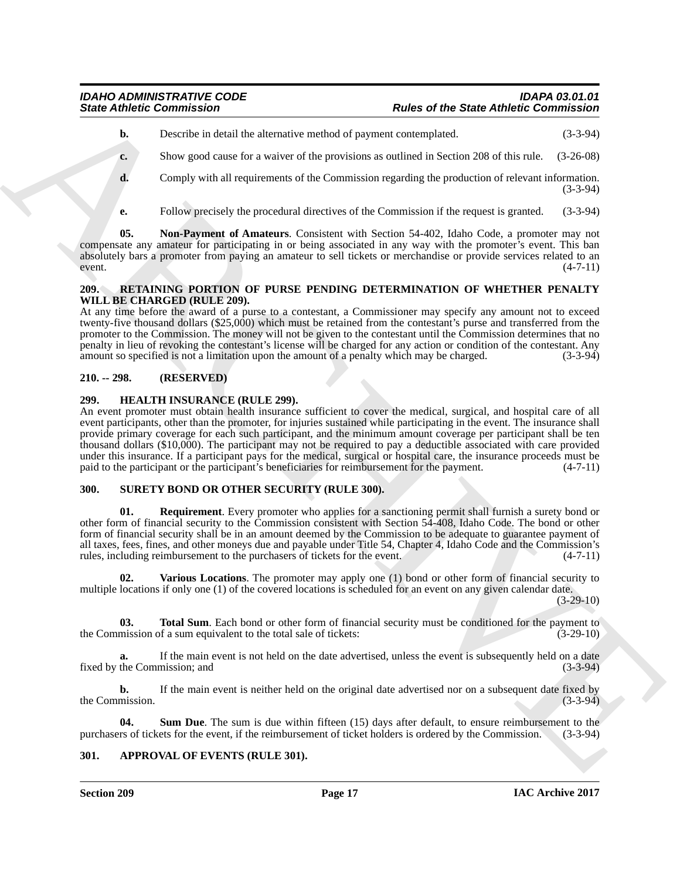- **b.** Describe in detail the alternative method of payment contemplated. (3-3-94)
- **c.** Show good cause for a waiver of the provisions as outlined in Section 208 of this rule. (3-26-08)
- **d.** Comply with all requirements of the Commission regarding the production of relevant information. (3-3-94)
- <span id="page-16-7"></span>**e.** Follow precisely the procedural directives of the Commission if the request is granted. (3-3-94)

**05. Non-Payment of Amateurs**. Consistent with Section 54-402, Idaho Code, a promoter may not compensate any amateur for participating in or being associated in any way with the promoter's event. This ban absolutely bars a promoter from paying an amateur to sell tickets or merchandise or provide services related to an event.  $(4-7-11)$  $(4-7-11)$ 

#### <span id="page-16-8"></span><span id="page-16-0"></span>**209. RETAINING PORTION OF PURSE PENDING DETERMINATION OF WHETHER PENALTY WILL BE CHARGED (RULE 209).**

At any time before the award of a purse to a contestant, a Commissioner may specify any amount not to exceed twenty-five thousand dollars (\$25,000) which must be retained from the contestant's purse and transferred from the promoter to the Commission. The money will not be given to the contestant until the Commission determines that no penalty in lieu of revoking the contestant's license will be charged for any action or condition of the contestant. Any amount so specified is not a limitation upon the amount of a penalty which may be charged. (3-3-94)

### <span id="page-16-1"></span>**210. -- 298. (RESERVED)**

#### <span id="page-16-6"></span><span id="page-16-2"></span>**299. HEALTH INSURANCE (RULE 299).**

Since Zubiete Commission<br>
Under or the Since Abbelle Commission<br>
Under or the Since Abbelle Commission<br>
Under the state and the shortest with the state and the state of the Commission regarding the procedure of the Commis An event promoter must obtain health insurance sufficient to cover the medical, surgical, and hospital care of all event participants, other than the promoter, for injuries sustained while participating in the event. The insurance shall provide primary coverage for each such participant, and the minimum amount coverage per participant shall be ten thousand dollars (\$10,000). The participant may not be required to pay a deductible associated with care provided under this insurance. If a participant pays for the medical, surgical or hospital care, the insurance proceeds must be paid to the participant or the participant's beneficiaries for reimbursement for the payment.  $(4-7-11)$ paid to the participant or the participant's beneficiaries for reimbursement for the payment.

#### <span id="page-16-9"></span><span id="page-16-3"></span>**300. SURETY BOND OR OTHER SECURITY (RULE 300).**

<span id="page-16-10"></span>**01. Requirement**. Every promoter who applies for a sanctioning permit shall furnish a surety bond or other form of financial security to the Commission consistent with Section 54-408, Idaho Code. The bond or other form of financial security shall be in an amount deemed by the Commission to be adequate to guarantee payment of all taxes, fees, fines, and other moneys due and payable under Title 54, Chapter 4, Idaho Code and the Commission's rules, including reimbursement to the purchasers of tickets for the event. (4-7-11)

<span id="page-16-13"></span>**Various Locations**. The promoter may apply one (1) bond or other form of financial security to multiple locations if only one (1) of the covered locations is scheduled for an event on any given calendar date.

(3-29-10)

<span id="page-16-12"></span>**03. Total Sum**. Each bond or other form of financial security must be conditioned for the payment to mission of a sum equivalent to the total sale of tickets: (3-29-10) the Commission of a sum equivalent to the total sale of tickets:

**a.** If the main event is not held on the date advertised, unless the event is subsequently held on a date fixed by the Commission; and (3-3-94) (3-3-94)

**b.** If the main event is neither held on the original date advertised nor on a subsequent date fixed by the Commission. (3-3-94)

<span id="page-16-11"></span>**04.** Sum Due. The sum is due within fifteen (15) days after default, to ensure reimbursement to the rs of tickets for the event, if the reimbursement of ticket holders is ordered by the Commission. (3-3-94) purchasers of tickets for the event, if the reimbursement of ticket holders is ordered by the Commission.

#### <span id="page-16-5"></span><span id="page-16-4"></span>**301. APPROVAL OF EVENTS (RULE 301).**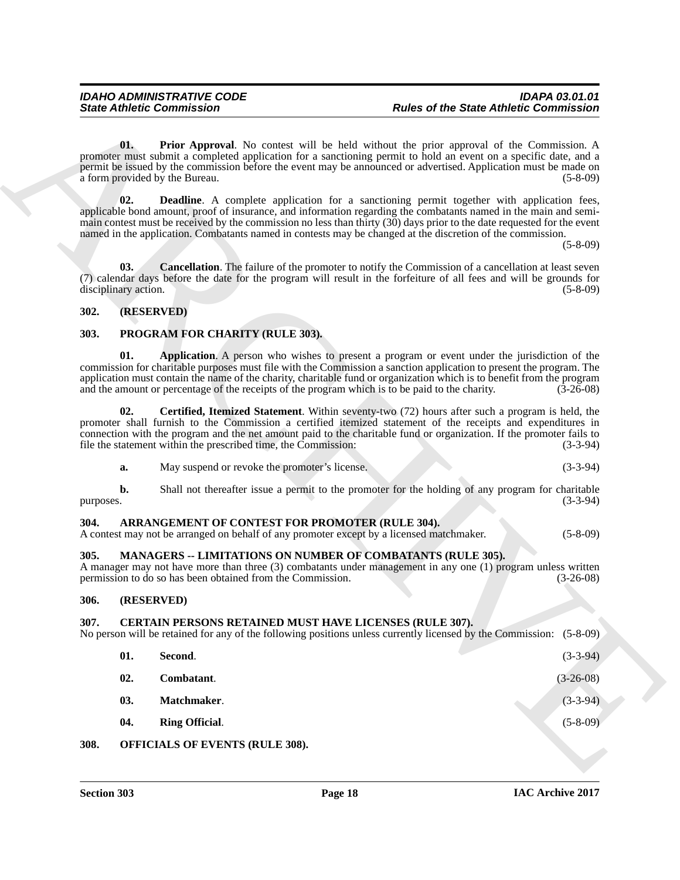#### <span id="page-17-8"></span><span id="page-17-7"></span><span id="page-17-0"></span>**302. (RESERVED)**

#### <span id="page-17-19"></span><span id="page-17-18"></span><span id="page-17-1"></span>**303. PROGRAM FOR CHARITY (RULE 303).**

<span id="page-17-20"></span>

| а. | May suspend or revoke the promoter's license. |  | $(3-3-94)$ |
|----|-----------------------------------------------|--|------------|
|----|-----------------------------------------------|--|------------|

#### <span id="page-17-10"></span><span id="page-17-2"></span>**304. ARRANGEMENT OF CONTEST FOR PROMOTER (RULE 304).**

#### <span id="page-17-16"></span><span id="page-17-3"></span>**305. MANAGERS -- LIMITATIONS ON NUMBER OF COMBATANTS (RULE 305).**

#### <span id="page-17-4"></span>**306. (RESERVED)**

#### <span id="page-17-17"></span><span id="page-17-15"></span><span id="page-17-14"></span><span id="page-17-13"></span><span id="page-17-12"></span><span id="page-17-11"></span><span id="page-17-6"></span><span id="page-17-5"></span>**307. CERTAIN PERSONS RETAINED MUST HAVE LICENSES (RULE 307).**

<span id="page-17-9"></span>

|           | <b>State Athletic Commission</b>                                                                                                            | <b>Rules of the State Athletic Commission</b>                                                                                                                                                                                                                                                                                                                                                                                                                                     |
|-----------|---------------------------------------------------------------------------------------------------------------------------------------------|-----------------------------------------------------------------------------------------------------------------------------------------------------------------------------------------------------------------------------------------------------------------------------------------------------------------------------------------------------------------------------------------------------------------------------------------------------------------------------------|
|           | 01.<br>a form provided by the Bureau.                                                                                                       | <b>Prior Approval.</b> No contest will be held without the prior approval of the Commission. A<br>promoter must submit a completed application for a sanctioning permit to hold an event on a specific date, and a<br>permit be issued by the commission before the event may be announced or advertised. Application must be made on<br>$(5-8-09)$                                                                                                                               |
|           | 02.                                                                                                                                         | <b>Deadline.</b> A complete application for a sanctioning permit together with application fees,<br>applicable bond amount, proof of insurance, and information regarding the combatants named in the main and semi-<br>main contest must be received by the commission no less than thirty $(30)$ days prior to the date requested for the event<br>named in the application. Combatants named in contests may be changed at the discretion of the commission.<br>$(5 - 8 - 09)$ |
|           | 03.<br>disciplinary action.                                                                                                                 | <b>Cancellation.</b> The failure of the promoter to notify the Commission of a cancellation at least seven<br>(7) calendar days before the date for the program will result in the forfeiture of all fees and will be grounds for<br>$(5-8-09)$                                                                                                                                                                                                                                   |
| 302.      | (RESERVED)                                                                                                                                  |                                                                                                                                                                                                                                                                                                                                                                                                                                                                                   |
| 303.      | PROGRAM FOR CHARITY (RULE 303).                                                                                                             |                                                                                                                                                                                                                                                                                                                                                                                                                                                                                   |
|           | 01.<br>and the amount or percentage of the receipts of the program which is to be paid to the charity.                                      | Application. A person who wishes to present a program or event under the jurisdiction of the<br>commission for charitable purposes must file with the Commission a sanction application to present the program. The<br>application must contain the name of the charity, charitable fund or organization which is to benefit from the program<br>$(3-26-08)$                                                                                                                      |
|           | 02.<br>file the statement within the prescribed time, the Commission:                                                                       | Certified, Itemized Statement. Within seventy-two (72) hours after such a program is held, the<br>promoter shall furnish to the Commission a certified itemized statement of the receipts and expenditures in<br>connection with the program and the net amount paid to the charitable fund or organization. If the promoter fails to<br>$(3-3-94)$                                                                                                                               |
|           | May suspend or revoke the promoter's license.<br>a.                                                                                         | $(3-3-94)$                                                                                                                                                                                                                                                                                                                                                                                                                                                                        |
| purposes. | b.                                                                                                                                          | Shall not thereafter issue a permit to the promoter for the holding of any program for charitable<br>$(3-3-94)$                                                                                                                                                                                                                                                                                                                                                                   |
| 304.      | ARRANGEMENT OF CONTEST FOR PROMOTER (RULE 304).<br>A contest may not be arranged on behalf of any promoter except by a licensed matchmaker. | $(5-8-09)$                                                                                                                                                                                                                                                                                                                                                                                                                                                                        |
| 305.      | MANAGERS -- LIMITATIONS ON NUMBER OF COMBATANTS (RULE 305).<br>permission to do so has been obtained from the Commission.                   | A manager may not have more than three (3) combatants under management in any one (1) program unless written<br>$(3-26-08)$                                                                                                                                                                                                                                                                                                                                                       |
| 306.      | (RESERVED)                                                                                                                                  |                                                                                                                                                                                                                                                                                                                                                                                                                                                                                   |
| 307.      | <b>CERTAIN PERSONS RETAINED MUST HAVE LICENSES (RULE 307).</b>                                                                              | No person will be retained for any of the following positions unless currently licensed by the Commission: (5-8-09)                                                                                                                                                                                                                                                                                                                                                               |
|           | 01.<br>Second.                                                                                                                              | $(3-3-94)$                                                                                                                                                                                                                                                                                                                                                                                                                                                                        |
|           | 02.<br>Combatant.                                                                                                                           | $(3-26-08)$                                                                                                                                                                                                                                                                                                                                                                                                                                                                       |
|           | Matchmaker.<br>03.                                                                                                                          | $(3-3-94)$                                                                                                                                                                                                                                                                                                                                                                                                                                                                        |
|           | 04.<br><b>Ring Official.</b>                                                                                                                | $(5 - 8 - 09)$                                                                                                                                                                                                                                                                                                                                                                                                                                                                    |
|           |                                                                                                                                             |                                                                                                                                                                                                                                                                                                                                                                                                                                                                                   |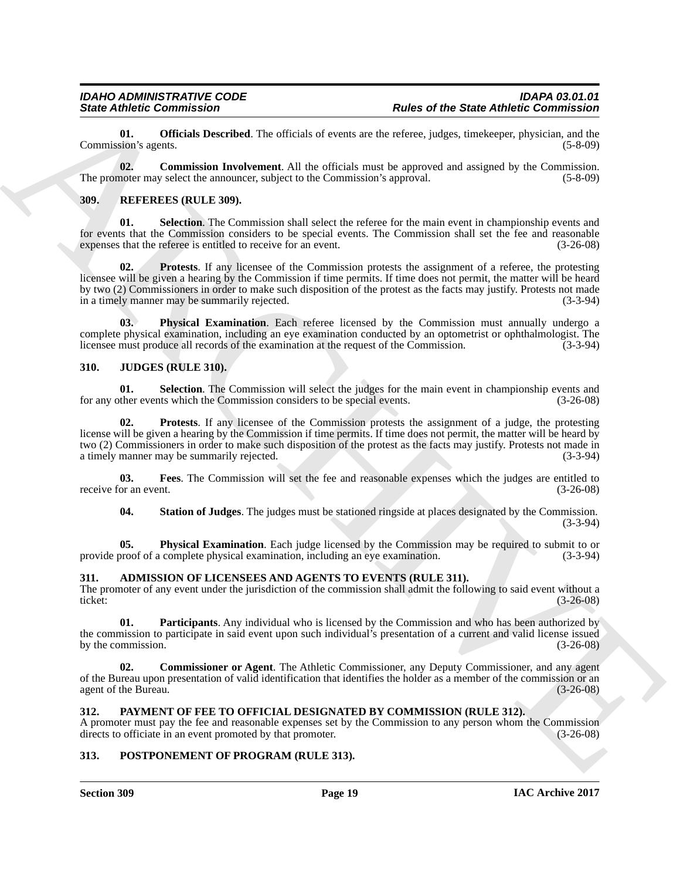<span id="page-18-15"></span>**01. Officials Described**. The officials of events are the referee, judges, timekeeper, physician, and the sion's agents. (5-8-09) Commission's agents.

<span id="page-18-14"></span>**02. Commission Involvement**. All the officials must be approved and assigned by the Commission. The promoter may select the announcer, subject to the Commission's approval. (5-8-09) (5-8-09)

#### <span id="page-18-18"></span><span id="page-18-0"></span>**309. REFEREES (RULE 309).**

<span id="page-18-21"></span><span id="page-18-20"></span>**01. Selection**. The Commission shall select the referee for the main event in championship events and for events that the Commission considers to be special events. The Commission shall set the fee and reasonable expenses that the referee is entitled to receive for an event. (3-26-08) expenses that the referee is entitled to receive for an event.

Since *Office Commission*<br>
Commission Care and the Since *of the Since Abbelic Commission*<br>
Commission Care (Since *Office Commission Care and the Commission Care and the since*  $\alpha$  *Commission Care and the Commission Care* **02. Protests**. If any licensee of the Commission protests the assignment of a referee, the protesting licensee will be given a hearing by the Commission if time permits. If time does not permit, the matter will be heard by two (2) Commissioners in order to make such disposition of the protest as the facts may justify. Protests not made<br>in a timely manner may be summarily rejected. (3-3-94) in a timely manner may be summarily rejected.

<span id="page-18-19"></span>**03. Physical Examination**. Each referee licensed by the Commission must annually undergo a complete physical examination, including an eye examination conducted by an optometrist or ophthalmologist. The licensee must produce all records of the examination at the request of the Commission. (3-3-94)

#### <span id="page-18-8"></span><span id="page-18-1"></span>**310. JUDGES (RULE 310).**

<span id="page-18-12"></span>**01.** Selection. The Commission will select the judges for the main event in championship events and ther events which the Commission considers to be special events. (3-26-08) for any other events which the Commission considers to be special events.

<span id="page-18-11"></span>**02. Protests**. If any licensee of the Commission protests the assignment of a judge, the protesting license will be given a hearing by the Commission if time permits. If time does not permit, the matter will be heard by two (2) Commissioners in order to make such disposition of the protest as the facts may justify. Protests not made in a timely manner may be summarily rejected.

**03.** Fees. The Commission will set the fee and reasonable expenses which the judges are entitled to or an event. (3-26-08) receive for an event.

<span id="page-18-13"></span><span id="page-18-10"></span><span id="page-18-9"></span>**04. Station of Judges**. The judges must be stationed ringside at places designated by the Commission. (3-3-94)

**05. Physical Examination**. Each judge licensed by the Commission may be required to submit to or proof of a complete physical examination, including an eve examination. (3-3-94) provide proof of a complete physical examination, including an eye examination.

#### <span id="page-18-5"></span><span id="page-18-2"></span>**311. ADMISSION OF LICENSEES AND AGENTS TO EVENTS (RULE 311).**

The promoter of any event under the jurisdiction of the commission shall admit the following to said event without a ticket:<br>(3-26-08) ticket: (3-26-08)

<span id="page-18-7"></span>**01. Participants**. Any individual who is licensed by the Commission and who has been authorized by the commission to participate in said event upon such individual's presentation of a current and valid license issued by the commission.  $(3-26-08)$ 

<span id="page-18-6"></span>**02. Commissioner or Agent**. The Athletic Commissioner, any Deputy Commissioner, and any agent of the Bureau upon presentation of valid identification that identifies the holder as a member of the commission or an agent of the Bureau. (3-26-08) agent of the Bureau.

#### <span id="page-18-16"></span><span id="page-18-3"></span>**312. PAYMENT OF FEE TO OFFICIAL DESIGNATED BY COMMISSION (RULE 312).**

A promoter must pay the fee and reasonable expenses set by the Commission to any person whom the Commission directs to officiate in an event promoted by that promoter. (3-26-08) directs to officiate in an event promoted by that promoter.

#### <span id="page-18-17"></span><span id="page-18-4"></span>**313. POSTPONEMENT OF PROGRAM (RULE 313).**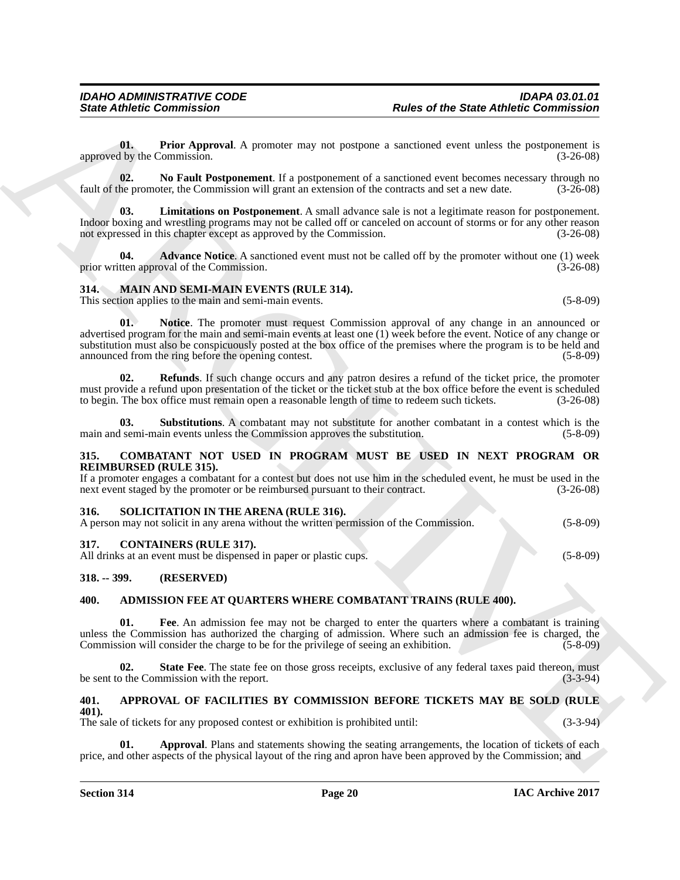<span id="page-19-21"></span>**01. Prior Approval**. A promoter may not postpone a sanctioned event unless the postponement is by the Commission. (3-26-08) approved by the Commission.

<span id="page-19-20"></span>**02.** No Fault Postponement. If a postponement of a sanctioned event becomes necessary through no he promoter, the Commission will grant an extension of the contracts and set a new date.  $(3-26-08)$ fault of the promoter, the Commission will grant an extension of the contracts and set a new date.

<span id="page-19-19"></span>**Limitations on Postponement**. A small advance sale is not a legitimate reason for postponement. Indoor boxing and wrestling programs may not be called off or canceled on account of storms or for any other reason not expressed in this chapter except as approved by the Commission. (3-26-08)

<span id="page-19-18"></span>**04. Advance Notice**. A sanctioned event must not be called off by the promoter without one (1) week tten approval of the Commission. (3-26-08) prior written approval of the Commission.

## <span id="page-19-14"></span><span id="page-19-0"></span>**314. MAIN AND SEMI-MAIN EVENTS (RULE 314).**

<span id="page-19-15"></span>This section applies to the main and semi-main events. (5-8-09)

Since Athletic Commission<br>
U. The rad Approximation Commission<br>
U. The Approximation Commission Commission<br>
The commission Commission Commission Commission Commission Commission Commission Commission<br>
The Commission Commi **01. Notice**. The promoter must request Commission approval of any change in an announced or advertised program for the main and semi-main events at least one (1) week before the event. Notice of any change or substitution must also be conspicuously posted at the box office of the premises where the program is to be held and announced from the ring before the opening contest. (5-8-09)

<span id="page-19-16"></span>**02. Refunds**. If such change occurs and any patron desires a refund of the ticket price, the promoter must provide a refund upon presentation of the ticket or the ticket stub at the box office before the event is scheduled to begin. The box office must remain open a reasonable length of time to redeem such tickets. (3-26-08)

<span id="page-19-17"></span>**03. Substitutions**. A combatant may not substitute for another combatant in a contest which is the main and semi-main events unless the Commission approves the substitution. (5-8-09)

#### <span id="page-19-12"></span><span id="page-19-1"></span>**315. COMBATANT NOT USED IN PROGRAM MUST BE USED IN NEXT PROGRAM OR REIMBURSED (RULE 315).**

If a promoter engages a combatant for a contest but does not use him in the scheduled event, he must be used in the next event staged by the promoter or be reimbursed pursuant to their contract.  $(3-26-08)$ 

#### <span id="page-19-22"></span><span id="page-19-2"></span>**316. SOLICITATION IN THE ARENA (RULE 316).**

| A person may not solicit in any arena without the written permission of the Commission. |  | $(5-8-09)$ |
|-----------------------------------------------------------------------------------------|--|------------|
|                                                                                         |  |            |

#### <span id="page-19-13"></span><span id="page-19-3"></span>**317. CONTAINERS (RULE 317).**

All drinks at an event must be dispensed in paper or plastic cups. (5-8-09)

#### <span id="page-19-4"></span>**318. -- 399. (RESERVED)**

#### <span id="page-19-7"></span><span id="page-19-5"></span>**400. ADMISSION FEE AT QUARTERS WHERE COMBATANT TRAINS (RULE 400).**

<span id="page-19-8"></span>**01. Fee**. An admission fee may not be charged to enter the quarters where a combatant is training unless the Commission has authorized the charging of admission. Where such an admission fee is charged, the Commission will consider the charge to be for the privilege of seeing an exhibition. (5-8-09)

<span id="page-19-9"></span>**02.** State Fee. The state fee on those gross receipts, exclusive of any federal taxes paid thereon, must of the Commission with the report. be sent to the Commission with the report.

#### <span id="page-19-10"></span><span id="page-19-6"></span>**401. APPROVAL OF FACILITIES BY COMMISSION BEFORE TICKETS MAY BE SOLD (RULE 401).**

The sale of tickets for any proposed contest or exhibition is prohibited until: (3-3-94)

<span id="page-19-11"></span>**Approval**. Plans and statements showing the seating arrangements, the location of tickets of each price, and other aspects of the physical layout of the ring and apron have been approved by the Commission; and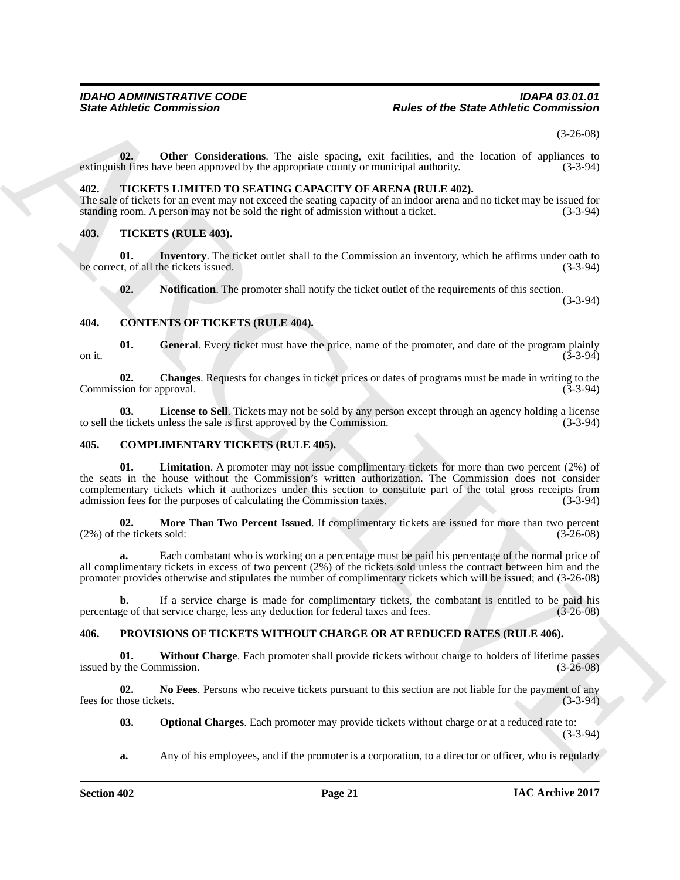(3-26-08)

<span id="page-20-5"></span>**02. Other Considerations**. The aisle spacing, exit facilities, and the location of appliances to extinguish fires have been approved by the appropriate county or municipal authority. (3-3-94)

#### <span id="page-20-19"></span><span id="page-20-0"></span>**402. TICKETS LIMITED TO SEATING CAPACITY OF ARENA (RULE 402).**

The sale of tickets for an event may not exceed the seating capacity of an indoor arena and no ticket may be issued for standing room. A person may not be sold the right of admission without a ticket. standing room. A person may not be sold the right of admission without a ticket.

#### <span id="page-20-20"></span><span id="page-20-1"></span>**403. TICKETS (RULE 403).**

**01.** Inventory. The ticket outlet shall to the Commission an inventory, which he affirms under oath to the Control of all the tickets issued. (3-3-94) be correct, of all the tickets issued.

<span id="page-20-14"></span><span id="page-20-13"></span><span id="page-20-11"></span><span id="page-20-9"></span>**02.** Notification. The promoter shall notify the ticket outlet of the requirements of this section.

(3-3-94)

#### <span id="page-20-2"></span>**404. CONTENTS OF TICKETS (RULE 404).**

**01.** General. Every ticket must have the price, name of the promoter, and date of the program plainly (3-3-94) on it.  $(3-3-94)$ 

<span id="page-20-10"></span>**02.** Changes. Requests for changes in ticket prices or dates of programs must be made in writing to the sion for approval. (3-3-94) Commission for approval.

<span id="page-20-12"></span>**03.** License to Sell. Tickets may not be sold by any person except through an agency holding a license e tickets unless the sale is first approved by the Commission. (3-3-94) to sell the tickets unless the sale is first approved by the Commission.

#### <span id="page-20-7"></span><span id="page-20-6"></span><span id="page-20-3"></span>**405. COMPLIMENTARY TICKETS (RULE 405).**

Since *Abbetic* Commission  $\frac{1}{2}$  Reduce of the State Abbetic Commission<br>
Collection Contribution The network vector of network and rise tensor of the State Abbetic Commission<br>
and La The Collection Theorem is a contri **01.** Limitation. A promoter may not issue complimentary tickets for more than two percent (2%) of the seats in the house without the Commission's written authorization. The Commission does not consider complementary tickets which it authorizes under this section to constitute part of the total gross receipts from admission fees for the purposes of calculating the Commission taxes. (3-3-94)

<span id="page-20-8"></span>**02. More Than Two Percent Issued**. If complimentary tickets are issued for more than two percent he tickets sold: (3-26-08)  $(2%)$  of the tickets sold:

**a.** Each combatant who is working on a percentage must be paid his percentage of the normal price of all complimentary tickets in excess of two percent (2%) of the tickets sold unless the contract between him and the promoter provides otherwise and stipulates the number of complimentary tickets which will be issued; and (3-26-08)

**b.** If a service charge is made for complimentary tickets, the combatant is entitled to be paid his ge of that service charge, less any deduction for federal taxes and fees. (3-26-08) percentage of that service charge, less any deduction for federal taxes and fees.

#### <span id="page-20-15"></span><span id="page-20-4"></span>**406. PROVISIONS OF TICKETS WITHOUT CHARGE OR AT REDUCED RATES (RULE 406).**

<span id="page-20-18"></span>**01. Without Charge**. Each promoter shall provide tickets without charge to holders of lifetime passes issued by the Commission.  $(3-26-08)$ 

**02. No Fees**. Persons who receive tickets pursuant to this section are not liable for the payment of any fees for those tickets. (3-3-94)

<span id="page-20-17"></span><span id="page-20-16"></span>**03. Optional Charges**. Each promoter may provide tickets without charge or at a reduced rate to: (3-3-94)

**a.** Any of his employees, and if the promoter is a corporation, to a director or officer, who is regularly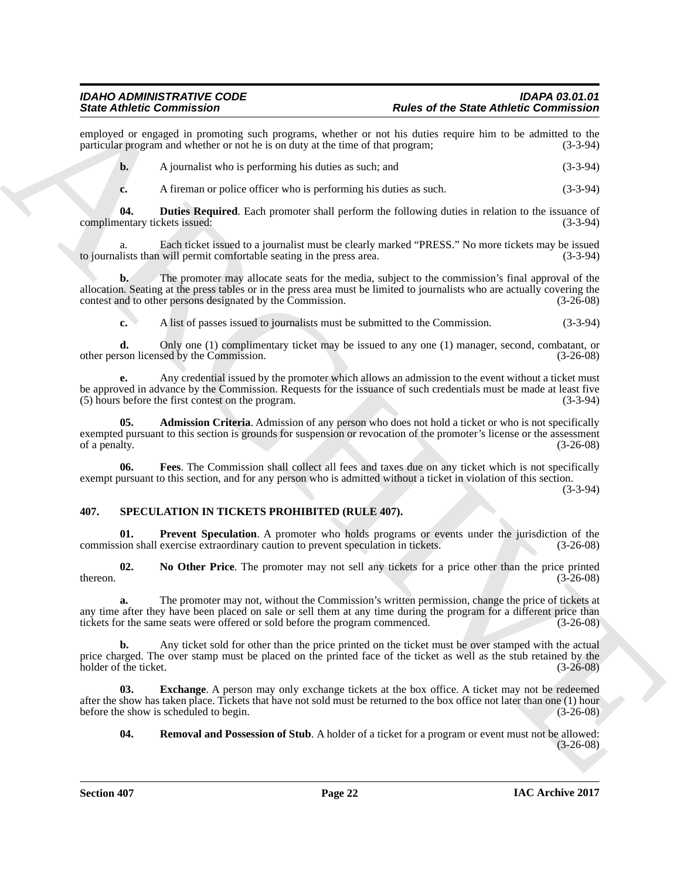employed or engaged in promoting such programs, whether or not his duties require him to be admitted to the particular program and whether or not he is on duty at the time of that program: (3-3-94) particular program and whether or not he is on duty at the time of that program;

**b.** A journalist who is performing his duties as such; and (3-3-94)

<span id="page-21-2"></span>**c.** A fireman or police officer who is performing his duties as such. (3-3-94)

**04. Duties Required**. Each promoter shall perform the following duties in relation to the issuance of entary tickets issued: (3-3-94) complimentary tickets issued:

a. Each ticket issued to a journalist must be clearly marked "PRESS." No more tickets may be issued lists than will permit comfortable seating in the press area. (3-3-94) to journalists than will permit comfortable seating in the press area.

Since distincts Commission Commission and person in the two of the State Abbenic Commission<br>
yardicular proposition in the state of the State Abbenic Commission in the state of the State Abbenic Commission<br>
yardicular pro **b.** The promoter may allocate seats for the media, subject to the commission's final approval of the allocation. Seating at the press tables or in the press area must be limited to journalists who are actually covering the contest and to other persons designated by the Commission. (3-26-08)

**c.** A list of passes issued to journalists must be submitted to the Commission. (3-3-94)

**d.** Only one (1) complimentary ticket may be issued to any one (1) manager, second, combatant, or son licensed by the Commission. (3-26-08) other person licensed by the Commission.

**e.** Any credential issued by the promoter which allows an admission to the event without a ticket must be approved in advance by the Commission. Requests for the issuance of such credentials must be made at least five (5) hours before the first contest on the program. (3-3-94)

<span id="page-21-1"></span>**05. Admission Criteria**. Admission of any person who does not hold a ticket or who is not specifically exempted pursuant to this section is grounds for suspension or revocation of the promoter's license or the assessment of a penalty. (3-26-08) of a penalty.  $(3-26-08)$ 

<span id="page-21-3"></span>**06. Fees**. The Commission shall collect all fees and taxes due on any ticket which is not specifically exempt pursuant to this section, and for any person who is admitted without a ticket in violation of this section.

(3-3-94)

#### <span id="page-21-4"></span><span id="page-21-0"></span>**407. SPECULATION IN TICKETS PROHIBITED (RULE 407).**

<span id="page-21-7"></span>**01. Prevent Speculation**. A promoter who holds programs or events under the jurisdiction of the ion shall exercise extraordinary caution to prevent speculation in tickets. (3-26-08) commission shall exercise extraordinary caution to prevent speculation in tickets.

<span id="page-21-6"></span>**02.** No Other Price. The promoter may not sell any tickets for a price other than the price printed (3-26-08)  $t = (3-26-08)$ 

**a.** The promoter may not, without the Commission's written permission, change the price of tickets at any time after they have been placed on sale or sell them at any time during the program for a different price than tickets for the same seats were offered or sold before the program commenced.  $(3-26-08)$ tickets for the same seats were offered or sold before the program commenced.

**b.** Any ticket sold for other than the price printed on the ticket must be over stamped with the actual price charged. The over stamp must be placed on the printed face of the ticket as well as the stub retained by the holder of the ticket. (3-26-08) holder of the ticket.

**03.** Exchange. A person may only exchange tickets at the box office. A ticket may not be redeemed after the show has taken place. Tickets that have not sold must be returned to the box office not later than one (1) hour before the show is scheduled to begin. (3-26-08)

<span id="page-21-8"></span><span id="page-21-5"></span>**04. Removal and Possession of Stub**. A holder of a ticket for a program or event must not be allowed: (3-26-08)

**Section 407 Page 22**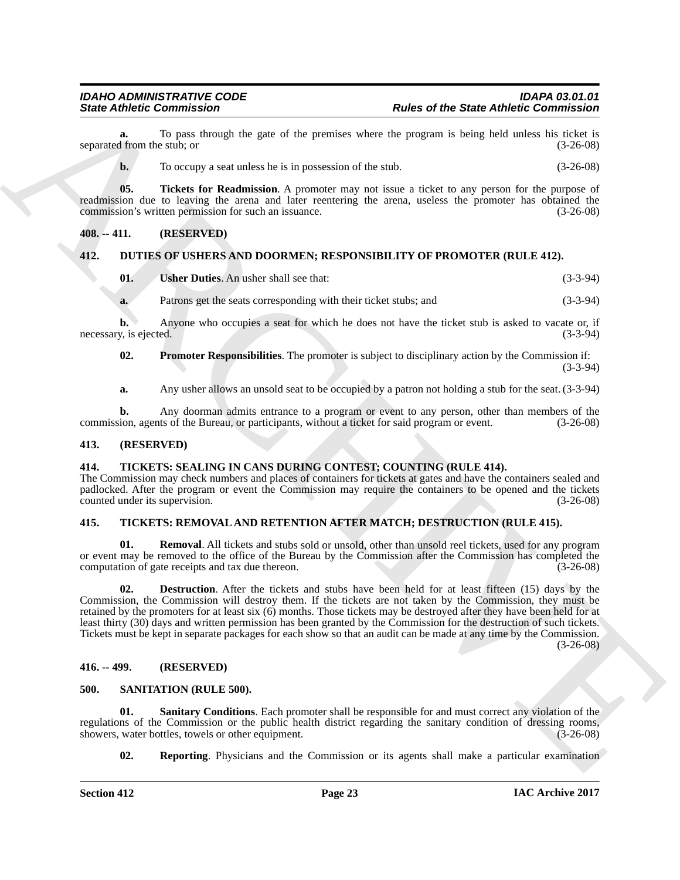**a.** To pass through the gate of the premises where the program is being held unless his ticket is 1 from the stub: or (3-26-08) separated from the stub; or

<span id="page-22-14"></span>**b.** To occupy a seat unless he is in possession of the stub.  $(3-26-08)$ 

**05. Tickets for Readmission**. A promoter may not issue a ticket to any person for the purpose of readmission due to leaving the arena and later reentering the arena, useless the promoter has obtained the commission's written permission for such an issuance. (3-26-08)

#### <span id="page-22-0"></span>**408. -- 411. (RESERVED)**

#### <span id="page-22-1"></span>**412. DUTIES OF USHERS AND DOORMEN; RESPONSIBILITY OF PROMOTER (RULE 412).**

<span id="page-22-10"></span><span id="page-22-8"></span>

|    | <b>Usher Duties.</b> An usher shall see that:                    | $(3-3-94)$ |
|----|------------------------------------------------------------------|------------|
| a. | Patrons get the seats corresponding with their ticket stubs; and | $(3-3-94)$ |

**b.** Anyone who occupies a seat for which he does not have the ticket stub is asked to vacate or, if necessary, is ejected. (3-3-94)

<span id="page-22-9"></span>**02. Promoter Responsibilities**. The promoter is subject to disciplinary action by the Commission if: (3-3-94)

**a.** Any usher allows an unsold seat to be occupied by a patron not holding a stub for the seat. (3-3-94)

**b.** Any doorman admits entrance to a program or event to any person, other than members of the ion, agents of the Bureau, or participants, without a ticket for said program or event.  $(3-26-08)$ commission, agents of the Bureau, or participants, without a ticket for said program or event.

#### <span id="page-22-2"></span>**413. (RESERVED)**

#### <span id="page-22-7"></span><span id="page-22-3"></span>**414. TICKETS: SEALING IN CANS DURING CONTEST; COUNTING (RULE 414).**

The Commission may check numbers and places of containers for tickets at gates and have the containers sealed and padlocked. After the program or event the Commission may require the containers to be opened and the tickets counted under its supervision. (3-26-08)

#### <span id="page-22-4"></span>**415. TICKETS: REMOVAL AND RETENTION AFTER MATCH; DESTRUCTION (RULE 415).**

<span id="page-22-16"></span><span id="page-22-15"></span>**01. Removal**. All tickets and stubs sold or unsold, other than unsold reel tickets, used for any program or event may be removed to the office of the Bureau by the Commission after the Commission has completed the computation of gate receipts and tax due thereon. (3-26-08) computation of gate receipts and tax due thereon.

Since Zabiene Commission Control to the present of the State Abbene Commission<br>
spyrande, the Toyota Marchives the presence whose the presence of the State Abbene Commission in the present<br>
of the Toyotay are an interesti **02. Destruction**. After the tickets and stubs have been held for at least fifteen (15) days by the Commission, the Commission will destroy them. If the tickets are not taken by the Commission, they must be retained by the promoters for at least six (6) months. Those tickets may be destroyed after they have been held for at least thirty (30) days and written permission has been granted by the Commission for the destruction of such tickets. Tickets must be kept in separate packages for each show so that an audit can be made at any time by the Commission.  $(3-26-08)$ 

#### <span id="page-22-5"></span>**416. -- 499. (RESERVED)**

#### <span id="page-22-11"></span><span id="page-22-6"></span>**500. SANITATION (RULE 500).**

**01. Sanitary Conditions**. Each promoter shall be responsible for and must correct any violation of the regulations of the Commission or the public health district regarding the sanitary condition of dressing rooms, showers, water bottles, towels or other equipment. (3-26-08) showers, water bottles, towels or other equipment.

<span id="page-22-13"></span><span id="page-22-12"></span>**02. Reporting**. Physicians and the Commission or its agents shall make a particular examination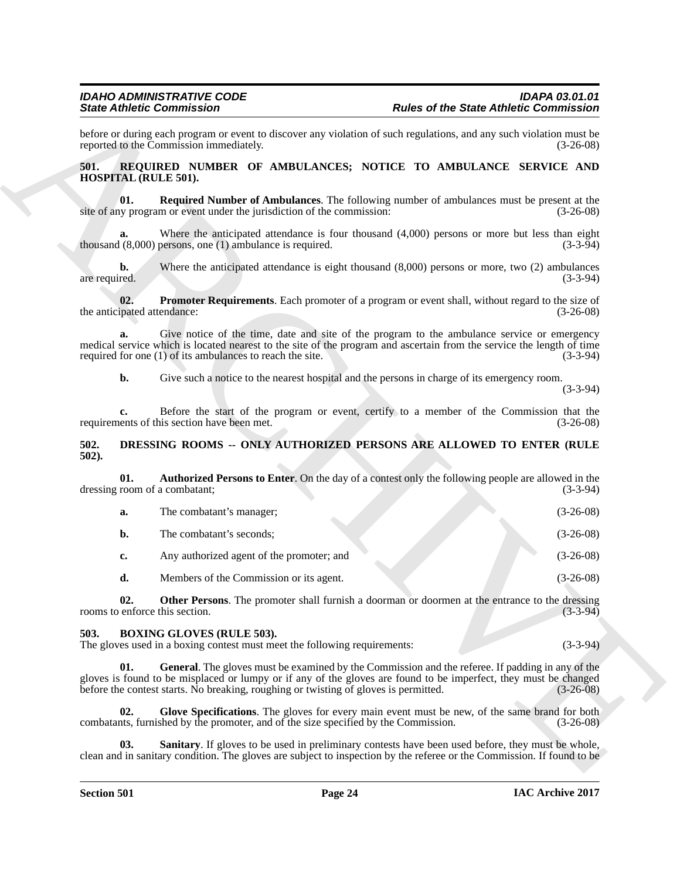#### <span id="page-23-11"></span><span id="page-23-10"></span><span id="page-23-9"></span><span id="page-23-0"></span>**501. REQUIRED NUMBER OF AMBULANCES; NOTICE TO AMBULANCE SERVICE AND HOSPITAL (RULE 501).**

#### <span id="page-23-7"></span><span id="page-23-1"></span>**502. DRESSING ROOMS -- ONLY AUTHORIZED PERSONS ARE ALLOWED TO ENTER (RULE 502).**

|                                    | <b>State Athletic Commission</b>                                                                              | <b>Rules of the State Athletic Commission</b>                                                                                                                                                                        |                                          |
|------------------------------------|---------------------------------------------------------------------------------------------------------------|----------------------------------------------------------------------------------------------------------------------------------------------------------------------------------------------------------------------|------------------------------------------|
|                                    | reported to the Commission immediately.                                                                       | before or during each program or event to discover any violation of such regulations, and any such violation must be                                                                                                 | $(3-26-08)$                              |
| 501.<br>HOSPITAL (RULE 501).       |                                                                                                               | REQUIRED NUMBER OF AMBULANCES; NOTICE TO AMBULANCE SERVICE AND                                                                                                                                                       |                                          |
| 01.                                | site of any program or event under the jurisdiction of the commission:                                        | <b>Required Number of Ambulances</b> . The following number of ambulances must be present at the                                                                                                                     | $(3-26-08)$                              |
| a.                                 | thousand $(8,000)$ persons, one $(1)$ ambulance is required.                                                  | Where the anticipated attendance is four thousand $(4,000)$ persons or more but less than eight                                                                                                                      | $(3-3-94)$                               |
| b.<br>are required.                |                                                                                                               | Where the anticipated attendance is eight thousand $(8,000)$ persons or more, two $(2)$ ambulances                                                                                                                   | $(3-3-94)$                               |
| 02.<br>the anticipated attendance: |                                                                                                               | Promoter Requirements. Each promoter of a program or event shall, without regard to the size of                                                                                                                      | $(3-26-08)$                              |
| a.                                 | required for one $(1)$ of its ambulances to reach the site.                                                   | Give notice of the time, date and site of the program to the ambulance service or emergency<br>medical service which is located nearest to the site of the program and ascertain from the service the length of time | $(3-3-94)$                               |
| b.                                 |                                                                                                               | Give such a notice to the nearest hospital and the persons in charge of its emergency room.                                                                                                                          | $(3-3-94)$                               |
| c.                                 | requirements of this section have been met.                                                                   | Before the start of the program or event, certify to a member of the Commission that the                                                                                                                             | $(3-26-08)$                              |
| 502.<br>$502$ ).                   |                                                                                                               | DRESSING ROOMS -- ONLY AUTHORIZED PERSONS ARE ALLOWED TO ENTER (RULE                                                                                                                                                 |                                          |
| 01.                                | dressing room of a combatant;                                                                                 | <b>Authorized Persons to Enter.</b> On the day of a contest only the following people are allowed in the                                                                                                             | $(3-3-94)$                               |
| a.                                 | The combatant's manager;                                                                                      |                                                                                                                                                                                                                      | $(3-26-08)$                              |
| b.                                 | The combatant's seconds;                                                                                      |                                                                                                                                                                                                                      | $(3-26-08)$                              |
|                                    |                                                                                                               |                                                                                                                                                                                                                      |                                          |
| c.                                 | Any authorized agent of the promoter; and                                                                     |                                                                                                                                                                                                                      |                                          |
| d.                                 | Members of the Commission or its agent.                                                                       |                                                                                                                                                                                                                      |                                          |
| 02.                                | rooms to enforce this section.                                                                                | Other Persons. The promoter shall furnish a doorman or doormen at the entrance to the dressing                                                                                                                       | $(3-26-08)$<br>$(3-26-08)$<br>$(3-3-94)$ |
| 503.                               | <b>BOXING GLOVES (RULE 503).</b><br>The gloves used in a boxing contest must meet the following requirements: |                                                                                                                                                                                                                      |                                          |
| 01.                                | before the contest starts. No breaking, roughing or twisting of gloves is permitted.                          | General. The gloves must be examined by the Commission and the referee. If padding in any of the<br>gloves is found to be misplaced or lumpy or if any of the gloves are found to be imperfect, they must be changed |                                          |
| 02.                                | combatants, furnished by the promoter, and of the size specified by the Commission.                           | Glove Specifications. The gloves for every main event must be new, of the same brand for both                                                                                                                        | $(3-3-94)$<br>$(3-26-08)$<br>$(3-26-08)$ |

#### <span id="page-23-8"></span><span id="page-23-6"></span><span id="page-23-5"></span><span id="page-23-4"></span><span id="page-23-3"></span><span id="page-23-2"></span>**503. BOXING GLOVES (RULE 503).**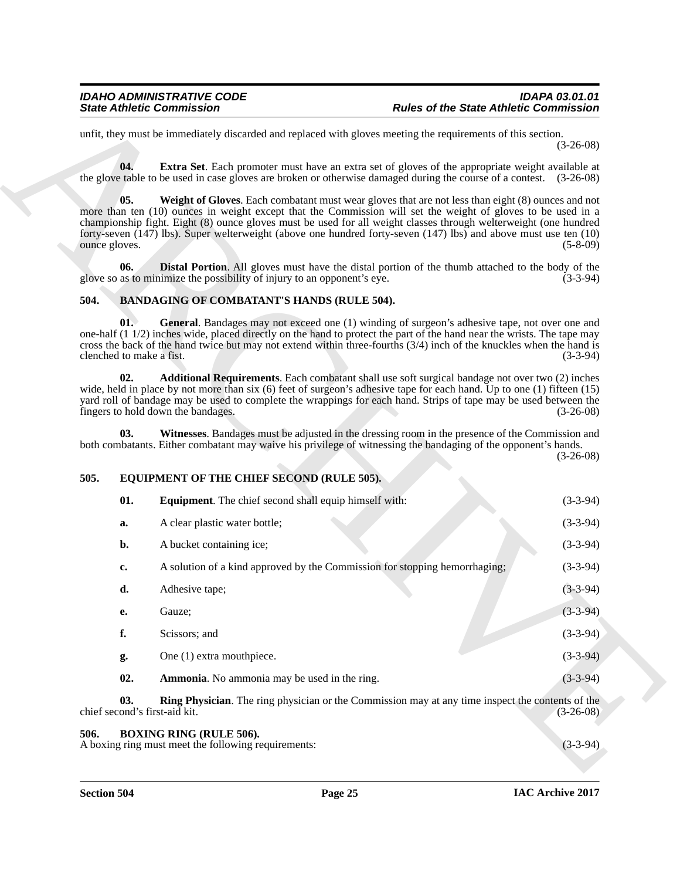#### <span id="page-24-9"></span><span id="page-24-8"></span><span id="page-24-7"></span><span id="page-24-5"></span><span id="page-24-4"></span><span id="page-24-3"></span><span id="page-24-0"></span>**504. BANDAGING OF COMBATANT'S HANDS (RULE 504).**

#### <span id="page-24-13"></span><span id="page-24-11"></span><span id="page-24-6"></span><span id="page-24-1"></span>**505. EQUIPMENT OF THE CHIEF SECOND (RULE 505).**

|                                      | <b>State Athletic Commission</b>                                                                                                                                                                                                                                                                                                                                                                                                                                | <b>Rules of the State Athletic Commission</b> |
|--------------------------------------|-----------------------------------------------------------------------------------------------------------------------------------------------------------------------------------------------------------------------------------------------------------------------------------------------------------------------------------------------------------------------------------------------------------------------------------------------------------------|-----------------------------------------------|
|                                      | unfit, they must be immediately discarded and replaced with gloves meeting the requirements of this section.                                                                                                                                                                                                                                                                                                                                                    | $(3-26-08)$                                   |
| 04.                                  | <b>Extra Set</b> . Each promoter must have an extra set of gloves of the appropriate weight available at<br>the glove table to be used in case gloves are broken or otherwise damaged during the course of a contest. (3-26-08)                                                                                                                                                                                                                                 |                                               |
| 05.<br>ounce gloves.                 | Weight of Gloves. Each combatant must wear gloves that are not less than eight (8) ounces and not<br>more than ten (10) ounces in weight except that the Commission will set the weight of gloves to be used in a<br>championship fight. Eight (8) ounce gloves must be used for all weight classes through welterweight (one hundred<br>forty-seven $(147)$ lbs). Super welterweight (above one hundred forty-seven $(147)$ lbs) and above must use ten $(10)$ | $(5-8-09)$                                    |
| 06.                                  | <b>Distal Portion.</b> All gloves must have the distal portion of the thumb attached to the body of the<br>glove so as to minimize the possibility of injury to an opponent's eye.                                                                                                                                                                                                                                                                              | $(3-3-94)$                                    |
| 504.                                 | <b>BANDAGING OF COMBATANT'S HANDS (RULE 504).</b>                                                                                                                                                                                                                                                                                                                                                                                                               |                                               |
| 01.<br>clenched to make a fist.      | General. Bandages may not exceed one (1) winding of surgeon's adhesive tape, not over one and<br>one-half (1 1/2) inches wide, placed directly on the hand to protect the part of the hand near the wrists. The tape may<br>cross the back of the hand twice but may not extend within three-fourths (3/4) inch of the knuckles when the hand is                                                                                                                | $(3-3-94)$                                    |
| 02.                                  | Additional Requirements. Each combatant shall use soft surgical bandage not over two (2) inches<br>wide, held in place by not more than six $(6)$ feet of surgeon's adhesive tape for each hand. Up to one $(1)$ fifteen $(15)$<br>yard roll of bandage may be used to complete the wrappings for each hand. Strips of tape may be used between the<br>fingers to hold down the bandages.                                                                       | $(3-26-08)$                                   |
| 03.                                  | Witnesses. Bandages must be adjusted in the dressing room in the presence of the Commission and                                                                                                                                                                                                                                                                                                                                                                 |                                               |
|                                      | both combatants. Either combatant may waive his privilege of witnessing the bandaging of the opponent's hands.                                                                                                                                                                                                                                                                                                                                                  |                                               |
| 505.                                 | EQUIPMENT OF THE CHIEF SECOND (RULE 505).                                                                                                                                                                                                                                                                                                                                                                                                                       |                                               |
| 01.                                  | <b>Equipment</b> . The chief second shall equip himself with:                                                                                                                                                                                                                                                                                                                                                                                                   |                                               |
| a.                                   | A clear plastic water bottle;                                                                                                                                                                                                                                                                                                                                                                                                                                   | $(3-26-08)$<br>$(3-3-94)$<br>$(3-3-94)$       |
| b.                                   | A bucket containing ice;                                                                                                                                                                                                                                                                                                                                                                                                                                        | $(3-3-94)$                                    |
| c.                                   | A solution of a kind approved by the Commission for stopping hemorrhaging;                                                                                                                                                                                                                                                                                                                                                                                      | $(3-3-94)$                                    |
| d.                                   | Adhesive tape;                                                                                                                                                                                                                                                                                                                                                                                                                                                  | $(3-3-94)$                                    |
| е.                                   | Gauze;                                                                                                                                                                                                                                                                                                                                                                                                                                                          | $(3-3-94)$                                    |
| f.                                   | Scissors; and                                                                                                                                                                                                                                                                                                                                                                                                                                                   |                                               |
| g.                                   | One (1) extra mouthpiece.                                                                                                                                                                                                                                                                                                                                                                                                                                       | $(3-3-94)$<br>$(3-3-94)$                      |
| 02.                                  | Ammonia. No ammonia may be used in the ring.                                                                                                                                                                                                                                                                                                                                                                                                                    |                                               |
| 03.<br>chief second's first-aid kit. | Ring Physician. The ring physician or the Commission may at any time inspect the contents of the                                                                                                                                                                                                                                                                                                                                                                | $(3-3-94)$<br>$(3-26-08)$                     |

#### <span id="page-24-14"></span><span id="page-24-12"></span><span id="page-24-10"></span><span id="page-24-2"></span>**506. BOXING RING (RULE 506).**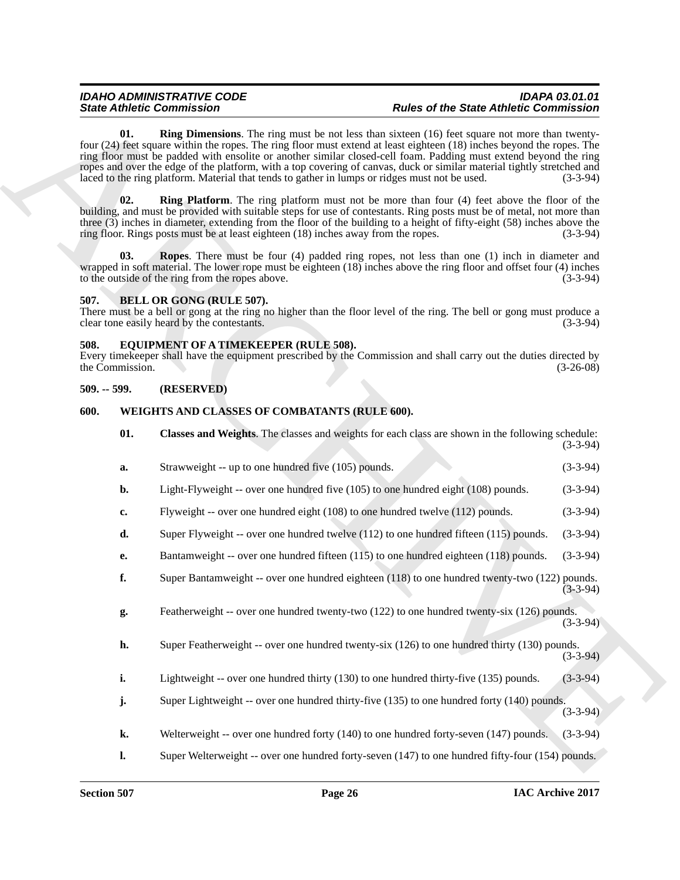#### <span id="page-25-7"></span><span id="page-25-6"></span><span id="page-25-4"></span><span id="page-25-0"></span>**507. BELL OR GONG (RULE 507).**

#### <span id="page-25-8"></span><span id="page-25-1"></span>**508. EQUIPMENT OF A TIMEKEEPER (RULE 508).**

#### <span id="page-25-2"></span>**509. -- 599. (RESERVED)**

### <span id="page-25-10"></span><span id="page-25-9"></span><span id="page-25-3"></span>**600. WEIGHTS AND CLASSES OF COMBATANTS (RULE 600).**

<span id="page-25-5"></span>

| <b>State Athletic Commission</b>                      |                 |                                                                                                                                                                                                                                                                                                                                                                                                                                                                                                                                                                                 | <b>Rules of the State Athletic Commission</b> |             |
|-------------------------------------------------------|-----------------|---------------------------------------------------------------------------------------------------------------------------------------------------------------------------------------------------------------------------------------------------------------------------------------------------------------------------------------------------------------------------------------------------------------------------------------------------------------------------------------------------------------------------------------------------------------------------------|-----------------------------------------------|-------------|
|                                                       | 01.             | <b>Ring Dimensions.</b> The ring must be not less than sixteen (16) feet square not more than twenty-<br>four (24) feet square within the ropes. The ring floor must extend at least eighteen (18) inches beyond the ropes. The<br>ring floor must be padded with ensolite or another similar closed-cell foam. Padding must extend beyond the ring<br>ropes and over the edge of the platform, with a top covering of canvas, duck or similar material tightly stretched and<br>laced to the ring platform. Material that tends to gather in lumps or ridges must not be used. |                                               | $(3-3-94)$  |
|                                                       | 02.             | <b>Ring Platform</b> . The ring platform must not be more than four (4) feet above the floor of the<br>building, and must be provided with suitable steps for use of contestants. Ring posts must be of metal, not more than<br>three (3) inches in diameter, extending from the floor of the building to a height of fifty-eight (58) inches above the<br>ring floor. Rings posts must be at least eighteen (18) inches away from the ropes.                                                                                                                                   |                                               | $(3-3-94)$  |
|                                                       | 03.             | <b>Ropes.</b> There must be four (4) padded ring ropes, not less than one (1) inch in diameter and<br>wrapped in soft material. The lower rope must be eighteen $(18)$ inches above the ring floor and offset four $(4)$ inches<br>to the outside of the ring from the ropes above.                                                                                                                                                                                                                                                                                             |                                               | $(3-3-94)$  |
| 507.                                                  |                 | BELL OR GONG (RULE 507).<br>There must be a bell or gong at the ring no higher than the floor level of the ring. The bell or gong must produce a<br>clear tone easily heard by the contestants.                                                                                                                                                                                                                                                                                                                                                                                 |                                               | $(3-3-94)$  |
| 508.                                                  | the Commission. | EQUIPMENT OF A TIMEKEEPER (RULE 508).<br>Every timekeeper shall have the equipment prescribed by the Commission and shall carry out the duties directed by                                                                                                                                                                                                                                                                                                                                                                                                                      |                                               | $(3-26-08)$ |
| $509. - 599.$                                         |                 | (RESERVED)                                                                                                                                                                                                                                                                                                                                                                                                                                                                                                                                                                      |                                               |             |
| 600.<br>WEIGHTS AND CLASSES OF COMBATANTS (RULE 600). |                 |                                                                                                                                                                                                                                                                                                                                                                                                                                                                                                                                                                                 |                                               |             |
|                                                       | 01.             | Classes and Weights. The classes and weights for each class are shown in the following schedule:                                                                                                                                                                                                                                                                                                                                                                                                                                                                                |                                               | $(3-3-94)$  |
|                                                       | a.              | Strawweight -- up to one hundred five (105) pounds.                                                                                                                                                                                                                                                                                                                                                                                                                                                                                                                             |                                               | $(3-3-94)$  |
|                                                       | b.              | Light-Flyweight -- over one hundred five (105) to one hundred eight (108) pounds.                                                                                                                                                                                                                                                                                                                                                                                                                                                                                               |                                               | $(3-3-94)$  |
|                                                       | c.              | Flyweight -- over one hundred eight (108) to one hundred twelve (112) pounds.                                                                                                                                                                                                                                                                                                                                                                                                                                                                                                   |                                               | $(3-3-94)$  |
|                                                       | d.              | Super Flyweight -- over one hundred twelve $(112)$ to one hundred fifteen $(115)$ pounds.                                                                                                                                                                                                                                                                                                                                                                                                                                                                                       |                                               | $(3-3-94)$  |
|                                                       | <b>e.</b>       | Bantamweight -- over one hundred fifteen (115) to one hundred eighteen (118) pounds.                                                                                                                                                                                                                                                                                                                                                                                                                                                                                            |                                               | $(3-3-94)$  |
|                                                       | f.              | Super Bantamweight -- over one hundred eighteen (118) to one hundred twenty-two (122) pounds.                                                                                                                                                                                                                                                                                                                                                                                                                                                                                   |                                               | $(3-3-94)$  |
|                                                       | g.              | Featherweight -- over one hundred twenty-two (122) to one hundred twenty-six (126) pounds.                                                                                                                                                                                                                                                                                                                                                                                                                                                                                      |                                               | $(3-3-94)$  |
|                                                       | h.              | Super Featherweight -- over one hundred twenty-six (126) to one hundred thirty (130) pounds.                                                                                                                                                                                                                                                                                                                                                                                                                                                                                    |                                               | $(3-3-94)$  |
|                                                       | i.              | Lightweight -- over one hundred thirty (130) to one hundred thirty-five (135) pounds.                                                                                                                                                                                                                                                                                                                                                                                                                                                                                           |                                               | $(3-3-94)$  |
|                                                       | j.              | Super Lightweight -- over one hundred thirty-five (135) to one hundred forty (140) pounds.                                                                                                                                                                                                                                                                                                                                                                                                                                                                                      |                                               | $(3-3-94)$  |
|                                                       | k.              | Welterweight -- over one hundred forty $(140)$ to one hundred forty-seven $(147)$ pounds.                                                                                                                                                                                                                                                                                                                                                                                                                                                                                       |                                               | $(3-3-94)$  |
|                                                       | $\mathbf{l}$ .  | Super Welterweight -- over one hundred forty-seven (147) to one hundred fifty-four (154) pounds.                                                                                                                                                                                                                                                                                                                                                                                                                                                                                |                                               |             |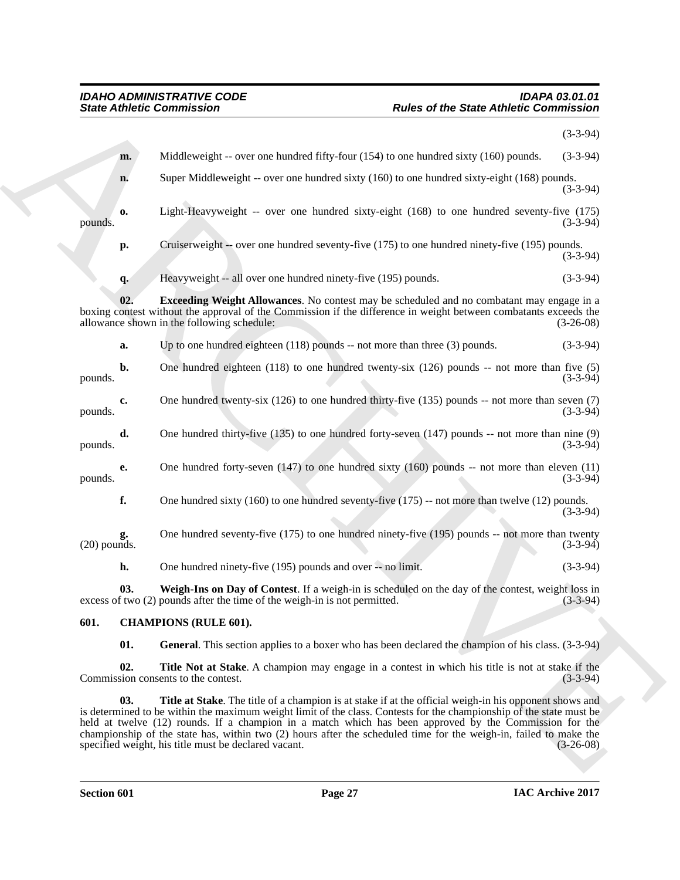<span id="page-26-5"></span>

|                      | <b>State Athletic Commission</b>                                                                                                                                                                                                                                                                                                         | <b>Rules of the State Athletic Commission</b>                                                                     |
|----------------------|------------------------------------------------------------------------------------------------------------------------------------------------------------------------------------------------------------------------------------------------------------------------------------------------------------------------------------------|-------------------------------------------------------------------------------------------------------------------|
|                      |                                                                                                                                                                                                                                                                                                                                          | $(3-3-94)$                                                                                                        |
| m.                   | Middleweight -- over one hundred fifty-four $(154)$ to one hundred sixty $(160)$ pounds.                                                                                                                                                                                                                                                 | $(3-3-94)$                                                                                                        |
| n.                   | Super Middleweight -- over one hundred sixty (160) to one hundred sixty-eight (168) pounds.                                                                                                                                                                                                                                              | $(3-3-94)$                                                                                                        |
| 0.<br>pounds.        | Light-Heavyweight -- over one hundred sixty-eight (168) to one hundred seventy-five (175)                                                                                                                                                                                                                                                | $(3-3-94)$                                                                                                        |
| p.                   | Cruiserweight -- over one hundred seventy-five (175) to one hundred ninety-five (195) pounds.                                                                                                                                                                                                                                            | $(3-3-94)$                                                                                                        |
| q.                   | Heavyweight -- all over one hundred ninety-five (195) pounds.                                                                                                                                                                                                                                                                            | $(3-3-94)$                                                                                                        |
| 02.                  | <b>Exceeding Weight Allowances</b> . No contest may be scheduled and no combatant may engage in a<br>boxing contest without the approval of the Commission if the difference in weight between combatants exceeds the<br>allowance shown in the following schedule:                                                                      | $(3-26-08)$                                                                                                       |
| a.                   | Up to one hundred eighteen $(118)$ pounds -- not more than three $(3)$ pounds.                                                                                                                                                                                                                                                           | $(3-3-94)$                                                                                                        |
| b.<br>pounds.        | One hundred eighteen $(118)$ to one hundred twenty-six $(126)$ pounds -- not more than five $(5)$                                                                                                                                                                                                                                        | $(3-3-94)$                                                                                                        |
| c.<br>pounds.        | One hundred twenty-six $(126)$ to one hundred thirty-five $(135)$ pounds -- not more than seven $(7)$                                                                                                                                                                                                                                    | $(3-3-94)$                                                                                                        |
| d.<br>pounds.        | One hundred thirty-five $(135)$ to one hundred forty-seven $(147)$ pounds -- not more than nine $(9)$                                                                                                                                                                                                                                    | $(3-3-94)$                                                                                                        |
| e.<br>pounds.        | One hundred forty-seven $(147)$ to one hundred sixty $(160)$ pounds -- not more than eleven $(11)$                                                                                                                                                                                                                                       | $(3-3-94)$                                                                                                        |
| f.                   | One hundred sixty $(160)$ to one hundred seventy-five $(175)$ -- not more than twelve $(12)$ pounds.                                                                                                                                                                                                                                     | $(3-3-94)$                                                                                                        |
| g.<br>$(20)$ pounds. | One hundred seventy-five (175) to one hundred ninety-five (195) pounds -- not more than twenty                                                                                                                                                                                                                                           | $(3-3-94)$                                                                                                        |
| h.                   | One hundred ninety-five (195) pounds and over -- no limit.                                                                                                                                                                                                                                                                               | $(3-3-94)$                                                                                                        |
| 03.                  | Weigh-Ins on Day of Contest. If a weigh-in is scheduled on the day of the contest, weight loss in<br>excess of two (2) pounds after the time of the weigh-in is not permitted.                                                                                                                                                           | $(3-3-94)$                                                                                                        |
| 601.                 | <b>CHAMPIONS (RULE 601).</b>                                                                                                                                                                                                                                                                                                             |                                                                                                                   |
| 01.                  | General. This section applies to a boxer who has been declared the champion of his class. (3-3-94)                                                                                                                                                                                                                                       |                                                                                                                   |
| 02.                  | Title Not at Stake. A champion may engage in a contest in which his title is not at stake if the<br>Commission consents to the contest.                                                                                                                                                                                                  | $(3-3-94)$                                                                                                        |
| 03.                  | Title at Stake. The title of a champion is at stake if at the official weigh-in his opponent shows and<br>is determined to be within the maximum weight limit of the class. Contests for the championship of the state must be<br>held at twelve (12) rounds. If a champion in a match which has been approved by the Commission for the | championship of the state has, within two (2) hours after the scheduled time for the weigh-in, failed to make the |

#### <span id="page-26-6"></span><span id="page-26-4"></span><span id="page-26-3"></span><span id="page-26-2"></span><span id="page-26-1"></span><span id="page-26-0"></span>**601. CHAMPIONS (RULE 601).**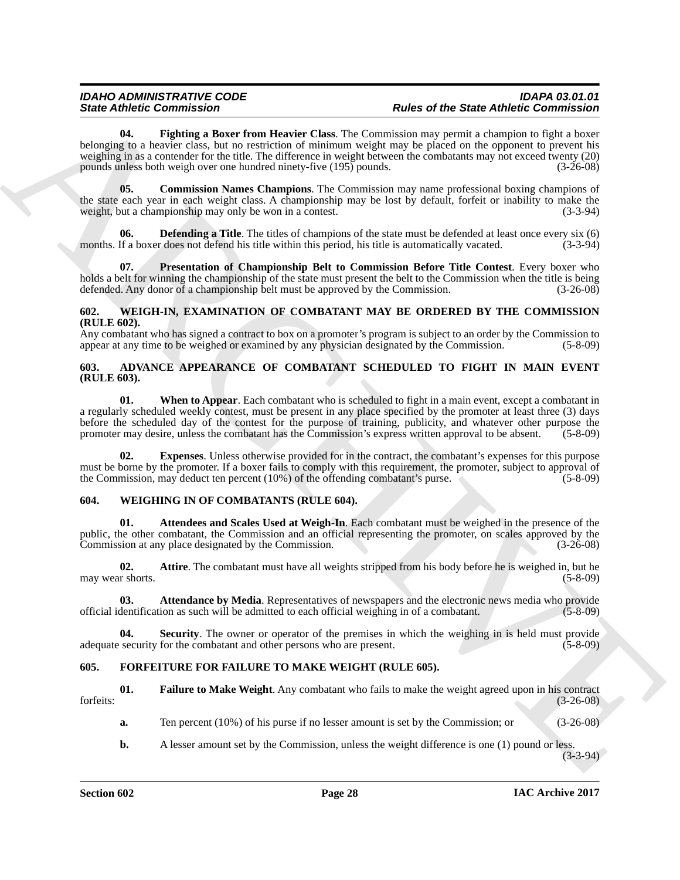Since *Address* Commissions and Learn from the properties of the Since of the Since *Commission* and the since the Since *Commission* and the since the since the since the since the since  $\theta$  and  $\theta$  and  $\theta$  and  $\theta$  a **04. Fighting a Boxer from Heavier Class**. The Commission may permit a champion to fight a boxer belonging to a heavier class, but no restriction of minimum weight may be placed on the opponent to prevent his weighing in as a contender for the title. The difference in weight between the combatants may not exceed twenty (20) pounds unless both weigh over one hundred ninety-five (195) pounds. (3-26-08)

<span id="page-27-9"></span><span id="page-27-7"></span>**05. Commission Names Champions**. The Commission may name professional boxing champions of the state each year in each weight class. A championship may be lost by default, forfeit or inability to make the weight, but a championship may only be won in a contest. weight, but a championship may only be won in a contest.

<span id="page-27-8"></span>**Defending a Title**. The titles of champions of the state must be defended at least once every six (6) months. If a boxer does not defend his title within this period, his title is automatically vacated. (3-3-94)

<span id="page-27-10"></span>**07. Presentation of Championship Belt to Commission Before Title Contest**. Every boxer who holds a belt for winning the championship of the state must present the belt to the Commission when the title is being defended. Any donor of a championship belt must be approved by the Commission. (3-26-08)

#### <span id="page-27-13"></span><span id="page-27-0"></span>**602. WEIGH-IN, EXAMINATION OF COMBATANT MAY BE ORDERED BY THE COMMISSION (RULE 602).**

Any combatant who has signed a contract to box on a promoter's program is subject to an order by the Commission to appear at any time to be weighed or examined by any physician designated by the Commission. (5-8-09)

#### <span id="page-27-6"></span><span id="page-27-1"></span>**603. ADVANCE APPEARANCE OF COMBATANT SCHEDULED TO FIGHT IN MAIN EVENT (RULE 603).**

<span id="page-27-5"></span>**01. When to Appear**. Each combatant who is scheduled to fight in a main event, except a combatant in a regularly scheduled weekly contest, must be present in any place specified by the promoter at least three (3) days before the scheduled day of the contest for the purpose of training, publicity, and whatever other purpose the promoter may desire, unless the combatant has the Commission's express written approval to be absent. (5-8-09) promoter may desire, unless the combatant has the Commission's express written approval to be absent.

<span id="page-27-4"></span>**02. Expenses**. Unless otherwise provided for in the contract, the combatant's expenses for this purpose must be borne by the promoter. If a boxer fails to comply with this requirement, the promoter, subject to approval of the Commission, may deduct ten percent  $(10\%)$  of the offending combatant's purse. (5-8-09)

### <span id="page-27-14"></span><span id="page-27-2"></span>**604. WEIGHING IN OF COMBATANTS (RULE 604).**

<span id="page-27-16"></span>**01. Attendees and Scales Used at Weigh-In**. Each combatant must be weighed in the presence of the public, the other combatant, the Commission and an official representing the promoter, on scales approved by the Commission at any place designated by the Commission. (3-26-08)

<span id="page-27-17"></span>**02. Attire**. The combatant must have all weights stripped from his body before he is weighed in, but he r shorts. (5-8-09) may wear shorts.

<span id="page-27-15"></span>**03. Attendance by Media**. Representatives of newspapers and the electronic news media who provide dentification as such will be admitted to each official weighing in of a combatant. (5-8-09) official identification as such will be admitted to each official weighing in of a combatant.

<span id="page-27-18"></span>**04.** Security. The owner or operator of the premises in which the weighing in is held must provide security for the combatant and other persons who are present. (5-8-09) adequate security for the combatant and other persons who are present.

#### <span id="page-27-11"></span><span id="page-27-3"></span>**605. FORFEITURE FOR FAILURE TO MAKE WEIGHT (RULE 605).**

**01. Failure to Make Weight**. Any combatant who fails to make the weight agreed upon in his contract forfeits: (3-26-08)

<span id="page-27-12"></span>**a.** Ten percent (10%) of his purse if no lesser amount is set by the Commission; or (3-26-08)

**b.** A lesser amount set by the Commission, unless the weight difference is one (1) pound or less.

 $(3-3-94)$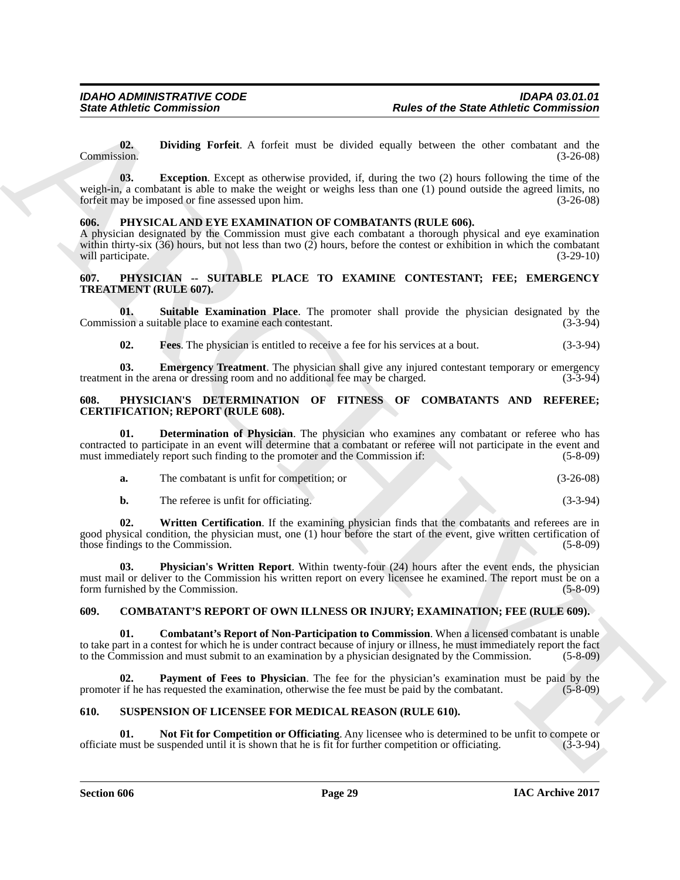<span id="page-28-11"></span><span id="page-28-10"></span>**02.** Dividing Forfeit. A forfeit must be divided equally between the other combatant and the Commission. (3-26-08) Commission. (3-26-08)

Since Zubieks Commission<br>
(2). Dividing Porfisi. A thrist must be distributed by the earth of the Since Zubieks Commission<br>
(2). Biology and the since the state of the Since Zubiek Commission<br>
(3). The state of the state **03.** Exception. Except as otherwise provided, if, during the two (2) hours following the time of the weigh-in, a combatant is able to make the weight or weighs less than one (1) pound outside the agreed limits, no<br>forfeit may be imposed or fine assessed upon him. forfeit may be imposed or fine assessed upon him.

#### <span id="page-28-12"></span><span id="page-28-0"></span>**606. PHYSICAL AND EYE EXAMINATION OF COMBATANTS (RULE 606).**

A physician designated by the Commission must give each combatant a thorough physical and eye examination within thirty-six (36) hours, but not less than two (2) hours, before the contest or exhibition in which the combatant will participate.  $(3-29-10)$ will participate.

#### <span id="page-28-1"></span>**607. PHYSICIAN -- SUITABLE PLACE TO EXAMINE CONTESTANT; FEE; EMERGENCY TREATMENT (RULE 607).**

**01.** Suitable Examination Place. The promoter shall provide the physician designated by the sion a suitable place to examine each contestant. (3-3-94) Commission a suitable place to examine each contestant.

<span id="page-28-8"></span><span id="page-28-7"></span><span id="page-28-6"></span>**02. Fees**. The physician is entitled to receive a fee for his services at a bout. (3-3-94)

**03. Emergency Treatment**. The physician shall give any injured contestant temporary or emergency t in the arena or dressing room and no additional fee may be charged. (3-3-94) treatment in the arena or dressing room and no additional fee may be charged.

#### <span id="page-28-2"></span>**608. PHYSICIAN'S DETERMINATION OF FITNESS OF COMBATANTS AND REFEREE; CERTIFICATION; REPORT (RULE 608).**

**01. Determination of Physician**. The physician who examines any combatant or referee who has contracted to participate in an event will determine that a combatant or referee will not participate in the event and must immediately report such finding to the promoter and the Commission if: (5-8-09) must immediately report such finding to the promoter and the Commission if:

<span id="page-28-13"></span>

| The combatant is unfit for competition; or |  | $(3-26-08)$ |
|--------------------------------------------|--|-------------|
|                                            |  |             |

<span id="page-28-15"></span><span id="page-28-14"></span>**b.** The referee is unfit for officiating. (3-3-94)

**02. Written Certification**. If the examining physician finds that the combatants and referees are in good physical condition, the physician must, one (1) hour before the start of the event, give written certification of those findings to the Commission. (5-8-09)

**03. Physician's Written Report**. Within twenty-four (24) hours after the event ends, the physician must mail or deliver to the Commission his written report on every licensee he examined. The report must be on a<br>form furnished by the Commission. (5-8-09) form furnished by the Commission.

#### <span id="page-28-3"></span>**609. COMBATANT'S REPORT OF OWN ILLNESS OR INJURY; EXAMINATION; FEE (RULE 609).**

<span id="page-28-5"></span>**01. Combatant's Report of Non-Participation to Commission**. When a licensed combatant is unable to take part in a contest for which he is under contract because of injury or illness, he must immediately report the fact to the Commission and must submit to an examination by a physician designated by the Commission. (5-8-09)

<span id="page-28-9"></span>**Payment of Fees to Physician**. The fee for the physician's examination must be paid by the requested the examination, otherwise the fee must be paid by the combatant. (5-8-09) promoter if he has requested the examination, otherwise the fee must be paid by the combatant.

#### <span id="page-28-16"></span><span id="page-28-4"></span>**610. SUSPENSION OF LICENSEE FOR MEDICAL REASON (RULE 610).**

<span id="page-28-17"></span>**01.** Not Fit for Competition or Officiating. Any licensee who is determined to be unfit to compete or must be suspended until it is shown that he is fit for further competition or officiating. (3-3-94) officiate must be suspended until it is shown that he is fit for further competition or officiating. (3-3-94)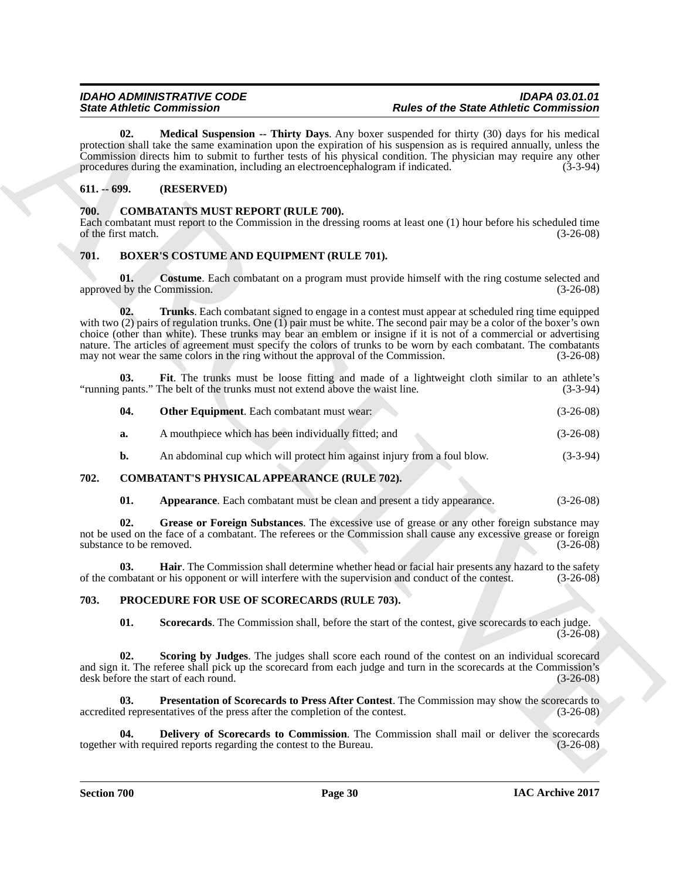<span id="page-29-20"></span>**02. Medical Suspension -- Thirty Days**. Any boxer suspended for thirty (30) days for his medical protection shall take the same examination upon the expiration of his suspension as is required annually, unless the Commission directs him to submit to further tests of his physical condition. The physician may require any other procedures during the examination, including an electroencephalogram if indicated. (3-3-94)

### <span id="page-29-0"></span>**611. -- 699. (RESERVED)**

#### <span id="page-29-14"></span><span id="page-29-1"></span>**700. COMBATANTS MUST REPORT (RULE 700).**

Each combatant must report to the Commission in the dressing rooms at least one (1) hour before his scheduled time of the first match. (3-26-08)

### <span id="page-29-5"></span><span id="page-29-2"></span>**701. BOXER'S COSTUME AND EQUIPMENT (RULE 701).**

<span id="page-29-9"></span><span id="page-29-6"></span>**01.** Costume. Each combatant on a program must provide himself with the ring costume selected and approved by the Commission. (3-26-08)

Since *Office Commission* - Thirty Develope Any boar any problem of the Since *Photo-River Commission* and the since the Since *Office Commission* and the since the since the since the since the since the since the since **02. Trunks**. Each combatant signed to engage in a contest must appear at scheduled ring time equipped with two (2) pairs of regulation trunks. One (1) pair must be white. The second pair may be a color of the boxer's own choice (other than white). These trunks may bear an emblem or insigne if it is not of a commercial or advertising nature. The articles of agreement must specify the colors of trunks to be worn by each combatant. The combatants may not wear the same colors in the ring without the approval of the Commission. (3-26-08) may not wear the same colors in the ring without the approval of the Commission.

**03.** Fit. The trunks must be loose fitting and made of a lightweight cloth similar to an athlete's pants." The belt of the trunks must not extend above the waist line. (3-3-94) "running pants." The belt of the trunks must not extend above the waist line.

<span id="page-29-8"></span><span id="page-29-7"></span>

| 04. | <b>Other Equipment.</b> Each combatant must wear: |  | $(3-26-08)$ |
|-----|---------------------------------------------------|--|-------------|
|-----|---------------------------------------------------|--|-------------|

- **a.** A mouthpiece which has been individually fitted; and (3-26-08)
- <span id="page-29-10"></span>**b.** An abdominal cup which will protect him against injury from a foul blow. (3-3-94)

#### <span id="page-29-3"></span>**702. COMBATANT'S PHYSICAL APPEARANCE (RULE 702).**

<span id="page-29-13"></span><span id="page-29-12"></span><span id="page-29-11"></span>**01.** Appearance. Each combatant must be clean and present a tidy appearance. (3-26-08)

**02. Grease or Foreign Substances**. The excessive use of grease or any other foreign substance may not be used on the face of a combatant. The referees or the Commission shall cause any excessive grease or foreign substance to be removed. (3-26-08)

**03. Hair**. The Commission shall determine whether head or facial hair presents any hazard to the safety mbatant or his opponent or will interfere with the supervision and conduct of the contest. (3-26-08) of the combatant or his opponent or will interfere with the supervision and conduct of the contest. (3-26-08)

#### <span id="page-29-4"></span>**703. PROCEDURE FOR USE OF SCORECARDS (RULE 703).**

<span id="page-29-19"></span><span id="page-29-18"></span><span id="page-29-17"></span><span id="page-29-15"></span>**01. Scorecards**. The Commission shall, before the start of the contest, give scorecards to each judge.  $(3-26-08)$ 

**Scoring by Judges**. The judges shall score each round of the contest on an individual scorecard and sign it. The referee shall pick up the scorecard from each judge and turn in the scorecards at the Commission's desk before the start of each round. (3-26-08) desk before the start of each round.

**03.** Presentation of Scorecards to Press After Contest. The Commission may show the scorecards to depresentatives of the press after the completion of the contest. (3-26-08) accredited representatives of the press after the completion of the contest.

<span id="page-29-16"></span>**04. Delivery of Scorecards to Commission**. The Commission shall mail or deliver the scorecards with required reports regarding the contest to the Bureau. (3-26-08) together with required reports regarding the contest to the Bureau.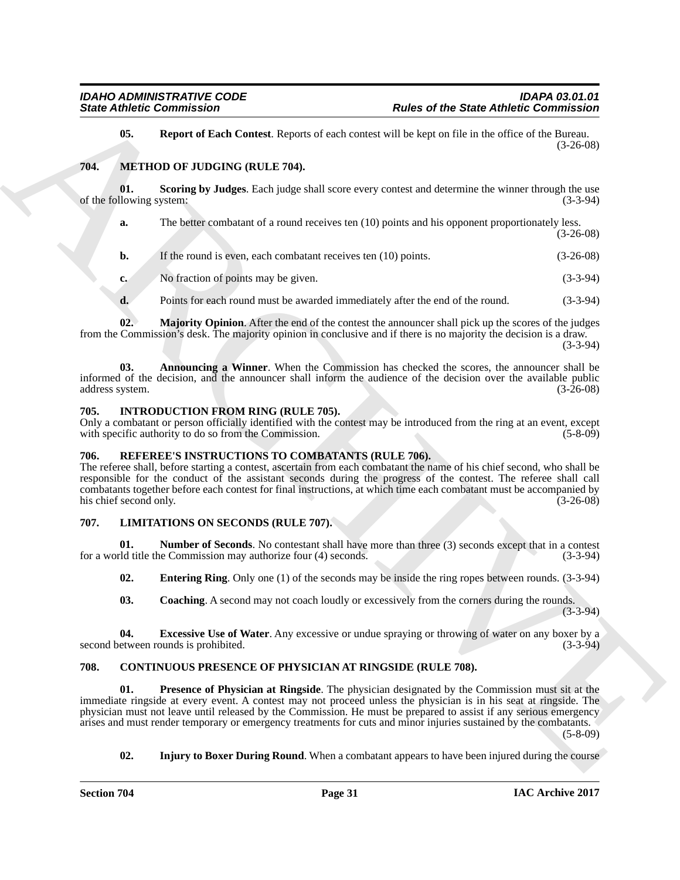#### <span id="page-30-18"></span><span id="page-30-17"></span><span id="page-30-14"></span><span id="page-30-0"></span>**704. METHOD OF JUDGING (RULE 704).**

|                                 | <b>State Athletic Commission</b>                                                            | <b>Rules of the State Athletic Commission</b>                                                                                                                                                                                                                                                                                                                                                                                                                       |             |
|---------------------------------|---------------------------------------------------------------------------------------------|---------------------------------------------------------------------------------------------------------------------------------------------------------------------------------------------------------------------------------------------------------------------------------------------------------------------------------------------------------------------------------------------------------------------------------------------------------------------|-------------|
| 05.                             |                                                                                             | Report of Each Contest. Reports of each contest will be kept on file in the office of the Bureau.                                                                                                                                                                                                                                                                                                                                                                   | $(3-26-08)$ |
| 704.                            | METHOD OF JUDGING (RULE 704).                                                               |                                                                                                                                                                                                                                                                                                                                                                                                                                                                     |             |
| 01.<br>of the following system: |                                                                                             | Scoring by Judges. Each judge shall score every contest and determine the winner through the use                                                                                                                                                                                                                                                                                                                                                                    | $(3-3-94)$  |
| a.                              |                                                                                             | The better combatant of a round receives ten (10) points and his opponent proportionately less.                                                                                                                                                                                                                                                                                                                                                                     | $(3-26-08)$ |
| b.                              | If the round is even, each combatant receives ten (10) points.                              |                                                                                                                                                                                                                                                                                                                                                                                                                                                                     | $(3-26-08)$ |
| $c_{\bullet}$                   | No fraction of points may be given.                                                         |                                                                                                                                                                                                                                                                                                                                                                                                                                                                     | $(3-3-94)$  |
| d.                              |                                                                                             | Points for each round must be awarded immediately after the end of the round.                                                                                                                                                                                                                                                                                                                                                                                       | $(3-3-94)$  |
| 02.                             |                                                                                             | Majority Opinion. After the end of the contest the announcer shall pick up the scores of the judges<br>from the Commission's desk. The majority opinion in conclusive and if there is no majority the decision is a draw.                                                                                                                                                                                                                                           | $(3-3-94)$  |
| 03.<br>address system.          |                                                                                             | Announcing a Winner. When the Commission has checked the scores, the announcer shall be<br>informed of the decision, and the announcer shall inform the audience of the decision over the available public                                                                                                                                                                                                                                                          | $(3-26-08)$ |
| 705.                            | INTRODUCTION FROM RING (RULE 705).<br>with specific authority to do so from the Commission. | Only a combatant or person officially identified with the contest may be introduced from the ring at an event, except                                                                                                                                                                                                                                                                                                                                               | $(5-8-09)$  |
| 706.<br>his chief second only.  | REFEREE'S INSTRUCTIONS TO COMBATANTS (RULE 706).                                            | The referee shall, before starting a contest, ascertain from each combatant the name of his chief second, who shall be<br>responsible for the conduct of the assistant seconds during the progress of the contest. The referee shall call<br>combatants together before each contest for final instructions, at which time each combatant must be accompanied by                                                                                                    | $(3-26-08)$ |
| 707.                            | LIMITATIONS ON SECONDS (RULE 707).                                                          |                                                                                                                                                                                                                                                                                                                                                                                                                                                                     |             |
| 01.                             | for a world title the Commission may authorize four (4) seconds.                            | <b>Number of Seconds.</b> No contestant shall have more than three (3) seconds except that in a contest                                                                                                                                                                                                                                                                                                                                                             | $(3-3-94)$  |
| 02.                             |                                                                                             | <b>Entering Ring.</b> Only one $(1)$ of the seconds may be inside the ring ropes between rounds. $(3-3-94)$                                                                                                                                                                                                                                                                                                                                                         |             |
| 03.                             |                                                                                             | <b>Coaching.</b> A second may not coach loudly or excessively from the corners during the rounds.                                                                                                                                                                                                                                                                                                                                                                   | $(3-3-94)$  |
| 04.                             | second between rounds is prohibited.                                                        | <b>Excessive Use of Water.</b> Any excessive or undue spraying or throwing of water on any boxer by a                                                                                                                                                                                                                                                                                                                                                               | $(3-3-94)$  |
| 708.                            |                                                                                             | CONTINUOUS PRESENCE OF PHYSICIAN AT RINGSIDE (RULE 708).                                                                                                                                                                                                                                                                                                                                                                                                            |             |
| 01.                             |                                                                                             | <b>Presence of Physician at Ringside.</b> The physician designated by the Commission must sit at the<br>immediate ringside at every event. A contest may not proceed unless the physician is in his seat at ringside. The<br>physician must not leave until released by the Commission. He must be prepared to assist if any serious emergency<br>arises and must render temporary or emergency treatments for cuts and minor injuries sustained by the combatants. | $(5-8-09)$  |
|                                 |                                                                                             |                                                                                                                                                                                                                                                                                                                                                                                                                                                                     |             |

#### <span id="page-30-16"></span><span id="page-30-15"></span><span id="page-30-8"></span><span id="page-30-1"></span>**705. INTRODUCTION FROM RING (RULE 705).**

#### <span id="page-30-19"></span><span id="page-30-2"></span>**706. REFEREE'S INSTRUCTIONS TO COMBATANTS (RULE 706).**

### <span id="page-30-13"></span><span id="page-30-11"></span><span id="page-30-10"></span><span id="page-30-9"></span><span id="page-30-3"></span>**707. LIMITATIONS ON SECONDS (RULE 707).**

#### <span id="page-30-12"></span><span id="page-30-7"></span><span id="page-30-6"></span><span id="page-30-5"></span><span id="page-30-4"></span>**708. CONTINUOUS PRESENCE OF PHYSICIAN AT RINGSIDE (RULE 708).**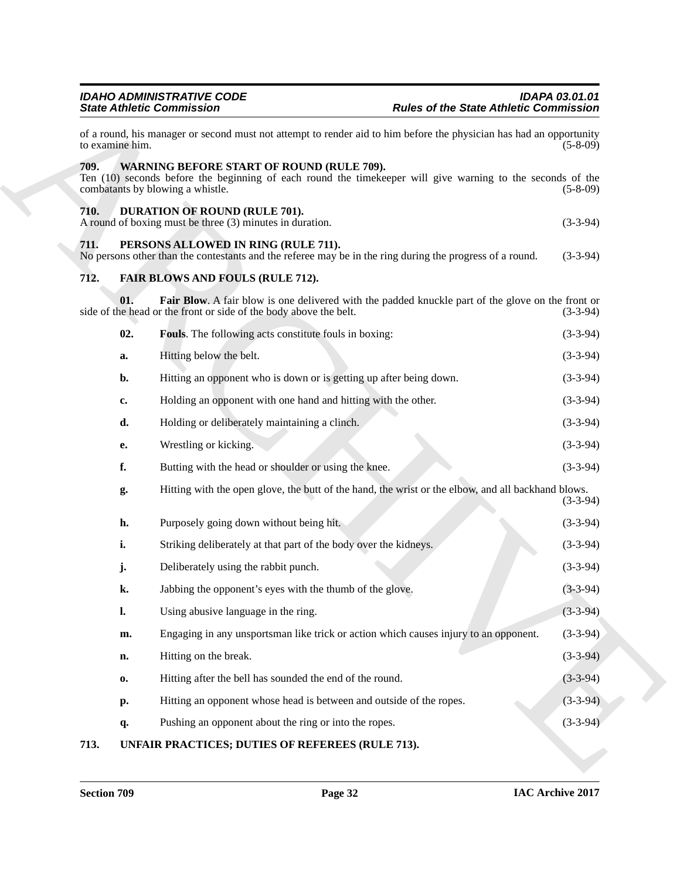<span id="page-31-10"></span><span id="page-31-9"></span><span id="page-31-8"></span><span id="page-31-7"></span><span id="page-31-6"></span><span id="page-31-5"></span><span id="page-31-3"></span><span id="page-31-2"></span><span id="page-31-1"></span><span id="page-31-0"></span>

|                 | <b>IDAHO ADMINISTRATIVE CODE</b><br><b>State Athletic Commission</b>                                                                                                                        | <b>IDAPA 03.01.01</b><br><b>Rules of the State Athletic Commission</b> |
|-----------------|---------------------------------------------------------------------------------------------------------------------------------------------------------------------------------------------|------------------------------------------------------------------------|
| to examine him. | of a round, his manager or second must not attempt to render aid to him before the physician has had an opportunity                                                                         | $(5-8-09)$                                                             |
| 709.            | WARNING BEFORE START OF ROUND (RULE 709).<br>Ten (10) seconds before the beginning of each round the timekeeper will give warning to the seconds of the<br>combatants by blowing a whistle. | $(5-8-09)$                                                             |
| 710.            | DURATION OF ROUND (RULE 701).<br>A round of boxing must be three (3) minutes in duration.                                                                                                   | $(3-3-94)$                                                             |
| 711.            | PERSONS ALLOWED IN RING (RULE 711).<br>No persons other than the contestants and the referee may be in the ring during the progress of a round.                                             | $(3-3-94)$                                                             |
| 712.            | <b>FAIR BLOWS AND FOULS (RULE 712).</b>                                                                                                                                                     |                                                                        |
| 01.             | <b>Fair Blow.</b> A fair blow is one delivered with the padded knuckle part of the glove on the front or<br>side of the head or the front or side of the body above the belt.               | $(3-3-94)$                                                             |
| 02.             | Fouls. The following acts constitute fouls in boxing:                                                                                                                                       | $(3-3-94)$                                                             |
| a.              | Hitting below the belt.                                                                                                                                                                     | $(3-3-94)$                                                             |
| b.              | Hitting an opponent who is down or is getting up after being down.                                                                                                                          | $(3-3-94)$                                                             |
| c.              | Holding an opponent with one hand and hitting with the other.                                                                                                                               | $(3-3-94)$                                                             |
| d.              | Holding or deliberately maintaining a clinch.                                                                                                                                               | $(3-3-94)$                                                             |
| е.              | Wrestling or kicking.                                                                                                                                                                       | $(3-3-94)$                                                             |
| f.              | Butting with the head or shoulder or using the knee.                                                                                                                                        | $(3-3-94)$                                                             |
| g.              | Hitting with the open glove, the butt of the hand, the wrist or the elbow, and all backhand blows.                                                                                          | $(3-3-94)$                                                             |
| h.              | Purposely going down without being hit.                                                                                                                                                     | $(3-3-94)$                                                             |
| i.              | Striking deliberately at that part of the body over the kidneys.                                                                                                                            | $(3-3-94)$                                                             |
| j.              | Deliberately using the rabbit punch.                                                                                                                                                        | $(3-3-94)$                                                             |
| k.              | Jabbing the opponent's eyes with the thumb of the glove.                                                                                                                                    | $(3-3-94)$                                                             |
| $\mathbf{l}$ .  | Using abusive language in the ring.                                                                                                                                                         | $(3-3-94)$                                                             |
| m.              | Engaging in any unsportsman like trick or action which causes injury to an opponent.                                                                                                        | $(3-3-94)$                                                             |
| n.              | Hitting on the break.                                                                                                                                                                       | $(3-3-94)$                                                             |
| 0.              | Hitting after the bell has sounded the end of the round.                                                                                                                                    | $(3-3-94)$                                                             |
| p.              | Hitting an opponent whose head is between and outside of the ropes.                                                                                                                         | $(3-3-94)$                                                             |
| q.              | Pushing an opponent about the ring or into the ropes.                                                                                                                                       | $(3-3-94)$                                                             |
| 713.            | UNFAIR PRACTICES; DUTIES OF REFEREES (RULE 713).                                                                                                                                            |                                                                        |

### <span id="page-31-4"></span>**713. UNFAIR PRACTICES; DUTIES OF REFEREES (RULE 713).**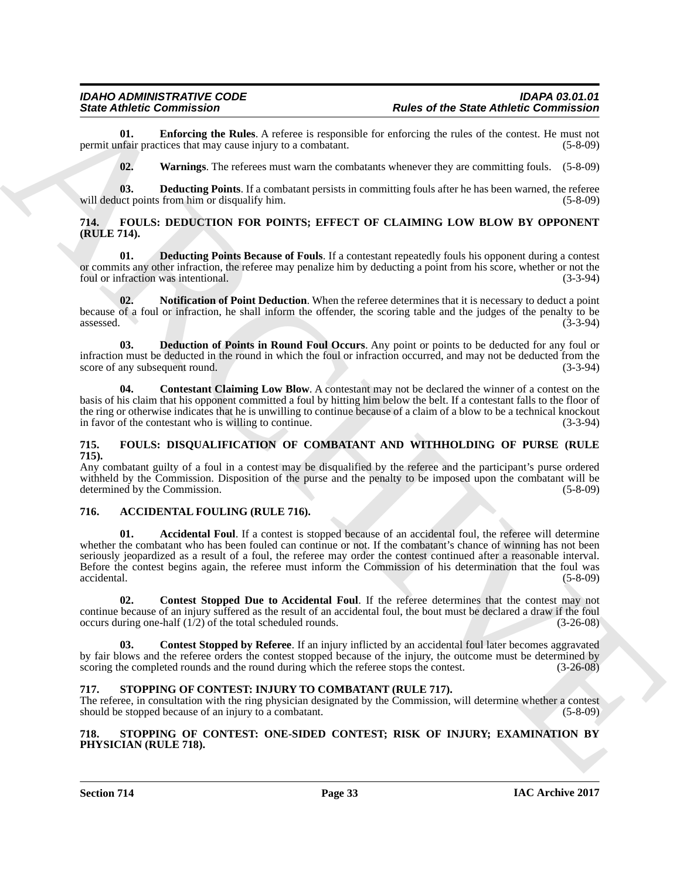**01. Enforcing the Rules**. A referee is responsible for enforcing the rules of the contest. He must not nfair practices that may cause injury to a combatant. (5-8-09) permit unfair practices that may cause injury to a combatant.

<span id="page-32-17"></span><span id="page-32-16"></span><span id="page-32-15"></span>**02. Warnings**. The referees must warn the combatants whenever they are committing fouls. (5-8-09)

**03. Deducting Points**. If a combatant persists in committing fouls after he has been warned, the referee act points from him or disqualify him. (5-8-09) will deduct points from him or disqualify him.

#### <span id="page-32-0"></span>**714. FOULS: DEDUCTION FOR POINTS; EFFECT OF CLAIMING LOW BLOW BY OPPONENT (RULE 714).**

<span id="page-32-10"></span>**01. Deducting Points Because of Fouls**. If a contestant repeatedly fouls his opponent during a contest or commits any other infraction, the referee may penalize him by deducting a point from his score, whether or not the foul or infraction was intentional. (3-3-94)

<span id="page-32-12"></span>**02. Notification of Point Deduction**. When the referee determines that it is necessary to deduct a point because of a foul or infraction, he shall inform the offender, the scoring table and the judges of the penalty to be assessed. (3-3-94)

<span id="page-32-11"></span>**03. Deduction of Points in Round Foul Occurs**. Any point or points to be deducted for any foul or infraction must be deducted in the round in which the foul or infraction occurred, and may not be deducted from the score of any subsequent round.

<span id="page-32-9"></span>**04.** Contestant Claiming Low Blow. A contestant may not be declared the winner of a contest on the basis of his claim that his opponent committed a foul by hitting him below the belt. If a contestant falls to the floor of the ring or otherwise indicates that he is unwilling to continue because of a claim of a blow to be a technical knockout in favor of the contestant who is willing to continue. (3-3-94) in favor of the contestant who is willing to continue.

#### <span id="page-32-13"></span><span id="page-32-1"></span>**715. FOULS: DISQUALIFICATION OF COMBATANT AND WITHHOLDING OF PURSE (RULE 715).**

Any combatant guilty of a foul in a contest may be disqualified by the referee and the participant's purse ordered withheld by the Commission. Disposition of the purse and the penalty to be imposed upon the combatant will be determined by the Commission. (5-8-09) determined by the Commission.

#### <span id="page-32-6"></span><span id="page-32-5"></span><span id="page-32-2"></span>**716. ACCIDENTAL FOULING (RULE 716).**

Since *Officers* Constraints are the same Absent of the Since *of the Since Absent* Constraints in<br>
yearnal of the Los Construction of the Marchive Constraints in the construction of the Construction of the Construction<br> Accidental Foul. If a contest is stopped because of an accidental foul, the referee will determine whether the combatant who has been fouled can continue or not. If the combatant's chance of winning has not been seriously jeopardized as a result of a foul, the referee may order the contest continued after a reasonable interval. Before the contest begins again, the referee must inform the Commission of his determination that the foul was accidental. (5-8-09)

<span id="page-32-8"></span>**02. Contest Stopped Due to Accidental Foul**. If the referee determines that the contest may not continue because of an injury suffered as the result of an accidental foul, the bout must be declared a draw if the foul occurs during one-half  $(1/2)$  of the total scheduled rounds.  $(3-26-08)$ occurs during one-half  $(1/2)$  of the total scheduled rounds.

<span id="page-32-7"></span>**03. Contest Stopped by Referee**. If an injury inflicted by an accidental foul later becomes aggravated by fair blows and the referee orders the contest stopped because of the injury, the outcome must be determined by scoring the completed rounds and the round during which the referee stops the contest. (3-26-08)

#### <span id="page-32-14"></span><span id="page-32-3"></span>**717. STOPPING OF CONTEST: INJURY TO COMBATANT (RULE 717).**

The referee, in consultation with the ring physician designated by the Commission, will determine whether a contest should be stopped because of an injury to a combatant. (5-8-09)

#### <span id="page-32-4"></span>**718. STOPPING OF CONTEST: ONE-SIDED CONTEST; RISK OF INJURY; EXAMINATION BY PHYSICIAN (RULE 718).**

**Section 714 Page 33**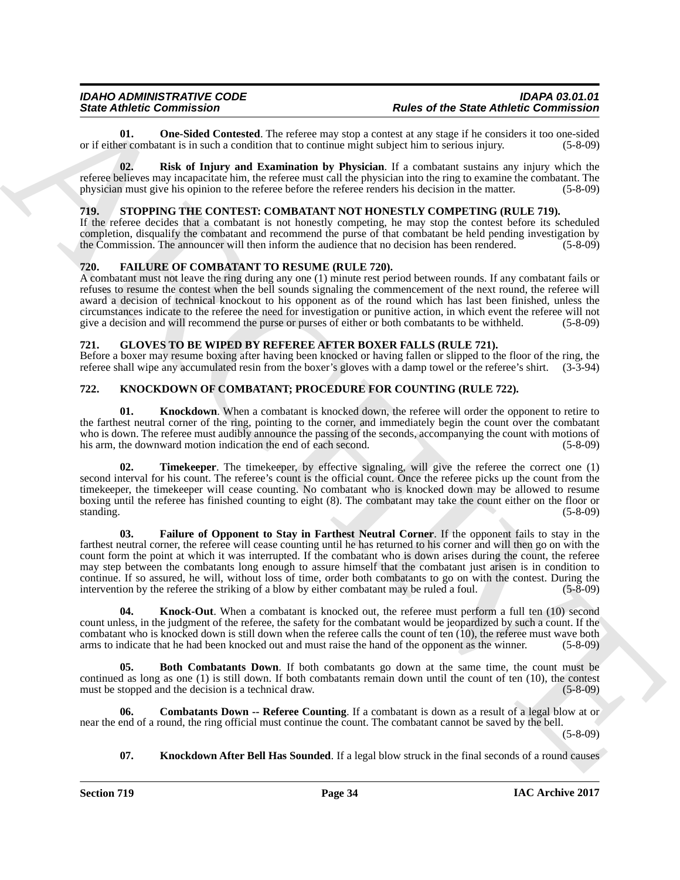<span id="page-33-4"></span>**01.** One-Sided Contested. The referee may stop a contest at any stage if he considers it too one-sided er combatant is in such a condition that to continue might subject him to serious injury. (5-8-09) or if either combatant is in such a condition that to continue might subject him to serious injury.

<span id="page-33-5"></span>**02. Risk of Injury and Examination by Physician**. If a combatant sustains any injury which the referee believes may incapacitate him, the referee must call the physician into the ring to examine the combatant. The physician must give his opinion to the referee before the referee renders his decision in the matter. (5-8-09)

### <span id="page-33-15"></span><span id="page-33-0"></span>**719. STOPPING THE CONTEST: COMBATANT NOT HONESTLY COMPETING (RULE 719).**

If the referee decides that a combatant is not honestly competing, he may stop the contest before its scheduled completion, disqualify the combatant and recommend the purse of that combatant be held pending investigation by the Commission. The announcer will then inform the audience that no decision has been rendered.  $(5-8-09)$ 

#### <span id="page-33-6"></span><span id="page-33-1"></span>**720. FAILURE OF COMBATANT TO RESUME (RULE 720).**

A combatant must not leave the ring during any one (1) minute rest period between rounds. If any combatant fails or refuses to resume the contest when the bell sounds signaling the commencement of the next round, the referee will award a decision of technical knockout to his opponent as of the round which has last been finished, unless the circumstances indicate to the referee the need for investigation or punitive action, in which event the referee will not give a decision and will recommend the purse or purses of either or both combatants to be withheld.

#### <span id="page-33-7"></span><span id="page-33-2"></span>**721. GLOVES TO BE WIPED BY REFEREE AFTER BOXER FALLS (RULE 721).**

Before a boxer may resume boxing after having been knocked or having fallen or slipped to the floor of the ring, the referee shall wipe any accumulated resin from the boxer's gloves with a damp towel or the referee's shirt. (3-3-94)

#### <span id="page-33-3"></span>**722. KNOCKDOWN OF COMBATANT; PROCEDURE FOR COUNTING (RULE 722).**

<span id="page-33-11"></span>**01.** Knockdown. When a combatant is knocked down, the referee will order the opponent to retire to the farthest neutral corner of the ring, pointing to the corner, and immediately begin the count over the combatant who is down. The referee must audibly announce the passing of the seconds, accompanying the count with motions of his arm, the downward motion indication the end of each second. (5-8-09) (5-8-09)

<span id="page-33-14"></span><span id="page-33-10"></span>**Timekeeper**. The timekeeper, by effective signaling, will give the referee the correct one (1) second interval for his count. The referee's count is the official count. Once the referee picks up the count from the timekeeper, the timekeeper will cease counting. No combatant who is knocked down may be allowed to resume boxing until the referee has finished counting to eight (8). The combatant may take the count either on the floor or standing. (5-8-09)

Since Zubine Commission -<br>
Architect Commission - Role of the Since of the Since Role of the Since Role of the Since Role of the Since Role of the Since Role of the Since Role of the Since Role of the Since Role of the Si **03. Failure of Opponent to Stay in Farthest Neutral Corner**. If the opponent fails to stay in the farthest neutral corner, the referee will cease counting until he has returned to his corner and will then go on with the count form the point at which it was interrupted. If the combatant who is down arises during the count, the referee may step between the combatants long enough to assure himself that the combatant just arisen is in condition to continue. If so assured, he will, without loss of time, order both combatants to go on with the contest. During the intervention by the referee the striking of a blow by either combatant may be ruled a foul. (5-8-09)

<span id="page-33-13"></span>**04.** Knock-Out. When a combatant is knocked out, the referee must perform a full ten (10) second count unless, in the judgment of the referee, the safety for the combatant would be jeopardized by such a count. If the combatant who is knocked down is still down when the referee calls the count of ten (10), the referee must wave both arms to indicate that he had been knocked out and must raise the hand of the opponent as the winner. (5-8-09)

<span id="page-33-8"></span>**05. Both Combatants Down**. If both combatants go down at the same time, the count must be continued as long as one (1) is still down. If both combatants remain down until the count of ten (10), the contest must be stopped and the decision is a technical draw. (5-8-09) must be stopped and the decision is a technical draw.

**06. Combatants Down -- Referee Counting**. If a combatant is down as a result of a legal blow at or near the end of a round, the ring official must continue the count. The combatant cannot be saved by the bell.

(5-8-09)

#### <span id="page-33-12"></span><span id="page-33-9"></span>**07. Knockdown After Bell Has Sounded**. If a legal blow struck in the final seconds of a round causes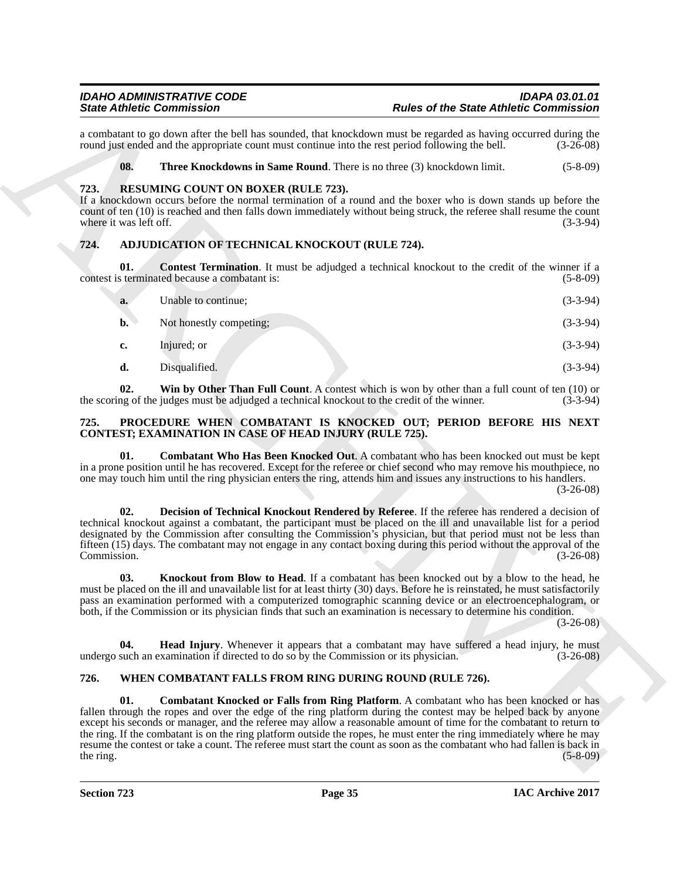#### <span id="page-34-12"></span><span id="page-34-11"></span><span id="page-34-0"></span>**723. RESUMING COUNT ON BOXER (RULE 723).**

### <span id="page-34-5"></span><span id="page-34-4"></span><span id="page-34-1"></span>**724. ADJUDICATION OF TECHNICAL KNOCKOUT (RULE 724).**

|                                | <b>State Athletic Commission</b>                                                     | <b>Rules of the State Athletic Commission</b>                                                                                                                                                                                                                                                                                                                                                                                                                                                                                                                                        |             |
|--------------------------------|--------------------------------------------------------------------------------------|--------------------------------------------------------------------------------------------------------------------------------------------------------------------------------------------------------------------------------------------------------------------------------------------------------------------------------------------------------------------------------------------------------------------------------------------------------------------------------------------------------------------------------------------------------------------------------------|-------------|
|                                |                                                                                      | a combatant to go down after the bell has sounded, that knockdown must be regarded as having occurred during the<br>round just ended and the appropriate count must continue into the rest period following the bell.                                                                                                                                                                                                                                                                                                                                                                | $(3-26-08)$ |
| 08.                            |                                                                                      | Three Knockdowns in Same Round. There is no three (3) knockdown limit.                                                                                                                                                                                                                                                                                                                                                                                                                                                                                                               | $(5-8-09)$  |
| 723.<br>where it was left off. | <b>RESUMING COUNT ON BOXER (RULE 723).</b>                                           | If a knockdown occurs before the normal termination of a round and the boxer who is down stands up before the<br>count of ten (10) is reached and then falls down immediately without being struck, the referee shall resume the count                                                                                                                                                                                                                                                                                                                                               | $(3-3-94)$  |
| 724.                           | ADJUDICATION OF TECHNICAL KNOCKOUT (RULE 724).                                       |                                                                                                                                                                                                                                                                                                                                                                                                                                                                                                                                                                                      |             |
| 01.                            | contest is terminated because a combatant is:                                        | <b>Contest Termination.</b> It must be adjudged a technical knockout to the credit of the winner if a                                                                                                                                                                                                                                                                                                                                                                                                                                                                                | $(5-8-09)$  |
| a.                             | Unable to continue;                                                                  |                                                                                                                                                                                                                                                                                                                                                                                                                                                                                                                                                                                      | $(3-3-94)$  |
| $\mathbf{b}$ .                 | Not honestly competing;                                                              |                                                                                                                                                                                                                                                                                                                                                                                                                                                                                                                                                                                      | $(3-3-94)$  |
| c.                             | Injured; or                                                                          |                                                                                                                                                                                                                                                                                                                                                                                                                                                                                                                                                                                      | $(3-3-94)$  |
| d.                             | Disqualified.                                                                        |                                                                                                                                                                                                                                                                                                                                                                                                                                                                                                                                                                                      | $(3-3-94)$  |
| 02.                            |                                                                                      | Win by Other Than Full Count. A contest which is won by other than a full count of ten (10) or<br>the scoring of the judges must be adjudged a technical knockout to the credit of the winner.                                                                                                                                                                                                                                                                                                                                                                                       | $(3-3-94)$  |
| 725.                           | CONTEST; EXAMINATION IN CASE OF HEAD INJURY (RULE 725).                              | PROCEDURE WHEN COMBATANT IS KNOCKED OUT; PERIOD BEFORE HIS NEXT                                                                                                                                                                                                                                                                                                                                                                                                                                                                                                                      |             |
| 01.                            |                                                                                      | Combatant Who Has Been Knocked Out. A combatant who has been knocked out must be kept<br>in a prone position until he has recovered. Except for the referee or chief second who may remove his mouthpiece, no<br>one may touch him until the ring physician enters the ring, attends him and issues any instructions to his handlers.                                                                                                                                                                                                                                                | $(3-26-08)$ |
| 02.<br>Commission.             |                                                                                      | Decision of Technical Knockout Rendered by Referee. If the referee has rendered a decision of<br>technical knockout against a combatant, the participant must be placed on the ill and unavailable list for a period<br>designated by the Commission after consulting the Commission's physician, but that period must not be less than<br>fifteen (15) days. The combatant may not engage in any contact boxing during this period without the approval of the                                                                                                                      | $(3-26-08)$ |
| 03.                            |                                                                                      | <b>Knockout from Blow to Head.</b> If a combatant has been knocked out by a blow to the head, he<br>must be placed on the ill and unavailable list for at least thirty (30) days. Before he is reinstated, he must satisfactorily<br>pass an examination performed with a computerized tomographic scanning device or an electroencephalogram, or<br>both, if the Commission or its physician finds that such an examination is necessary to determine his condition.                                                                                                                | $(3-26-08)$ |
| 04.                            | undergo such an examination if directed to do so by the Commission or its physician. | <b>Head Injury.</b> Whenever it appears that a combatant may have suffered a head injury, he must                                                                                                                                                                                                                                                                                                                                                                                                                                                                                    | $(3-26-08)$ |
| 726.                           |                                                                                      | WHEN COMBATANT FALLS FROM RING DURING ROUND (RULE 726).                                                                                                                                                                                                                                                                                                                                                                                                                                                                                                                              |             |
| 01.<br>the ring.               |                                                                                      | Combatant Knocked or Falls from Ring Platform. A combatant who has been knocked or has<br>fallen through the ropes and over the edge of the ring platform during the contest may be helped back by anyone<br>except his seconds or manager, and the referee may allow a reasonable amount of time for the combatant to return to<br>the ring. If the combatant is on the ring platform outside the ropes, he must enter the ring immediately where he may<br>resume the contest or take a count. The referee must start the count as soon as the combatant who had fallen is back in | $(5-8-09)$  |

#### <span id="page-34-8"></span><span id="page-34-7"></span><span id="page-34-6"></span><span id="page-34-2"></span>**725. PROCEDURE WHEN COMBATANT IS KNOCKED OUT; PERIOD BEFORE HIS NEXT CONTEST; EXAMINATION IN CASE OF HEAD INJURY (RULE 725).**

### <span id="page-34-14"></span><span id="page-34-13"></span><span id="page-34-10"></span><span id="page-34-9"></span><span id="page-34-3"></span>**726. WHEN COMBATANT FALLS FROM RING DURING ROUND (RULE 726).**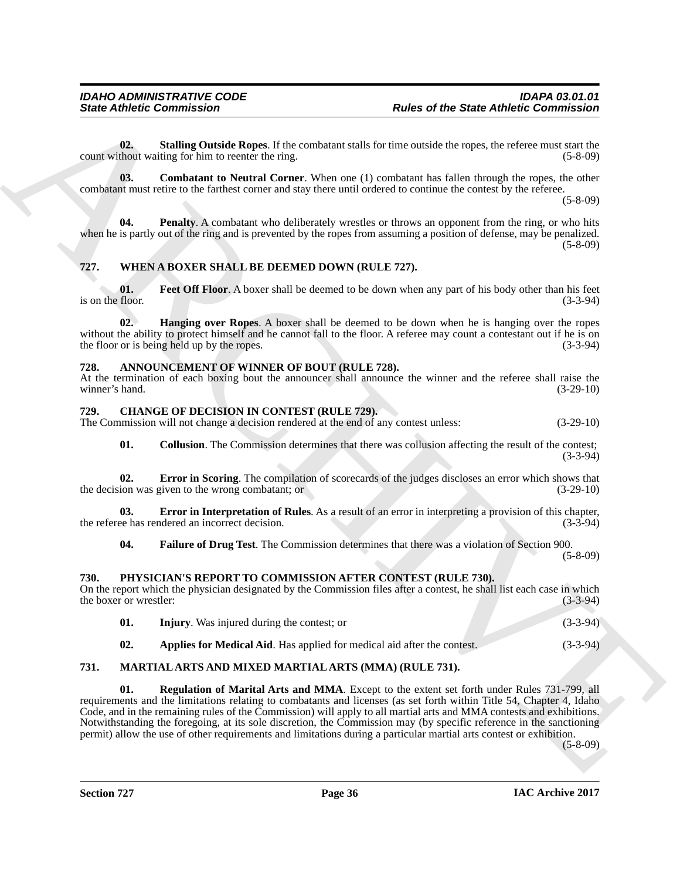<span id="page-35-20"></span>**02.** Stalling Outside Ropes. If the combatant stalls for time outside the ropes, the referee must start the thout waiting for him to reenter the ring.  $(5-8-09)$ count without waiting for him to reenter the ring.

<span id="page-35-18"></span>**03.** Combatant to Neutral Corner. When one (1) combatant has fallen through the ropes, the other combatant must retire to the farthest corner and stay there until ordered to continue the contest by the referee.

(5-8-09)

<span id="page-35-19"></span>**04.** Penalty. A combatant who deliberately wrestles or throws an opponent from the ring, or who hits when he is partly out of the ring and is prevented by the ropes from assuming a position of defense, may be penalized.  $(5-8-09)$ 

### <span id="page-35-15"></span><span id="page-35-0"></span>**727. WHEN A BOXER SHALL BE DEEMED DOWN (RULE 727).**

<span id="page-35-16"></span>**01.** Feet Off Floor. A boxer shall be deemed to be down when any part of his body other than his feet floor. (3-3-94) is on the floor.

<span id="page-35-17"></span>**02. Hanging over Ropes**. A boxer shall be deemed to be down when he is hanging over the ropes without the ability to protect himself and he cannot fall to the floor. A referee may count a contestant out if he is on the floor or is being held up by the ropes. (3-3-94)

#### <span id="page-35-5"></span><span id="page-35-1"></span>**728. ANNOUNCEMENT OF WINNER OF BOUT (RULE 728).**

At the termination of each boxing bout the announcer shall announce the winner and the referee shall raise the winner's hand. (3-29-10) winner's hand.

#### <span id="page-35-10"></span><span id="page-35-2"></span>**729. CHANGE OF DECISION IN CONTEST (RULE 729).**

The Commission will not change a decision rendered at the end of any contest unless: (3-29-10)

<span id="page-35-8"></span><span id="page-35-6"></span>**01.** Collusion. The Commission determines that there was collusion affecting the result of the contest; (3-3-94)

**02. Error in Scoring**. The compilation of scorecards of the judges discloses an error which shows that ion was given to the wrong combatant; or (3-29-10) the decision was given to the wrong combatant; or

**03. Error in Interpretation of Rules**. As a result of an error in interpreting a provision of this chapter, ee has rendered an incorrect decision. (3-3-94) the referee has rendered an incorrect decision.

<span id="page-35-9"></span><span id="page-35-7"></span>**04. Failure of Drug Test**. The Commission determines that there was a violation of Section 900.

(5-8-09)

#### <span id="page-35-3"></span>**730. PHYSICIAN'S REPORT TO COMMISSION AFTER CONTEST (RULE 730).**

On the report which the physician designated by the Commission files after a contest, he shall list each case in which the boxer or wrestler: (3-3-94)

<span id="page-35-14"></span><span id="page-35-13"></span><span id="page-35-12"></span><span id="page-35-11"></span>

|     | <b>Injury.</b> Was injured during the contest; or                              | $(3-3-94)$ |
|-----|--------------------------------------------------------------------------------|------------|
| 02. | <b>Applies for Medical Aid.</b> Has applied for medical aid after the contest. | $(3-3-94)$ |

#### <span id="page-35-4"></span>**731. MARTIAL ARTS AND MIXED MARTIAL ARTS (MMA) (RULE 731).**

Since Attitude Committenion<br>
Order of the Since Attitude Committee Committees<br>
Committee Committee of the Since Attitude Committee Committee of the Committee of the Committee of the Committee<br>
Committee of the Committee o **01. Regulation of Marital Arts and MMA**. Except to the extent set forth under Rules 731-799, all requirements and the limitations relating to combatants and licenses (as set forth within Title 54, Chapter 4, Idaho Code, and in the remaining rules of the Commission) will apply to all martial arts and MMA contests and exhibitions. Notwithstanding the foregoing, at its sole discretion, the Commission may (by specific reference in the sanctioning permit) allow the use of other requirements and limitations during a particular martial arts contest or exhibition.

(5-8-09)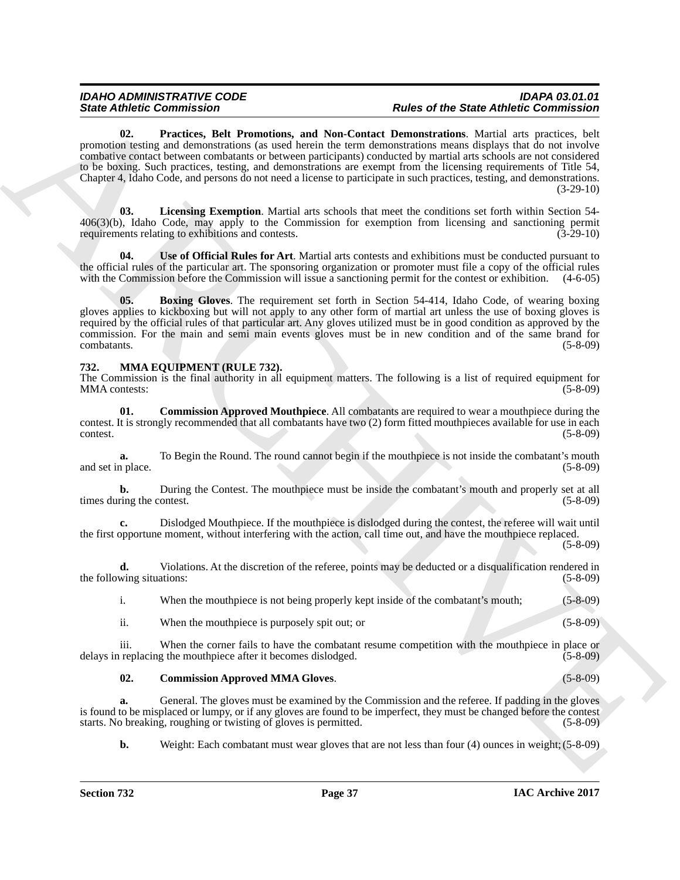Since *Administration*<br>
2. Pertities. Bell, Promutions, and Now-Contest Demonstrations And Securities (Somewhere *Contest Administrations*) and Now-Contest Demonstrations and No. 2012<br>
Consider the main of the state prope **02. Practices, Belt Promotions, and Non-Contact Demonstrations**. Martial arts practices, belt promotion testing and demonstrations (as used herein the term demonstrations means displays that do not involve combative contact between combatants or between participants) conducted by martial arts schools are not considered to be boxing. Such practices, testing, and demonstrations are exempt from the licensing requirements of Title 54, Chapter 4, Idaho Code, and persons do not need a license to participate in such practices, testing, and demonstrations. (3-29-10)

<span id="page-36-3"></span><span id="page-36-2"></span>**03. Licensing Exemption**. Martial arts schools that meet the conditions set forth within Section 54- 406(3)(b), Idaho Code, may apply to the Commission for exemption from licensing and sanctioning permit requirements relating to exhibitions and contests. (3-29-10)

<span id="page-36-4"></span>**04. Use of Official Rules for Art**. Martial arts contests and exhibitions must be conducted pursuant to the official rules of the particular art. The sponsoring organization or promoter must file a copy of the official rules with the Commission before the Commission will issue a sanctioning permit for the contest or exhibition. (4-6-05)

<span id="page-36-1"></span>**05. Boxing Gloves**. The requirement set forth in Section 54-414, Idaho Code, of wearing boxing gloves applies to kickboxing but will not apply to any other form of martial art unless the use of boxing gloves is required by the official rules of that particular art. Any gloves utilized must be in good condition as approved by the commission. For the main and semi main events gloves must be in new condition and of the same brand for combatants. (5-8-09)

#### <span id="page-36-5"></span><span id="page-36-0"></span>**732. MMA EQUIPMENT (RULE 732).**

The Commission is the final authority in all equipment matters. The following is a list of required equipment for MMA contests: (5-8-09)

<span id="page-36-7"></span>**01. Commission Approved Mouthpiece**. All combatants are required to wear a mouthpiece during the contest. It is strongly recommended that all combatants have two (2) form fitted mouthpieces available for use in each contest. (5-8-09)

**a.** To Begin the Round. The round cannot begin if the mouthpiece is not inside the combatant's mouth produce. and set in place.

**b.** During the Contest. The mouthpiece must be inside the combatant's mouth and properly set at all times during the contest. (5-8-09)

**c.** Dislodged Mouthpiece. If the mouthpiece is dislodged during the contest, the referee will wait until the first opportune moment, without interfering with the action, call time out, and have the mouthpiece replaced.

(5-8-09)

**d.** Violations. At the discretion of the referee, points may be deducted or a disqualification rendered in wing situations: (5-8-09) the following situations:

i. When the mouthpiece is not being properly kept inside of the combatant's mouth; (5-8-09)

<span id="page-36-6"></span>ii. When the mouthpiece is purposely spit out; or (5-8-09)

iii. When the corner fails to have the combatant resume competition with the mouthpiece in place or delays in replacing the mouthpiece after it becomes dislodged. (5-8-09)

**02. Commission Approved MMA Gloves**. (5-8-09)

General. The gloves must be examined by the Commission and the referee. If padding in the gloves is found to be misplaced or lumpy, or if any gloves are found to be imperfect, they must be changed before the contest starts. No breaking, roughing or twisting of gloves is permitted. (5-8-09)

**b.** Weight: Each combatant must wear gloves that are not less than four (4) ounces in weight; (5-8-09)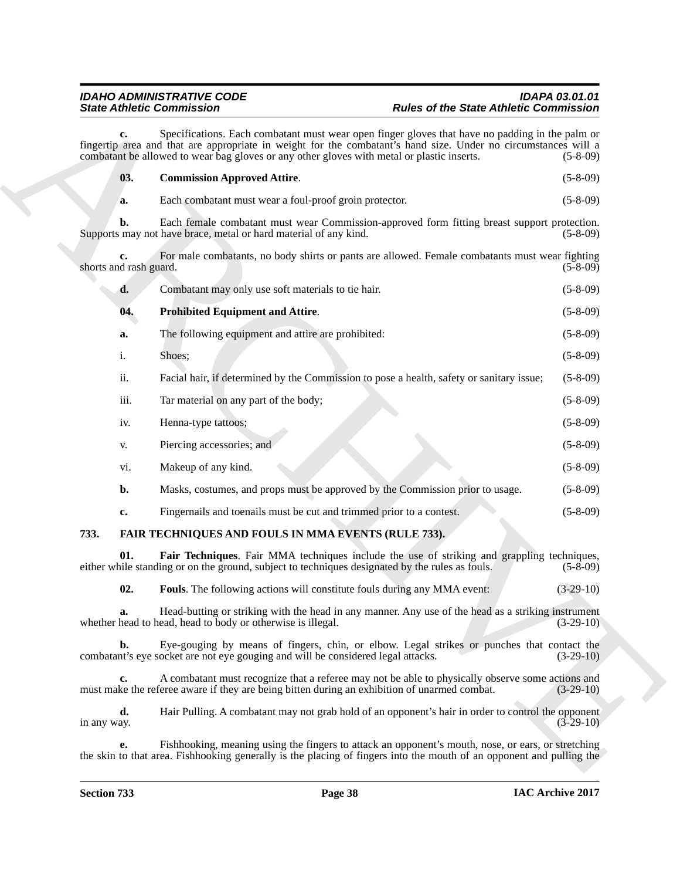<span id="page-37-4"></span>

|                        |      | <b>State Athletic Commission</b>                                                                                                                                                                                                                                                                                | <b>Rules of the State Athletic Commission</b> |
|------------------------|------|-----------------------------------------------------------------------------------------------------------------------------------------------------------------------------------------------------------------------------------------------------------------------------------------------------------------|-----------------------------------------------|
|                        | c.   | Specifications. Each combatant must wear open finger gloves that have no padding in the palm or<br>fingertip area and that are appropriate in weight for the combatant's hand size. Under no circumstances will a<br>combatant be allowed to wear bag gloves or any other gloves with metal or plastic inserts. | $(5-8-09)$                                    |
|                        | 03.  | <b>Commission Approved Attire.</b>                                                                                                                                                                                                                                                                              | $(5-8-09)$                                    |
|                        | a.   | Each combatant must wear a foul-proof groin protector.                                                                                                                                                                                                                                                          | $(5-8-09)$                                    |
|                        | b.   | Each female combatant must wear Commission-approved form fitting breast support protection.<br>Supports may not have brace, metal or hard material of any kind.                                                                                                                                                 | $(5-8-09)$                                    |
| shorts and rash guard. | c.   | For male combatants, no body shirts or pants are allowed. Female combatants must wear fighting                                                                                                                                                                                                                  | $(5-8-09)$                                    |
|                        | d.   | Combatant may only use soft materials to tie hair.                                                                                                                                                                                                                                                              | $(5-8-09)$                                    |
|                        | 04.  | <b>Prohibited Equipment and Attire.</b>                                                                                                                                                                                                                                                                         | $(5-8-09)$                                    |
|                        | a.   | The following equipment and attire are prohibited:                                                                                                                                                                                                                                                              | $(5-8-09)$                                    |
|                        | i.   | Shoes;                                                                                                                                                                                                                                                                                                          | $(5-8-09)$                                    |
|                        | ii.  | Facial hair, if determined by the Commission to pose a health, safety or sanitary issue;                                                                                                                                                                                                                        | $(5-8-09)$                                    |
|                        | iii. | Tar material on any part of the body;                                                                                                                                                                                                                                                                           | $(5-8-09)$                                    |
|                        | iv.  | Henna-type tattoos;                                                                                                                                                                                                                                                                                             | $(5-8-09)$                                    |
|                        | V.   | Piercing accessories; and                                                                                                                                                                                                                                                                                       | $(5-8-09)$                                    |
|                        | vi.  | Makeup of any kind.                                                                                                                                                                                                                                                                                             | $(5-8-09)$                                    |
|                        | b.   | Masks, costumes, and props must be approved by the Commission prior to usage.                                                                                                                                                                                                                                   | $(5-8-09)$                                    |
|                        | c.   | Fingernails and toenails must be cut and trimmed prior to a contest.                                                                                                                                                                                                                                            | $(5-8-09)$                                    |
| 733.                   |      | FAIR TECHNIQUES AND FOULS IN MMA EVENTS (RULE 733).                                                                                                                                                                                                                                                             |                                               |
|                        | 01.  | Fair Techniques. Fair MMA techniques include the use of striking and grappling techniques,<br>either while standing or on the ground, subject to techniques designated by the rules as fouls.                                                                                                                   | $(5-8-09)$                                    |
|                        | 02.  | Fouls. The following actions will constitute fouls during any MMA event:                                                                                                                                                                                                                                        | $(3-29-10)$                                   |
|                        | a.   | Head-butting or striking with the head in any manner. Any use of the head as a striking instrument<br>whether head to head, head to body or otherwise is illegal.                                                                                                                                               | $(3-29-10)$                                   |
|                        | b.   | Eye-gouging by means of fingers, chin, or elbow. Legal strikes or punches that contact the<br>combatant's eye socket are not eye gouging and will be considered legal attacks.                                                                                                                                  | $(3-29-10)$                                   |
|                        | c.   | A combatant must recognize that a referee may not be able to physically observe some actions and<br>must make the referee aware if they are being bitten during an exhibition of unarmed combat.                                                                                                                | $(3-29-10)$                                   |
| in any way.            | d.   | Hair Pulling. A combatant may not grab hold of an opponent's hair in order to control the opponent                                                                                                                                                                                                              | $(3-29-10)$                                   |
|                        | e.   | Fishhooking, meaning using the fingers to attack an opponent's mouth, nose, or ears, or stretching<br>the skin to that area. Fish hooking generally is the placing of fingers into the mouth of an opponent and pulling the                                                                                     |                                               |

### <span id="page-37-5"></span><span id="page-37-3"></span><span id="page-37-2"></span><span id="page-37-1"></span><span id="page-37-0"></span>**733. FAIR TECHNIQUES AND FOULS IN MMA EVENTS (RULE 733).**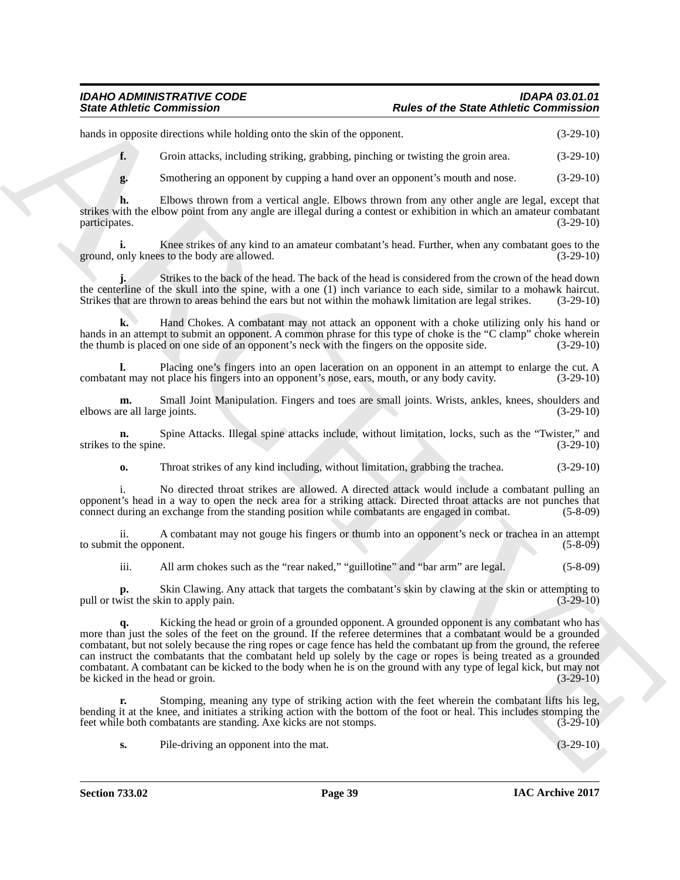#### *IDAHO ADMINISTRATIVE CODE IDAPA 03.01.01 State Athletic Commission Rules of the State Athletic Commission*

hands in opposite directions while holding onto the skin of the opponent. (3-29-10)

**f.** Groin attacks, including striking, grabbing, pinching or twisting the groin area.  $(3-29-10)$ 

**g.** Smothering an opponent by cupping a hand over an opponent's mouth and nose. (3-29-10)

**h.** Elbows thrown from a vertical angle. Elbows thrown from any other angle are legal, except that strikes with the elbow point from any angle are illegal during a contest or exhibition in which an amateur combatant participates. (3-29-10) participates. (3-29-10)

**i.** Knee strikes of any kind to an amateur combatant's head. Further, when any combatant goes to the body are allowed.  $(3-29-10)$ ground, only knees to the body are allowed.

**j.** Strikes to the back of the head. The back of the head is considered from the crown of the head down the centerline of the skull into the spine, with a one (1) inch variance to each side, similar to a mohawk haircut. Strikes that are thrown to areas behind the ears but not within the mohawk limitation are legal strikes. (3-29-10)

**k.** Hand Chokes. A combatant may not attack an opponent with a choke utilizing only his hand or hands in an attempt to submit an opponent. A common phrase for this type of choke is the "C clamp" choke wherein the thumb is placed on one side of an opponent's neck with the fingers on the opposite side. (3-29-10)

**l.** Placing one's fingers into an open laceration on an opponent in an attempt to enlarge the cut. A nt may not place his fingers into an opponent's nose, ears, mouth, or any body cavity.  $(3-29-10)$ combatant may not place his fingers into an opponent's nose, ears, mouth, or any body cavity.

**m.** Small Joint Manipulation. Fingers and toes are small joints. Wrists, ankles, knees, shoulders and re all large joints. (3-29-10) elbows are all large joints.

**n.** Spine Attacks. Illegal spine attacks include, without limitation, locks, such as the "Twister," and the spine.  $(3-29-10)$ strikes to the spine.

**o.** Throat strikes of any kind including, without limitation, grabbing the trachea.  $(3-29-10)$ 

i. No directed throat strikes are allowed. A directed attack would include a combatant pulling an opponent's head in a way to open the neck area for a striking attack. Directed throat attacks are not punches that connect during an exchange from the standing position while combatants are engaged in combat. (5-8-09)

ii. A combatant may not gouge his fingers or thumb into an opponent's neck or trachea in an attempt to submit the opponent. (5-8-09)

iii. All arm chokes such as the "rear naked," "guillotine" and "bar arm" are legal. (5-8-09)

**p.** Skin Clawing. Any attack that targets the combatant's skin by clawing at the skin or attempting to pull or twist the skin to apply pain. (3-29-10)

Since Zubiek Commission<br>
hash to quote Commission<br>
hash to quote Commission<br>
the state control interest including one die state grantene or entering particular control in the state grantene or particular control interest **q.** Kicking the head or groin of a grounded opponent. A grounded opponent is any combatant who has more than just the soles of the feet on the ground. If the referee determines that a combatant would be a grounded combatant, but not solely because the ring ropes or cage fence has held the combatant up from the ground, the referee can instruct the combatants that the combatant held up solely by the cage or ropes is being treated as a grounded combatant. A combatant can be kicked to the body when he is on the ground with any type of legal kick, but may not be kicked in the head or groin.

**r.** Stomping, meaning any type of striking action with the feet wherein the combatant lifts his leg, bending it at the knee, and initiates a striking action with the bottom of the foot or heal. This includes stomping the feet while both combatants are standing. Axe kicks are not stomps. (3-29-10)

**s.** Pile-driving an opponent into the mat.  $(3-29-10)$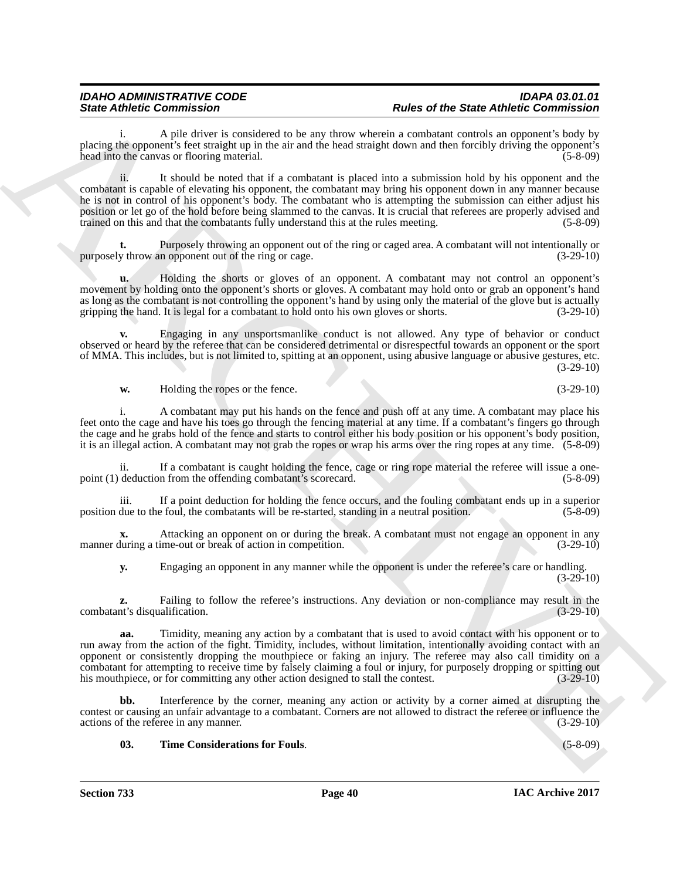i. A pile driver is considered to be any throw wherein a combatant controls an opponent's body by placing the opponent's feet straight up in the air and the head straight down and then forcibly driving the opponent's head into the canvas or flooring material. head into the canvas or flooring material.

Since Zubieke Consentration<br>  $\alpha$  Applications is considered to be main these of the Since Abelian Consentrations is a proposition of the Since Consentrations in the Consentration of the Consentration of the Consentration ii. It should be noted that if a combatant is placed into a submission hold by his opponent and the combatant is capable of elevating his opponent, the combatant may bring his opponent down in any manner because he is not in control of his opponent's body. The combatant who is attempting the submission can either adjust his position or let go of the hold before being slammed to the canvas. It is crucial that referees are properly advised and trained on this and that the combatants fully understand this at the rules meeting. (5-8-09)

**t.** Purposely throwing an opponent out of the ring or caged area. A combatant will not intentionally or y throw an opponent out of the ring or cage.  $(3-29-10)$ purposely throw an opponent out of the ring or cage.

**u.** Holding the shorts or gloves of an opponent. A combatant may not control an opponent's movement by holding onto the opponent's shorts or gloves. A combatant may hold onto or grab an opponent's hand as long as the combatant is not controlling the opponent's hand by using only the material of the glove but is actually gripping the hand. It is legal for a combatant to hold onto his own gloves or shorts. (3-29-10) gripping the hand. It is legal for a combatant to hold onto his own gloves or shorts.

**v.** Engaging in any unsportsmanlike conduct is not allowed. Any type of behavior or conduct observed or heard by the referee that can be considered detrimental or disrespectful towards an opponent or the sport of MMA. This includes, but is not limited to, spitting at an opponent, using abusive language or abusive gestures, etc. (3-29-10)

**w.** Holding the ropes or the fence. (3-29-10)

i. A combatant may put his hands on the fence and push off at any time. A combatant may place his feet onto the cage and have his toes go through the fencing material at any time. If a combatant's fingers go through the cage and he grabs hold of the fence and starts to control either his body position or his opponent's body position, it is an illegal action. A combatant may not grab the ropes or wrap his arms over the ring ropes at any time. (5-8-09)

ii. If a combatant is caught holding the fence, cage or ring rope material the referee will issue a onepoint (1) deduction from the offending combatant's scorecard. (5-8-09)

iii. If a point deduction for holding the fence occurs, and the fouling combatant ends up in a superior due to the foul, the combatants will be re-started, standing in a neutral position. (5-8-09) position due to the foul, the combatants will be re-started, standing in a neutral position.

Attacking an opponent on or during the break. A combatant must not engage an opponent in any ime-out or break of action in competition. (3-29-10) manner during a time-out or break of action in competition.

**y.** Engaging an opponent in any manner while the opponent is under the referee's care or handling.  $(3-29-10)$ 

**z.** Failing to follow the referee's instructions. Any deviation or non-compliance may result in the nt's disqualification. (3-29-10) combatant's disqualification.

**aa.** Timidity, meaning any action by a combatant that is used to avoid contact with his opponent or to run away from the action of the fight. Timidity, includes, without limitation, intentionally avoiding contact with an opponent or consistently dropping the mouthpiece or faking an injury. The referee may also call timidity on a combatant for attempting to receive time by falsely claiming a foul or injury, for purposely dropping or spitting out his mouthpiece, or for committing any other action designed to stall the contest. (3-29-10) his mouthpiece, or for committing any other action designed to stall the contest.

Interference by the corner, meaning any action or activity by a corner aimed at disrupting the contest or causing an unfair advantage to a combatant. Corners are not allowed to distract the referee or influence the actions of the referee in any manner. (3-29-10)

#### <span id="page-39-0"></span>**03. Time Considerations for Fouls**. (5-8-09)

**Section 733 Page 40**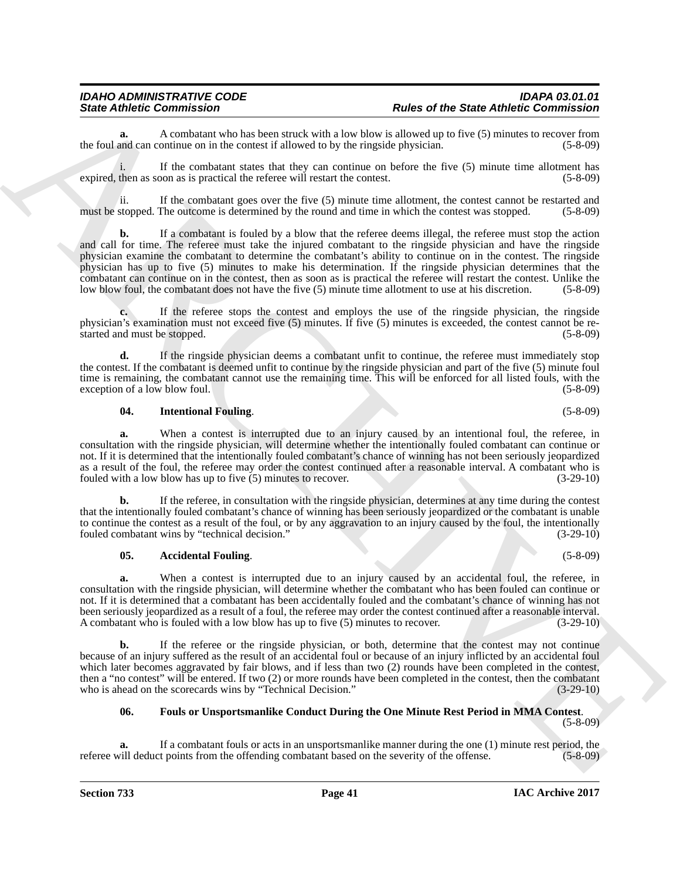**a.** A combatant who has been struck with a low blow is allowed up to five (5) minutes to recover from and can continue on in the contest if allowed to by the ringside physician. (5-8-09) the foul and can continue on in the contest if allowed to by the ringside physician.

i. If the combatant states that they can continue on before the five (5) minute time allotment has expired, then as soon as is practical the referee will restart the contest. (5-8-09)

ii. If the combatant goes over the five (5) minute time allotment, the contest cannot be restarted and must be stopped. The outcome is determined by the round and time in which the contest was stopped. (5-8-09)

Since Zolution Commission 21<br>
Since Zolution Society and the Since Andres and the Since Andres and the Since Andres and the Since And<br>
the United Since And Since And Since And Since And Since And Since And Since And Since **b.** If a combatant is fouled by a blow that the referee deems illegal, the referee must stop the action and call for time. The referee must take the injured combatant to the ringside physician and have the ringside physician examine the combatant to determine the combatant's ability to continue on in the contest. The ringside physician has up to five (5) minutes to make his determination. If the ringside physician determines that the combatant can continue on in the contest, then as soon as is practical the referee will restart the contest. Unlike the low blow foul, the combatant does not have the five (5) minute time allotment to use at his discretion. (5-8-09)

**c.** If the referee stops the contest and employs the use of the ringside physician, the ringside physician's examination must not exceed five (5) minutes. If five (5) minutes is exceeded, the contest cannot be restarted and must be stopped. (5-8-09)

**d.** If the ringside physician deems a combatant unfit to continue, the referee must immediately stop the contest. If the combatant is deemed unfit to continue by the ringside physician and part of the five (5) minute foul time is remaining, the combatant cannot use the remaining time. This will be enforced for all listed fouls, with the exception of a low blow foul. (5-8-09) exception of a low blow foul.

#### <span id="page-40-2"></span>**04. Intentional Fouling**. (5-8-09)

**a.** When a contest is interrupted due to an injury caused by an intentional foul, the referee, in consultation with the ringside physician, will determine whether the intentionally fouled combatant can continue or not. If it is determined that the intentionally fouled combatant's chance of winning has not been seriously jeopardized as a result of the foul, the referee may order the contest continued after a reasonable interval. A combatant who is fouled with a low blow has up to five (5) minutes to recover. (3-29-10)

**b.** If the referee, in consultation with the ringside physician, determines at any time during the contest that the intentionally fouled combatant's chance of winning has been seriously jeopardized or the combatant is unable to continue the contest as a result of the foul, or by any aggravation to an injury caused by the foul, the intentionally fouled combatant wins by "technical decision." (3-29-10)

#### <span id="page-40-0"></span>**05.** Accidental Fouling. (5-8-09)

**a.** When a contest is interrupted due to an injury caused by an accidental foul, the referee, in consultation with the ringside physician, will determine whether the combatant who has been fouled can continue or not. If it is determined that a combatant has been accidentally fouled and the combatant's chance of winning has not been seriously jeopardized as a result of a foul, the referee may order the contest continued after a reasonable interval.<br>A combatant who is fouled with a low blow has up to five (5) minutes to recover. (3-29-10) A combatant who is fouled with a low blow has up to five  $(5)$  minutes to recover.

**b.** If the referee or the ringside physician, or both, determine that the contest may not continue because of an injury suffered as the result of an accidental foul or because of an injury inflicted by an accidental foul which later becomes aggravated by fair blows, and if less than two (2) rounds have been completed in the contest, then a "no contest" will be entered. If two (2) or more rounds have been completed in the contest, then the combatant who is ahead on the scorecards wins by "Technical Decision." (3-29-10) who is ahead on the scorecards wins by "Technical Decision."

### <span id="page-40-1"></span>**06. Fouls or Unsportsmanlike Conduct During the One Minute Rest Period in MMA Contest**.

(5-8-09)

**a.** If a combatant fouls or acts in an unsportsmanlike manner during the one (1) minute rest period, the vill deduct points from the offending combatant based on the severity of the offense. (5-8-09) referee will deduct points from the offending combatant based on the severity of the offense.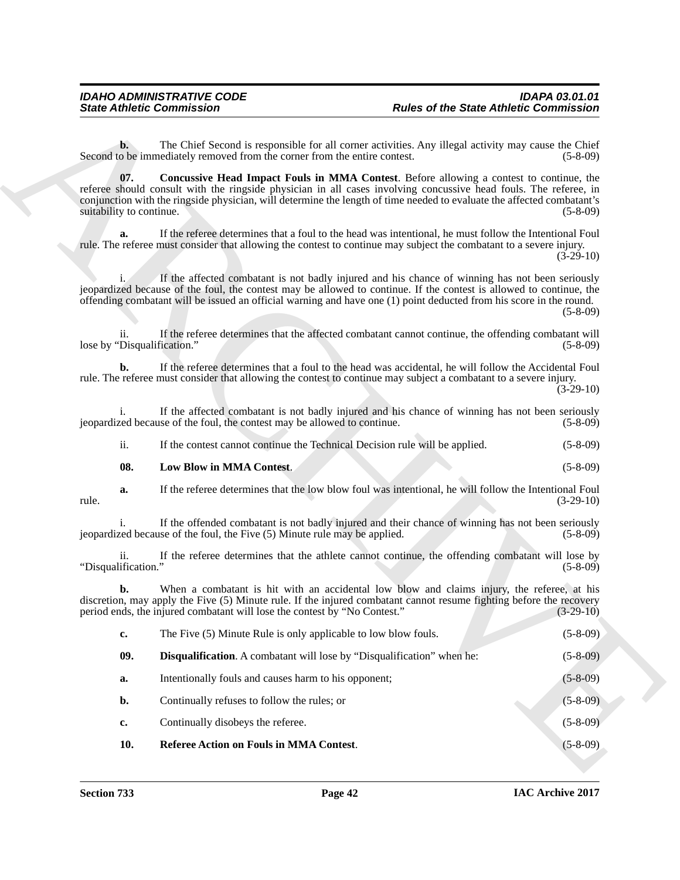<span id="page-41-0"></span>

|                                    | <b>State Athletic Commission</b>                                            | <b>Rules of the State Athletic Commission</b>                                                                                                                                                                                                                                                                                                 |                |
|------------------------------------|-----------------------------------------------------------------------------|-----------------------------------------------------------------------------------------------------------------------------------------------------------------------------------------------------------------------------------------------------------------------------------------------------------------------------------------------|----------------|
| $\mathbf{b}$ .                     | Second to be immediately removed from the corner from the entire contest.   | The Chief Second is responsible for all corner activities. Any illegal activity may cause the Chief                                                                                                                                                                                                                                           | $(5-8-09)$     |
| 07.<br>suitability to continue.    |                                                                             | <b>Concussive Head Impact Fouls in MMA Contest.</b> Before allowing a contest to continue, the<br>referee should consult with the ringside physician in all cases involving concussive head fouls. The referee, in<br>conjunction with the ringside physician, will determine the length of time needed to evaluate the affected combatant's  | $(5-8-09)$     |
| a.                                 |                                                                             | If the referee determines that a foul to the head was intentional, he must follow the Intentional Foul<br>rule. The referee must consider that allowing the contest to continue may subject the combatant to a severe injury.                                                                                                                 | $(3-29-10)$    |
|                                    |                                                                             | If the affected combatant is not badly injured and his chance of winning has not been seriously<br>jeopardized because of the foul, the contest may be allowed to continue. If the contest is allowed to continue, the<br>offending combatant will be issued an official warning and have one (1) point deducted from his score in the round. | $(5-8-09)$     |
| ii.<br>lose by "Disqualification." |                                                                             | If the referee determines that the affected combatant cannot continue, the offending combatant will                                                                                                                                                                                                                                           | $(5-8-09)$     |
| b.                                 |                                                                             | If the referee determines that a foul to the head was accidental, he will follow the Accidental Foul<br>rule. The referee must consider that allowing the contest to continue may subject a combatant to a severe injury.                                                                                                                     | $(3-29-10)$    |
| i.                                 | jeopardized because of the foul, the contest may be allowed to continue.    | If the affected combatant is not badly injured and his chance of winning has not been seriously                                                                                                                                                                                                                                               | $(5-8-09)$     |
| ii.                                | If the contest cannot continue the Technical Decision rule will be applied. |                                                                                                                                                                                                                                                                                                                                               | $(5-8-09)$     |
| 08.                                | Low Blow in MMA Contest.                                                    |                                                                                                                                                                                                                                                                                                                                               | $(5-8-09)$     |
| a.<br>rule.                        |                                                                             | If the referee determines that the low blow foul was intentional, he will follow the Intentional Foul                                                                                                                                                                                                                                         | $(3-29-10)$    |
|                                    | jeopardized because of the foul, the Five (5) Minute rule may be applied.   | If the offended combatant is not badly injured and their chance of winning has not been seriously                                                                                                                                                                                                                                             | $(5-8-09)$     |
| ii.<br>"Disqualification."         |                                                                             | If the referee determines that the athlete cannot continue, the offending combatant will lose by                                                                                                                                                                                                                                              | $(5-8-09)$     |
| b.                                 | period ends, the injured combatant will lose the contest by "No Contest."   | When a combatant is hit with an accidental low blow and claims injury, the referee, at his<br>discretion, may apply the Five (5) Minute rule. If the injured combatant cannot resume fighting before the recovery                                                                                                                             | $(3-29-10)$    |
| c.                                 | The Five (5) Minute Rule is only applicable to low blow fouls.              |                                                                                                                                                                                                                                                                                                                                               | $(5 - 8 - 09)$ |
| 09.                                | Disqualification. A combatant will lose by "Disqualification" when he:      |                                                                                                                                                                                                                                                                                                                                               | $(5-8-09)$     |
| a.                                 | Intentionally fouls and causes harm to his opponent;                        |                                                                                                                                                                                                                                                                                                                                               | $(5-8-09)$     |
| b.                                 | Continually refuses to follow the rules; or                                 |                                                                                                                                                                                                                                                                                                                                               | $(5 - 8 - 09)$ |
| $\mathbf{c}$                       | Continually disobeys the referee.                                           |                                                                                                                                                                                                                                                                                                                                               | $(5-8-09)$     |
|                                    | Referee Action on Fouls in MMA Contest.                                     |                                                                                                                                                                                                                                                                                                                                               | $(5-8-09)$     |

<span id="page-41-3"></span><span id="page-41-2"></span><span id="page-41-1"></span>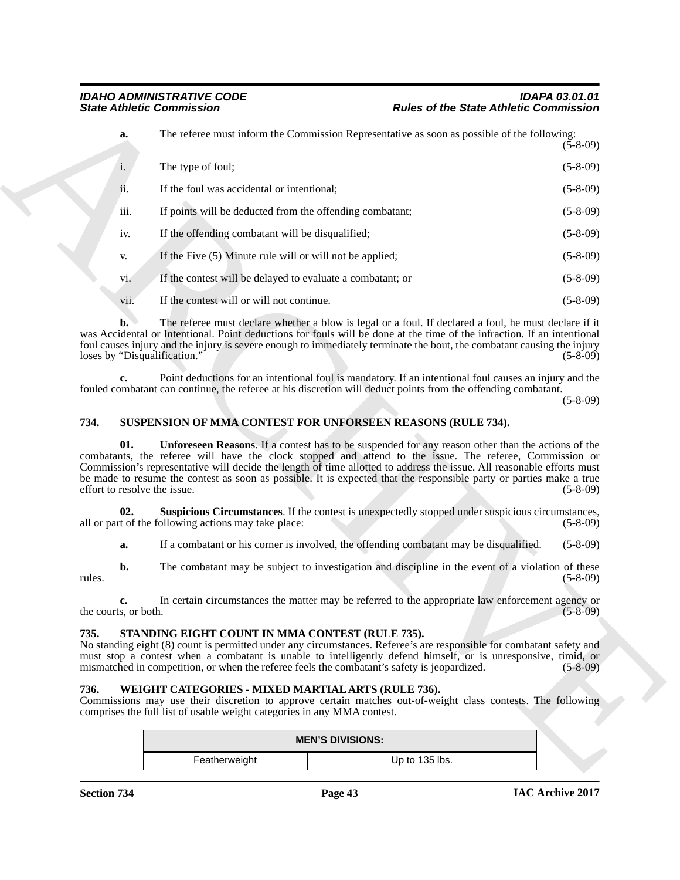|                      | <b>State Athletic Commission</b>                                                                                              | <b>Rules of the State Athletic Commission</b>                                                                                                                                                                                                                                                                                                                                                                                                                       |                |
|----------------------|-------------------------------------------------------------------------------------------------------------------------------|---------------------------------------------------------------------------------------------------------------------------------------------------------------------------------------------------------------------------------------------------------------------------------------------------------------------------------------------------------------------------------------------------------------------------------------------------------------------|----------------|
| a.                   |                                                                                                                               | The referee must inform the Commission Representative as soon as possible of the following:                                                                                                                                                                                                                                                                                                                                                                         | $(5 - 8 - 09)$ |
| i.                   | The type of foul;                                                                                                             |                                                                                                                                                                                                                                                                                                                                                                                                                                                                     | $(5-8-09)$     |
| ii.                  | If the foul was accidental or intentional;                                                                                    |                                                                                                                                                                                                                                                                                                                                                                                                                                                                     | $(5-8-09)$     |
| iii.                 | If points will be deducted from the offending combatant;                                                                      |                                                                                                                                                                                                                                                                                                                                                                                                                                                                     | $(5-8-09)$     |
| iv.                  | If the offending combatant will be disqualified;                                                                              |                                                                                                                                                                                                                                                                                                                                                                                                                                                                     | $(5-8-09)$     |
| V.                   | If the Five (5) Minute rule will or will not be applied;                                                                      |                                                                                                                                                                                                                                                                                                                                                                                                                                                                     | $(5-8-09)$     |
| vi.                  | If the contest will be delayed to evaluate a combatant; or                                                                    |                                                                                                                                                                                                                                                                                                                                                                                                                                                                     | $(5-8-09)$     |
| vii.                 | If the contest will or will not continue.                                                                                     |                                                                                                                                                                                                                                                                                                                                                                                                                                                                     | $(5-8-09)$     |
| b.                   | loses by "Disqualification."                                                                                                  | The referee must declare whether a blow is legal or a foul. If declared a foul, he must declare if it<br>was Accidental or Intentional. Point deductions for fouls will be done at the time of the infraction. If an intentional<br>foul causes injury and the injury is severe enough to immediately terminate the bout, the combatant causing the injury                                                                                                          | $(5-8-09)$     |
| c.                   |                                                                                                                               | Point deductions for an intentional foul is mandatory. If an intentional foul causes an injury and the<br>fouled combatant can continue, the referee at his discretion will deduct points from the offending combatant.                                                                                                                                                                                                                                             | $(5-8-09)$     |
| 734.                 |                                                                                                                               | SUSPENSION OF MMA CONTEST FOR UNFORSEEN REASONS (RULE 734).                                                                                                                                                                                                                                                                                                                                                                                                         |                |
| 01.                  | effort to resolve the issue.                                                                                                  | <b>Unforeseen Reasons.</b> If a contest has to be suspended for any reason other than the actions of the<br>combatants, the referee will have the clock stopped and attend to the issue. The referee, Commission or<br>Commission's representative will decide the length of time allotted to address the issue. All reasonable efforts must<br>be made to resume the contest as soon as possible. It is expected that the responsible party or parties make a true | $(5-8-09)$     |
| 02.                  | all or part of the following actions may take place:                                                                          | Suspicious Circumstances. If the contest is unexpectedly stopped under suspicious circumstances,                                                                                                                                                                                                                                                                                                                                                                    | $(5-8-09)$     |
| a.                   |                                                                                                                               | If a combatant or his corner is involved, the offending combatant may be disqualified.                                                                                                                                                                                                                                                                                                                                                                              | $(5-8-09)$     |
| b.<br>rules.         |                                                                                                                               | The combatant may be subject to investigation and discipline in the event of a violation of these                                                                                                                                                                                                                                                                                                                                                                   | $(5-8-09)$     |
| the courts, or both. |                                                                                                                               | In certain circumstances the matter may be referred to the appropriate law enforcement agency or                                                                                                                                                                                                                                                                                                                                                                    | $(5 - 8 - 09)$ |
| 735.                 | STANDING EIGHT COUNT IN MMA CONTEST (RULE 735).                                                                               | No standing eight (8) count is permitted under any circumstances. Referee's are responsible for combatant safety and<br>must stop a contest when a combatant is unable to intelligently defend himself, or is unresponsive, timid, or<br>mismatched in competition, or when the referee feels the combatant's safety is jeopardized.                                                                                                                                | $(5-8-09)$     |
| 736.                 | WEIGHT CATEGORIES - MIXED MARTIAL ARTS (RULE 736).<br>comprises the full list of usable weight categories in any MMA contest. | Commissions may use their discretion to approve certain matches out-of-weight class contests. The following                                                                                                                                                                                                                                                                                                                                                         |                |
|                      |                                                                                                                               | <b>MEN'S DIVISIONS:</b>                                                                                                                                                                                                                                                                                                                                                                                                                                             |                |
|                      | Featherweight                                                                                                                 | Up to 135 lbs.                                                                                                                                                                                                                                                                                                                                                                                                                                                      |                |

#### <span id="page-42-5"></span><span id="page-42-4"></span><span id="page-42-0"></span>**734. SUSPENSION OF MMA CONTEST FOR UNFORSEEN REASONS (RULE 734).**

#### <span id="page-42-3"></span><span id="page-42-1"></span>**735. STANDING EIGHT COUNT IN MMA CONTEST (RULE 735).**

#### <span id="page-42-6"></span><span id="page-42-2"></span>**736. WEIGHT CATEGORIES - MIXED MARTIAL ARTS (RULE 736).**

| <b>MEN'S DIVISIONS:</b> |                |  |
|-------------------------|----------------|--|
| Featherweight           | Up to 135 lbs. |  |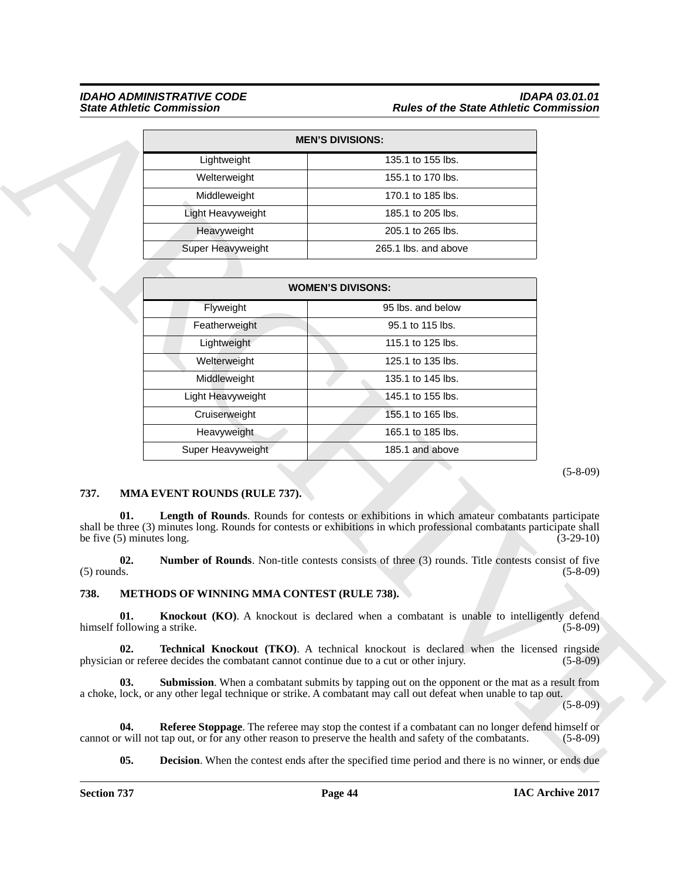#### *IDAHO ADMINISTRATIVE CODE IDAPA 03.01.01 State Athletic Commission Rules of the State Athletic Commission*

| <b>MEN'S DIVISIONS:</b> |                      |  |  |  |
|-------------------------|----------------------|--|--|--|
| Lightweight             | 135.1 to 155 lbs.    |  |  |  |
| Welterweight            | 155.1 to 170 lbs.    |  |  |  |
| Middleweight            | 170.1 to 185 lbs.    |  |  |  |
| Light Heavyweight       | 185.1 to 205 lbs.    |  |  |  |
| Heavyweight             | 205.1 to 265 lbs.    |  |  |  |
| Super Heavyweight       | 265.1 lbs. and above |  |  |  |

|                                            |                                                                                          | <b>MEN'S DIVISIONS:</b>                                                                                                                                                                                                   |                |
|--------------------------------------------|------------------------------------------------------------------------------------------|---------------------------------------------------------------------------------------------------------------------------------------------------------------------------------------------------------------------------|----------------|
|                                            | Lightweight                                                                              | 135.1 to 155 lbs.                                                                                                                                                                                                         |                |
|                                            | Welterweight                                                                             | 155.1 to 170 lbs.                                                                                                                                                                                                         |                |
|                                            | Middleweight                                                                             | 170.1 to 185 lbs.                                                                                                                                                                                                         |                |
|                                            | Light Heavyweight                                                                        | 185.1 to 205 lbs.                                                                                                                                                                                                         |                |
|                                            | Heavyweight                                                                              | 205.1 to 265 lbs.                                                                                                                                                                                                         |                |
|                                            | Super Heavyweight                                                                        | 265.1 lbs. and above                                                                                                                                                                                                      |                |
|                                            |                                                                                          |                                                                                                                                                                                                                           |                |
|                                            |                                                                                          | <b>WOMEN'S DIVISONS:</b>                                                                                                                                                                                                  |                |
|                                            | Flyweight                                                                                | 95 lbs. and below                                                                                                                                                                                                         |                |
|                                            | Featherweight                                                                            | 95.1 to 115 lbs.                                                                                                                                                                                                          |                |
|                                            | Lightweight                                                                              | 115.1 to 125 lbs.                                                                                                                                                                                                         |                |
|                                            | Welterweight                                                                             | 125.1 to 135 lbs.                                                                                                                                                                                                         |                |
|                                            | Middleweight                                                                             | 135.1 to 145 lbs.                                                                                                                                                                                                         |                |
|                                            | Light Heavyweight                                                                        | 145.1 to 155 lbs.                                                                                                                                                                                                         |                |
|                                            | Cruiserweight                                                                            | 155.1 to 165 lbs.                                                                                                                                                                                                         |                |
|                                            | Heavyweight                                                                              | 165.1 to 185 lbs.                                                                                                                                                                                                         |                |
|                                            | Super Heavyweight                                                                        | 185.1 and above                                                                                                                                                                                                           |                |
|                                            |                                                                                          |                                                                                                                                                                                                                           |                |
| 737.<br>01.<br>be five $(5)$ minutes long. | MMA EVENT ROUNDS (RULE 737).                                                             | Length of Rounds. Rounds for contests or exhibitions in which amateur combatants participate<br>shall be three (3) minutes long. Rounds for contests or exhibitions in which professional combatants participate shall    | $(3-29-10)$    |
| 02.<br>$(5)$ rounds.                       |                                                                                          | <b>Number of Rounds.</b> Non-title contests consists of three (3) rounds. Title contests consist of five                                                                                                                  | $(5-8-09)$     |
| 738.                                       | METHODS OF WINNING MMA CONTEST (RULE 738).                                               |                                                                                                                                                                                                                           |                |
| 01.<br>himself following a strike.         |                                                                                          | <b>Knockout (KO)</b> . A knockout is declared when a combatant is unable to intelligently defend                                                                                                                          | $(5-8-09)$     |
| 02.                                        | physician or referee decides the combatant cannot continue due to a cut or other injury. | <b>Technical Knockout (TKO).</b> A technical knockout is declared when the licensed ringside                                                                                                                              | $(5 - 8 - 09)$ |
| 03.                                        |                                                                                          | <b>Submission</b> . When a combatant submits by tapping out on the opponent or the mat as a result from<br>a choke, lock, or any other legal technique or strike. A combatant may call out defeat when unable to tap out. | $(5-8-09)$     |
| 04.                                        |                                                                                          | <b>Referee Stoppage</b> . The referee may stop the contest if a combatant can no longer defend himself or<br>cannot or will not tap out, or for any other reason to preserve the health and safety of the combatants.     | $(5-8-09)$     |

#### <span id="page-43-7"></span><span id="page-43-0"></span>**737. MMA EVENT ROUNDS (RULE 737).**

#### <span id="page-43-8"></span><span id="page-43-6"></span><span id="page-43-5"></span><span id="page-43-4"></span><span id="page-43-3"></span><span id="page-43-2"></span><span id="page-43-1"></span>**738. METHODS OF WINNING MMA CONTEST (RULE 738).**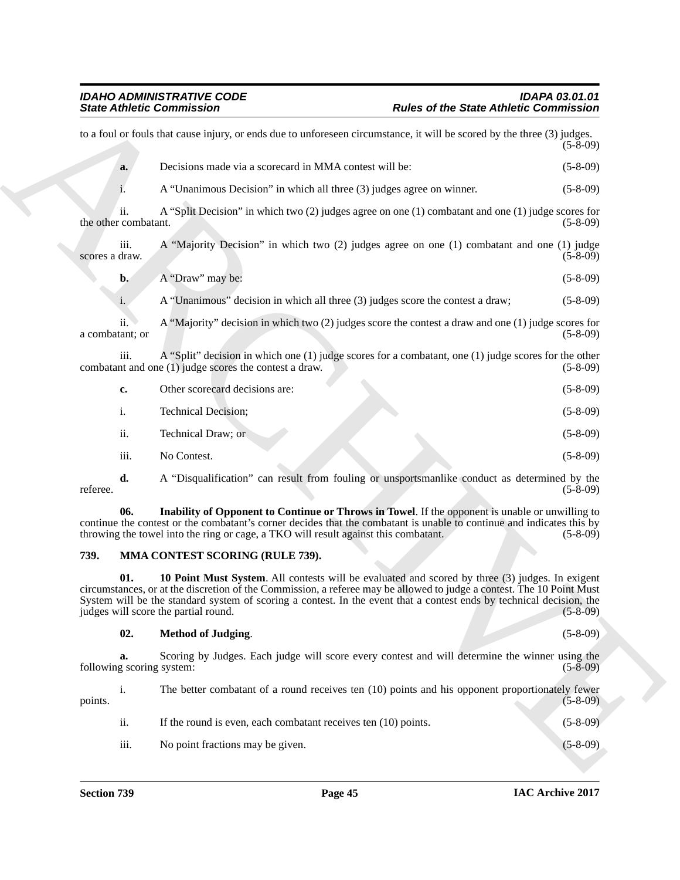|                                 | <b>State Athletic Commission</b>                                                                                                                                                                                                                                                                                                                                                         | <b>Rules of the State Athletic Commission</b> |
|---------------------------------|------------------------------------------------------------------------------------------------------------------------------------------------------------------------------------------------------------------------------------------------------------------------------------------------------------------------------------------------------------------------------------------|-----------------------------------------------|
|                                 | to a foul or fouls that cause injury, or ends due to unforeseen circumstance, it will be scored by the three (3) judges.                                                                                                                                                                                                                                                                 | $(5 - 8 - 09)$                                |
| a.                              | Decisions made via a scorecard in MMA contest will be:                                                                                                                                                                                                                                                                                                                                   | $(5-8-09)$                                    |
|                                 | A "Unanimous Decision" in which all three (3) judges agree on winner.                                                                                                                                                                                                                                                                                                                    | $(5-8-09)$                                    |
| ii.<br>the other combatant.     | A "Split Decision" in which two $(2)$ judges agree on one $(1)$ combatant and one $(1)$ judge scores for                                                                                                                                                                                                                                                                                 | $(5-8-09)$                                    |
| iii.<br>scores a draw.          | A "Majority Decision" in which two (2) judges agree on one (1) combatant and one (1) judge                                                                                                                                                                                                                                                                                               | $(5-8-09)$                                    |
| $\mathbf{b}$ .                  | A "Draw" may be:                                                                                                                                                                                                                                                                                                                                                                         | $(5-8-09)$                                    |
| i.                              | A "Unanimous" decision in which all three (3) judges score the contest a draw;                                                                                                                                                                                                                                                                                                           | $(5-8-09)$                                    |
| ii.<br>a combatant; or          | A "Majority" decision in which two (2) judges score the contest a draw and one (1) judge scores for                                                                                                                                                                                                                                                                                      | $(5-8-09)$                                    |
| iii.                            | A "Split" decision in which one $(1)$ judge scores for a combatant, one $(1)$ judge scores for the other<br>combatant and one (1) judge scores the contest a draw.                                                                                                                                                                                                                       | $(5-8-09)$                                    |
| c.                              | Other scorecard decisions are:                                                                                                                                                                                                                                                                                                                                                           | $(5-8-09)$                                    |
| i.                              | Technical Decision;                                                                                                                                                                                                                                                                                                                                                                      | $(5-8-09)$                                    |
| ii.                             | Technical Draw; or                                                                                                                                                                                                                                                                                                                                                                       | $(5-8-09)$                                    |
| iii.                            | No Contest.                                                                                                                                                                                                                                                                                                                                                                              | $(5-8-09)$                                    |
| d.<br>referee.                  | A "Disqualification" can result from fouling or unsportsmanlike conduct as determined by the                                                                                                                                                                                                                                                                                             | $(5-8-09)$                                    |
| 06.                             | Inability of Opponent to Continue or Throws in Towel. If the opponent is unable or unwilling to<br>continue the contest or the combatant's corner decides that the combatant is unable to continue and indicates this by<br>throwing the towel into the ring or cage, a TKO will result against this combatant.                                                                          | $(5-8-09)$                                    |
| 739.                            | MMA CONTEST SCORING (RULE 739).                                                                                                                                                                                                                                                                                                                                                          |                                               |
| 01.                             | 10 Point Must System. All contests will be evaluated and scored by three (3) judges. In exigent<br>circumstances, or at the discretion of the Commission, a referee may be allowed to judge a contest. The 10 Point Must<br>System will be the standard system of scoring a contest. In the event that a contest ends by technical decision, the<br>judges will score the partial round. | $(5-8-09)$                                    |
| 02.                             | <b>Method of Judging.</b>                                                                                                                                                                                                                                                                                                                                                                | $(5 - 8 - 09)$                                |
| a.<br>following scoring system: | Scoring by Judges. Each judge will score every contest and will determine the winner using the                                                                                                                                                                                                                                                                                           | $(5-8-09)$                                    |
| i.<br>points.                   | The better combatant of a round receives ten (10) points and his opponent proportionately fewer                                                                                                                                                                                                                                                                                          | $(5-8-09)$                                    |
| ii.                             | If the round is even, each combatant receives ten (10) points.                                                                                                                                                                                                                                                                                                                           | $(5 - 8 - 09)$                                |
|                                 |                                                                                                                                                                                                                                                                                                                                                                                          | $(5 - 8 - 09)$                                |

#### <span id="page-44-1"></span><span id="page-44-0"></span>**739. MMA CONTEST SCORING (RULE 739).**

#### <span id="page-44-3"></span><span id="page-44-2"></span>**02. Method of Judging**. (5-8-09)

| points. | 1.   | The better combatant of a round receives ten (10) points and his opponent proportionately fewer | $(5-8-09)$ |
|---------|------|-------------------------------------------------------------------------------------------------|------------|
|         | ii.  | If the round is even, each combatant receives ten (10) points.                                  | $(5-8-09)$ |
|         | iii. | No point fractions may be given.                                                                | $(5-8-09)$ |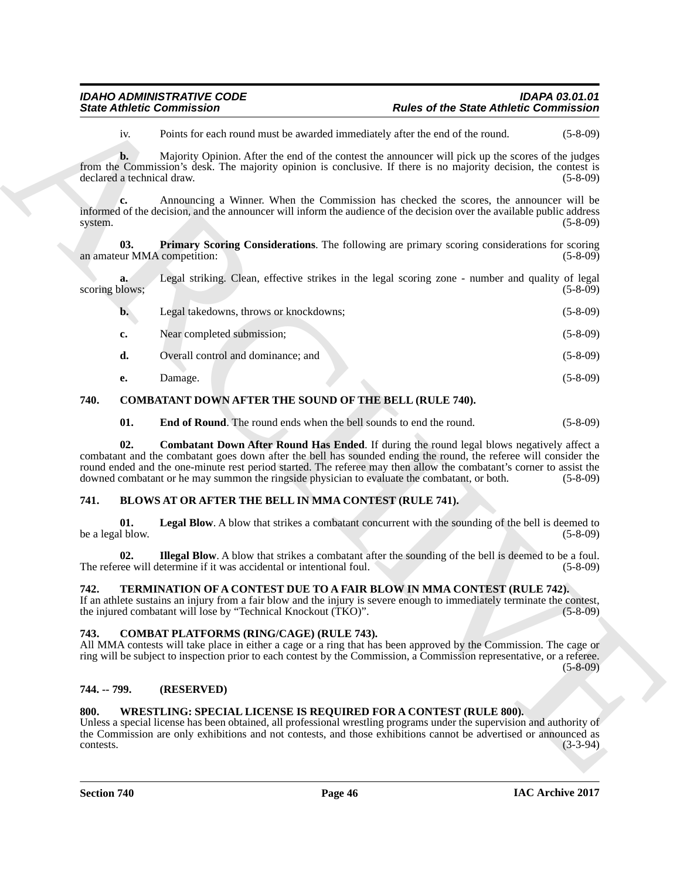<span id="page-45-13"></span>

| <b>IDAHO ADMINISTRATIVE CODE</b> | <b>IDAPA 03.01.01</b>                         |
|----------------------------------|-----------------------------------------------|
| <b>State Athletic Commission</b> | <b>Rules of the State Athletic Commission</b> |

| <b>State Athletic Commission</b>   |                                                                      | <b>Rules of the State Athletic Commission</b>                                                                                                                                                                                                                                                                                                                                                                                               |                |
|------------------------------------|----------------------------------------------------------------------|---------------------------------------------------------------------------------------------------------------------------------------------------------------------------------------------------------------------------------------------------------------------------------------------------------------------------------------------------------------------------------------------------------------------------------------------|----------------|
| iv.                                |                                                                      | Points for each round must be awarded immediately after the end of the round.                                                                                                                                                                                                                                                                                                                                                               | $(5-8-09)$     |
| b.<br>declared a technical draw.   |                                                                      | Majority Opinion. After the end of the contest the announcer will pick up the scores of the judges<br>from the Commission's desk. The majority opinion is conclusive. If there is no majority decision, the contest is                                                                                                                                                                                                                      | $(5-8-09)$     |
| c.<br>system.                      |                                                                      | Announcing a Winner. When the Commission has checked the scores, the announcer will be<br>informed of the decision, and the announcer will inform the audience of the decision over the available public address                                                                                                                                                                                                                            | $(5-8-09)$     |
| 03.<br>an amateur MMA competition: |                                                                      | <b>Primary Scoring Considerations.</b> The following are primary scoring considerations for scoring                                                                                                                                                                                                                                                                                                                                         | $(5-8-09)$     |
| a.<br>scoring blows;               |                                                                      | Legal striking. Clean, effective strikes in the legal scoring zone - number and quality of legal                                                                                                                                                                                                                                                                                                                                            | $(5-8-09)$     |
| $\mathbf{b}$ .                     | Legal takedowns, throws or knockdowns;                               |                                                                                                                                                                                                                                                                                                                                                                                                                                             | $(5-8-09)$     |
| c.                                 | Near completed submission;                                           |                                                                                                                                                                                                                                                                                                                                                                                                                                             | $(5-8-09)$     |
| d.                                 | Overall control and dominance; and                                   |                                                                                                                                                                                                                                                                                                                                                                                                                                             | $(5-8-09)$     |
| e.                                 | Damage.                                                              |                                                                                                                                                                                                                                                                                                                                                                                                                                             | $(5-8-09)$     |
| 740.                               | COMBATANT DOWN AFTER THE SOUND OF THE BELL (RULE 740).               |                                                                                                                                                                                                                                                                                                                                                                                                                                             |                |
| 01.                                | End of Round. The round ends when the bell sounds to end the round.  |                                                                                                                                                                                                                                                                                                                                                                                                                                             | $(5 - 8 - 09)$ |
| 02.                                |                                                                      | <b>Combatant Down After Round Has Ended.</b> If during the round legal blows negatively affect a<br>combatant and the combatant goes down after the bell has sounded ending the round, the referee will consider the<br>round ended and the one-minute rest period started. The referee may then allow the combatant's corner to assist the<br>downed combatant or he may summon the ringside physician to evaluate the combatant, or both. | $(5-8-09)$     |
| 741.                               | BLOWS AT OR AFTER THE BELL IN MMA CONTEST (RULE 741).                |                                                                                                                                                                                                                                                                                                                                                                                                                                             |                |
| 01.<br>be a legal blow.            |                                                                      | Legal Blow. A blow that strikes a combatant concurrent with the sounding of the bell is deemed to                                                                                                                                                                                                                                                                                                                                           | $(5-8-09)$     |
| 02.                                | The referee will determine if it was accidental or intentional foul. | <b>Illegal Blow.</b> A blow that strikes a combatant after the sounding of the bell is deemed to be a foul.                                                                                                                                                                                                                                                                                                                                 | $(5 - 8 - 09)$ |
| 742.                               | the injured combatant will lose by "Technical Knockout (TKO)".       | TERMINATION OF A CONTEST DUE TO A FAIR BLOW IN MMA CONTEST (RULE 742).<br>If an athlete sustains an injury from a fair blow and the injury is severe enough to immediately terminate the contest,                                                                                                                                                                                                                                           | $(5 - 8 - 09)$ |
| 743.                               | COMBAT PLATFORMS (RING/CAGE) (RULE 743).                             | All MMA contests will take place in either a cage or a ring that has been approved by the Commission. The cage or<br>ring will be subject to inspection prior to each contest by the Commission, a Commission representative, or a referee.                                                                                                                                                                                                 | $(5-8-09)$     |
| 744. -- 799.                       | (RESERVED)                                                           |                                                                                                                                                                                                                                                                                                                                                                                                                                             |                |
| 800.                               |                                                                      | WRESTLING: SPECIAL LICENSE IS REQUIRED FOR A CONTEST (RULE 800).<br>Unless a special license has been obtained, all professional wrestling programs under the supervision and authority of<br>the Commission are only exhibitions and not contests, and those exhibitions cannot be advertised or announced as                                                                                                                              |                |

#### <span id="page-45-12"></span><span id="page-45-11"></span><span id="page-45-10"></span><span id="page-45-0"></span>**740. COMBATANT DOWN AFTER THE SOUND OF THE BELL (RULE 740).**

#### <span id="page-45-8"></span><span id="page-45-6"></span><span id="page-45-1"></span>**741. BLOWS AT OR AFTER THE BELL IN MMA CONTEST (RULE 741).**

#### <span id="page-45-14"></span><span id="page-45-7"></span><span id="page-45-2"></span>**742. TERMINATION OF A CONTEST DUE TO A FAIR BLOW IN MMA CONTEST (RULE 742).**

#### <span id="page-45-9"></span><span id="page-45-3"></span>**743. COMBAT PLATFORMS (RING/CAGE) (RULE 743).**

#### <span id="page-45-4"></span>**744. -- 799. (RESERVED)**

#### <span id="page-45-15"></span><span id="page-45-5"></span>**800. WRESTLING: SPECIAL LICENSE IS REQUIRED FOR A CONTEST (RULE 800).**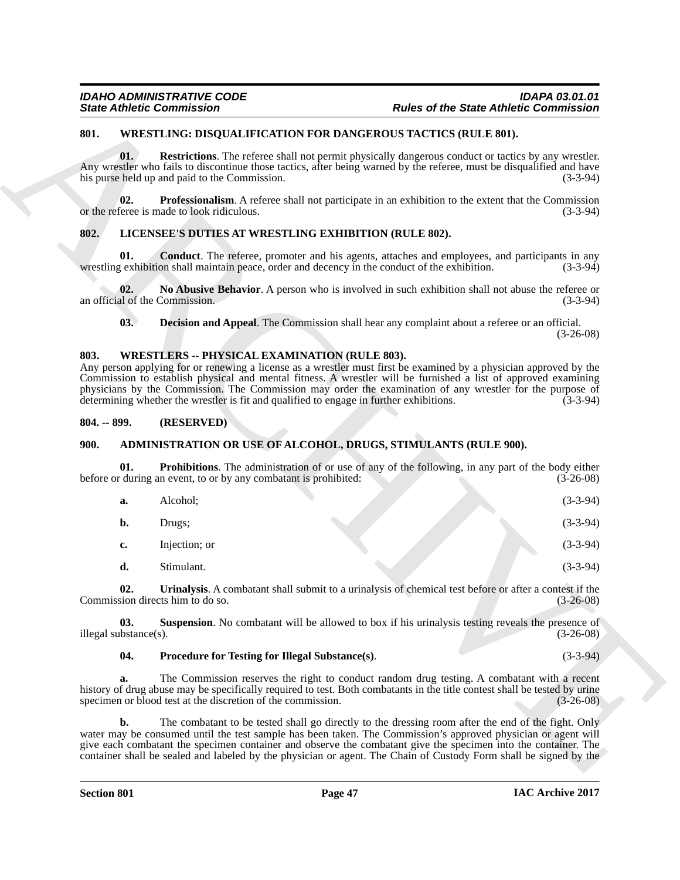#### <span id="page-46-15"></span><span id="page-46-0"></span>**801. WRESTLING: DISQUALIFICATION FOR DANGEROUS TACTICS (RULE 801).**

#### <span id="page-46-14"></span><span id="page-46-12"></span><span id="page-46-10"></span><span id="page-46-1"></span>**802. LICENSEE'S DUTIES AT WRESTLING EXHIBITION (RULE 802).**

### <span id="page-46-13"></span><span id="page-46-11"></span><span id="page-46-2"></span>**803. WRESTLERS -- PHYSICAL EXAMINATION (RULE 803).**

#### <span id="page-46-3"></span>**804. -- 899. (RESERVED)**

#### <span id="page-46-7"></span><span id="page-46-5"></span><span id="page-46-4"></span>**900. ADMINISTRATION OR USE OF ALCOHOL, DRUGS, STIMULANTS (RULE 900).**

|                                       | <b>State Athletic Commission</b>                                                                                                                | <b>Rules of the State Athletic Commission</b>                                                                                                                                                                                                                                                                                                                  |  |
|---------------------------------------|-------------------------------------------------------------------------------------------------------------------------------------------------|----------------------------------------------------------------------------------------------------------------------------------------------------------------------------------------------------------------------------------------------------------------------------------------------------------------------------------------------------------------|--|
| 801.                                  |                                                                                                                                                 | <b>WRESTLING: DISQUALIFICATION FOR DANGEROUS TACTICS (RULE 801).</b>                                                                                                                                                                                                                                                                                           |  |
| 01.                                   | his purse held up and paid to the Commission.                                                                                                   | <b>Restrictions</b> . The referee shall not permit physically dangerous conduct or tactics by any wrestler.<br>Any wrestler who fails to discontinue those tactics, after being warned by the referee, must be disqualified and have<br>$(3-3-94)$                                                                                                             |  |
| 02.                                   | or the referee is made to look ridiculous.                                                                                                      | <b>Professionalism.</b> A referee shall not participate in an exhibition to the extent that the Commission<br>$(3-3-94)$                                                                                                                                                                                                                                       |  |
| 802.                                  | LICENSEE'S DUTIES AT WRESTLING EXHIBITION (RULE 802).                                                                                           |                                                                                                                                                                                                                                                                                                                                                                |  |
| 01.                                   |                                                                                                                                                 | <b>Conduct</b> . The referee, promoter and his agents, attaches and employees, and participants in any<br>wrestling exhibition shall maintain peace, order and decency in the conduct of the exhibition.<br>$(3-3-94)$                                                                                                                                         |  |
| 02.<br>an official of the Commission. |                                                                                                                                                 | No Abusive Behavior. A person who is involved in such exhibition shall not abuse the referee or<br>$(3-3-94)$                                                                                                                                                                                                                                                  |  |
| 03.                                   |                                                                                                                                                 | <b>Decision and Appeal.</b> The Commission shall hear any complaint about a referee or an official.<br>$(3-26-08)$                                                                                                                                                                                                                                             |  |
| 803.                                  | <b>WRESTLERS -- PHYSICAL EXAMINATION (RULE 803).</b><br>determining whether the wrestler is fit and qualified to engage in further exhibitions. | Any person applying for or renewing a license as a wrestler must first be examined by a physician approved by the<br>Commission to establish physical and mental fitness. A wrestler will be furnished a list of approved examining<br>physicians by the Commission. The Commission may order the examination of any wrestler for the purpose of<br>$(3-3-94)$ |  |
| $804. - 899.$                         | (RESERVED)                                                                                                                                      |                                                                                                                                                                                                                                                                                                                                                                |  |
| 900.                                  |                                                                                                                                                 | ADMINISTRATION OR USE OF ALCOHOL, DRUGS, STIMULANTS (RULE 900).                                                                                                                                                                                                                                                                                                |  |
| 01.                                   | before or during an event, to or by any combatant is prohibited:                                                                                | <b>Prohibitions</b> . The administration of or use of any of the following, in any part of the body either<br>$(3-26-08)$                                                                                                                                                                                                                                      |  |
| a.                                    | Alcohol;                                                                                                                                        | $(3-3-94)$                                                                                                                                                                                                                                                                                                                                                     |  |
| b.                                    | Drugs;                                                                                                                                          | $(3-3-94)$                                                                                                                                                                                                                                                                                                                                                     |  |
| c.                                    | Injection; or                                                                                                                                   | $(3-3-94)$                                                                                                                                                                                                                                                                                                                                                     |  |
| d.                                    | Stimulant.                                                                                                                                      | $(3-3-94)$                                                                                                                                                                                                                                                                                                                                                     |  |
| 02.                                   | Commission directs him to do so.                                                                                                                | Urinalysis. A combatant shall submit to a urinalysis of chemical test before or after a contest if the<br>$(3-26-08)$                                                                                                                                                                                                                                          |  |
| 03.<br>illegal substance(s).          |                                                                                                                                                 | <b>Suspension.</b> No combatant will be allowed to box if his urinalysis testing reveals the presence of<br>$(3-26-08)$                                                                                                                                                                                                                                        |  |
| 04.                                   | Procedure for Testing for Illegal Substance(s).                                                                                                 | $(3-3-94)$                                                                                                                                                                                                                                                                                                                                                     |  |
| a.                                    | specimen or blood test at the discretion of the commission.                                                                                     | The Commission reserves the right to conduct random drug testing. A combatant with a recent<br>history of drug abuse may be specifically required to test. Both combatants in the title contest shall be tested by urine<br>$(3-26-08)$                                                                                                                        |  |
| b.                                    | give each combatant the specimen container and observe the combatant give the specimen into the container. The                                  | The combatant to be tested shall go directly to the dressing room after the end of the fight. Only<br>water may be consumed until the test sample has been taken. The Commission's approved physician or agent will                                                                                                                                            |  |

#### <span id="page-46-9"></span><span id="page-46-8"></span><span id="page-46-6"></span>**04. Procedure for Testing for Illegal Substance(s)**. (3-3-94)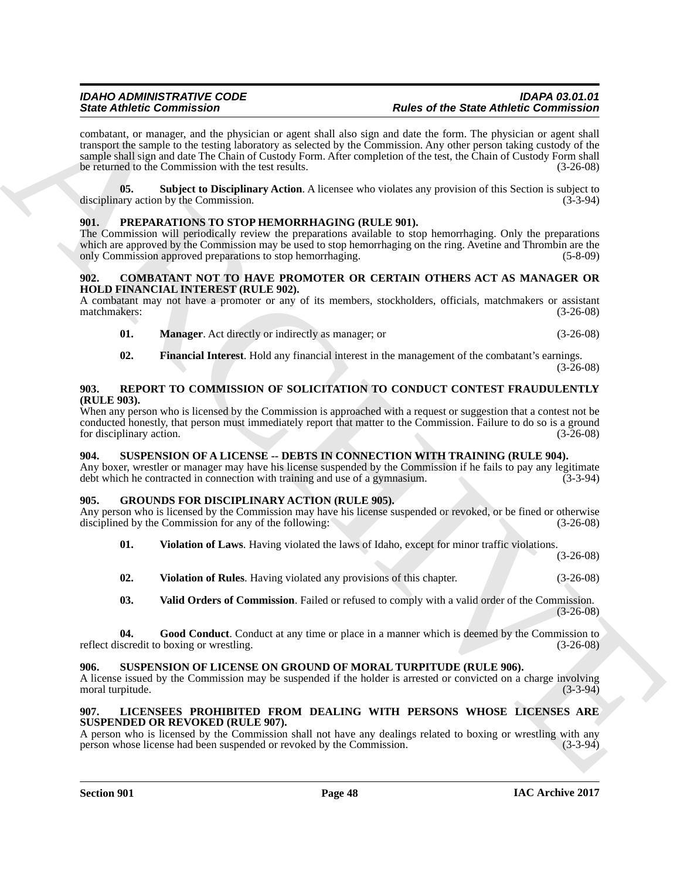Since different Commissions of the physicial state of the Since of the Since Role Commission in the state of the Since Since the Since Since the Since Since the Since Since Since Since Since Since Since Since Since Since combatant, or manager, and the physician or agent shall also sign and date the form. The physician or agent shall transport the sample to the testing laboratory as selected by the Commission. Any other person taking custody of the sample shall sign and date The Chain of Custody Form. After completion of the test, the Chain of Custody Form shall be returned to the Commission with the test results. (3-26-08)

<span id="page-47-7"></span>**05. Subject to Disciplinary Action**. A licensee who violates any provision of this Section is subject to any action by the Commission. (3-3-94) disciplinary action by the Commission.

#### <span id="page-47-16"></span><span id="page-47-0"></span>**901. PREPARATIONS TO STOP HEMORRHAGING (RULE 901).**

The Commission will periodically review the preparations available to stop hemorrhaging. Only the preparations which are approved by the Commission may be used to stop hemorrhaging on the ring. Avetine and Thrombin are the only Commission approved preparations to stop hemorrhaging. (5-8-09) only Commission approved preparations to stop hemorrhaging.

#### <span id="page-47-8"></span><span id="page-47-1"></span>**902. COMBATANT NOT TO HAVE PROMOTER OR CERTAIN OTHERS ACT AS MANAGER OR HOLD FINANCIAL INTEREST (RULE 902).**

A combatant may not have a promoter or any of its members, stockholders, officials, matchmakers or assistant matchmakers: (3-26-08) matchmakers:

- <span id="page-47-10"></span>**01. Manager**. Act directly or indirectly as manager; or (3-26-08)
- <span id="page-47-17"></span><span id="page-47-9"></span>**02. Financial Interest**. Hold any financial interest in the management of the combatant's earnings.  $(3-26-08)$

#### <span id="page-47-2"></span>**903. REPORT TO COMMISSION OF SOLICITATION TO CONDUCT CONTEST FRAUDULENTLY (RULE 903).**

When any person who is licensed by the Commission is approached with a request or suggestion that a contest not be conducted honestly, that person must immediately report that matter to the Commission. Failure to do so is a ground for disciplinary action. (3-26-08) for disciplinary action.

#### <span id="page-47-18"></span><span id="page-47-3"></span>**904. SUSPENSION OF A LICENSE -- DEBTS IN CONNECTION WITH TRAINING (RULE 904).**

Any boxer, wrestler or manager may have his license suspended by the Commission if he fails to pay any legitimate debt which he contracted in connection with training and use of a gymnasium. (3-3-94)

#### <span id="page-47-4"></span>**905. GROUNDS FOR DISCIPLINARY ACTION (RULE 905).**

Any person who is licensed by the Commission may have his license suspended or revoked, or be fined or otherwise disciplined by the Commission for any of the following: (3-26-08) disciplined by the Commission for any of the following:

<span id="page-47-13"></span>**01. Violation of Laws**. Having violated the laws of Idaho, except for minor traffic violations.

(3-26-08)

<span id="page-47-14"></span>**02. Violation of Rules**. Having violated any provisions of this chapter. (3-26-08)

<span id="page-47-12"></span><span id="page-47-11"></span>**03. Valid Orders of Commission**. Failed or refused to comply with a valid order of the Commission.  $(3-26-08)$ 

**04.** Good Conduct. Conduct at any time or place in a manner which is deemed by the Commission to iscredit to boxing or wrestling. (3-26-08) reflect discredit to boxing or wrestling.

#### <span id="page-47-19"></span><span id="page-47-5"></span>**906. SUSPENSION OF LICENSE ON GROUND OF MORAL TURPITUDE (RULE 906).**

A license issued by the Commission may be suspended if the holder is arrested or convicted on a charge involving moral turpitude.

#### <span id="page-47-15"></span><span id="page-47-6"></span>**907. LICENSEES PROHIBITED FROM DEALING WITH PERSONS WHOSE LICENSES ARE SUSPENDED OR REVOKED (RULE 907).**

A person who is licensed by the Commission shall not have any dealings related to boxing or wrestling with any person whose license had been suspended or revoked by the Commission. (3-3-94) person whose license had been suspended or revoked by the Commission.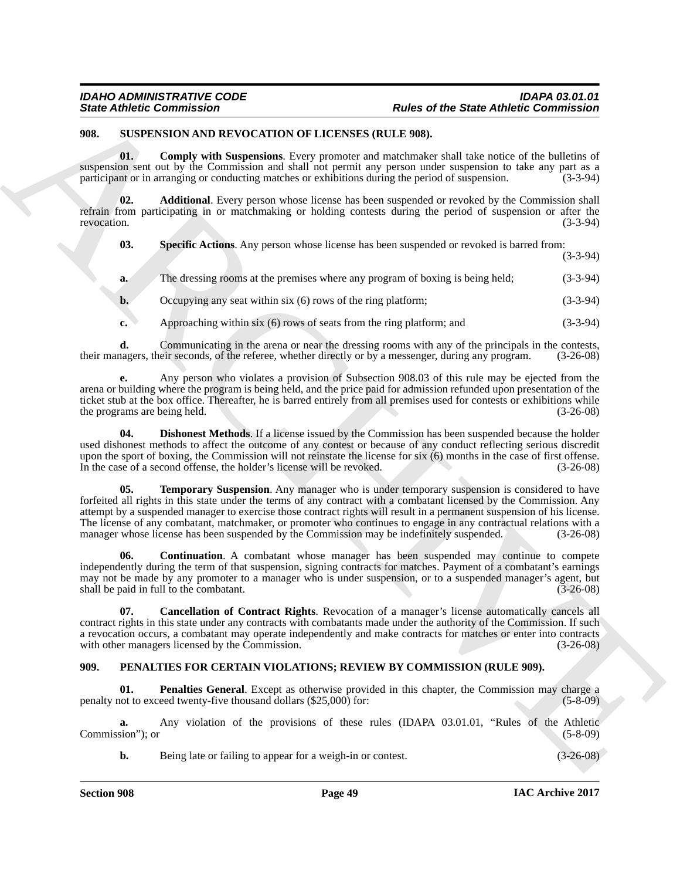#### <span id="page-48-8"></span><span id="page-48-5"></span><span id="page-48-3"></span><span id="page-48-0"></span>**908. SUSPENSION AND REVOCATION OF LICENSES (RULE 908).**

|                        | <b>State Athletic Commission</b>                                       | <b>Rules of the State Athletic Commission</b>                                                                                                                                                                                                                                                                                                                                                                                                                                                                                                                       |             |
|------------------------|------------------------------------------------------------------------|---------------------------------------------------------------------------------------------------------------------------------------------------------------------------------------------------------------------------------------------------------------------------------------------------------------------------------------------------------------------------------------------------------------------------------------------------------------------------------------------------------------------------------------------------------------------|-------------|
| 908.                   | SUSPENSION AND REVOCATION OF LICENSES (RULE 908).                      |                                                                                                                                                                                                                                                                                                                                                                                                                                                                                                                                                                     |             |
| 01.                    |                                                                        | <b>Comply with Suspensions.</b> Every promoter and matchmaker shall take notice of the bulletins of<br>suspension sent out by the Commission and shall not permit any person under suspension to take any part as a<br>participant or in arranging or conducting matches or exhibitions during the period of suspension.                                                                                                                                                                                                                                            | $(3-3-94)$  |
| 02.<br>revocation.     |                                                                        | Additional. Every person whose license has been suspended or revoked by the Commission shall<br>refrain from participating in or matchmaking or holding contests during the period of suspension or after the                                                                                                                                                                                                                                                                                                                                                       | $(3-3-94)$  |
| 03.                    |                                                                        | Specific Actions. Any person whose license has been suspended or revoked is barred from:                                                                                                                                                                                                                                                                                                                                                                                                                                                                            | $(3-3-94)$  |
| a.                     |                                                                        | The dressing rooms at the premises where any program of boxing is being held;                                                                                                                                                                                                                                                                                                                                                                                                                                                                                       | $(3-3-94)$  |
| b.                     | Occupying any seat within six (6) rows of the ring platform;           |                                                                                                                                                                                                                                                                                                                                                                                                                                                                                                                                                                     | $(3-3-94)$  |
| c.                     | Approaching within six (6) rows of seats from the ring platform; and   |                                                                                                                                                                                                                                                                                                                                                                                                                                                                                                                                                                     | $(3-3-94)$  |
| d.                     |                                                                        | Communicating in the arena or near the dressing rooms with any of the principals in the contests,<br>their managers, their seconds, of the referee, whether directly or by a messenger, during any program.                                                                                                                                                                                                                                                                                                                                                         | $(3-26-08)$ |
|                        | the programs are being held.                                           | Any person who violates a provision of Subsection 908.03 of this rule may be ejected from the<br>arena or building where the program is being held, and the price paid for admission refunded upon presentation of the<br>ticket stub at the box office. Thereafter, he is barred entirely from all premises used for contests or exhibitions while                                                                                                                                                                                                                 | $(3-26-08)$ |
| 04.                    | In the case of a second offense, the holder's license will be revoked. | <b>Dishonest Methods.</b> If a license issued by the Commission has been suspended because the holder<br>used dishonest methods to affect the outcome of any contest or because of any conduct reflecting serious discredit<br>upon the sport of boxing, the Commission will not reinstate the license for six (6) months in the case of first offense.                                                                                                                                                                                                             | $(3-26-08)$ |
| 05.                    |                                                                        | <b>Temporary Suspension.</b> Any manager who is under temporary suspension is considered to have<br>forfeited all rights in this state under the terms of any contract with a combatant licensed by the Commission. Any<br>attempt by a suspended manager to exercise those contract rights will result in a permanent suspension of his license.<br>The license of any combatant, matchmaker, or promoter who continues to engage in any contractual relations with a<br>manager whose license has been suspended by the Commission may be indefinitely suspended. | $(3-26-08)$ |
| 06.                    | shall be paid in full to the combatant.                                | <b>Continuation.</b> A combatant whose manager has been suspended may continue to compete<br>independently during the term of that suspension, signing contracts for matches. Payment of a combatant's earnings<br>may not be made by any promoter to a manager who is under suspension, or to a suspended manager's agent, but                                                                                                                                                                                                                                     | $(3-26-08)$ |
| 07.                    | with other managers licensed by the Commission.                        | <b>Cancellation of Contract Rights.</b> Revocation of a manager's license automatically cancels all<br>contract rights in this state under any contracts with combatants made under the authority of the Commission. If such<br>a revocation occurs, a combatant may operate independently and make contracts for matches or enter into contracts                                                                                                                                                                                                                   | $(3-26-08)$ |
| 909.                   |                                                                        | PENALTIES FOR CERTAIN VIOLATIONS; REVIEW BY COMMISSION (RULE 909).                                                                                                                                                                                                                                                                                                                                                                                                                                                                                                  |             |
| 01.                    | penalty not to exceed twenty-five thousand dollars (\$25,000) for:     | <b>Penalties General.</b> Except as otherwise provided in this chapter, the Commission may charge a                                                                                                                                                                                                                                                                                                                                                                                                                                                                 | $(5-8-09)$  |
| a.<br>Commission"); or |                                                                        | Any violation of the provisions of these rules (IDAPA 03.01.01, "Rules of the Athletic                                                                                                                                                                                                                                                                                                                                                                                                                                                                              | $(5-8-09)$  |
|                        |                                                                        |                                                                                                                                                                                                                                                                                                                                                                                                                                                                                                                                                                     |             |

#### <span id="page-48-9"></span><span id="page-48-7"></span><span id="page-48-6"></span><span id="page-48-4"></span><span id="page-48-2"></span><span id="page-48-1"></span>**909. PENALTIES FOR CERTAIN VIOLATIONS; REVIEW BY COMMISSION (RULE 909).**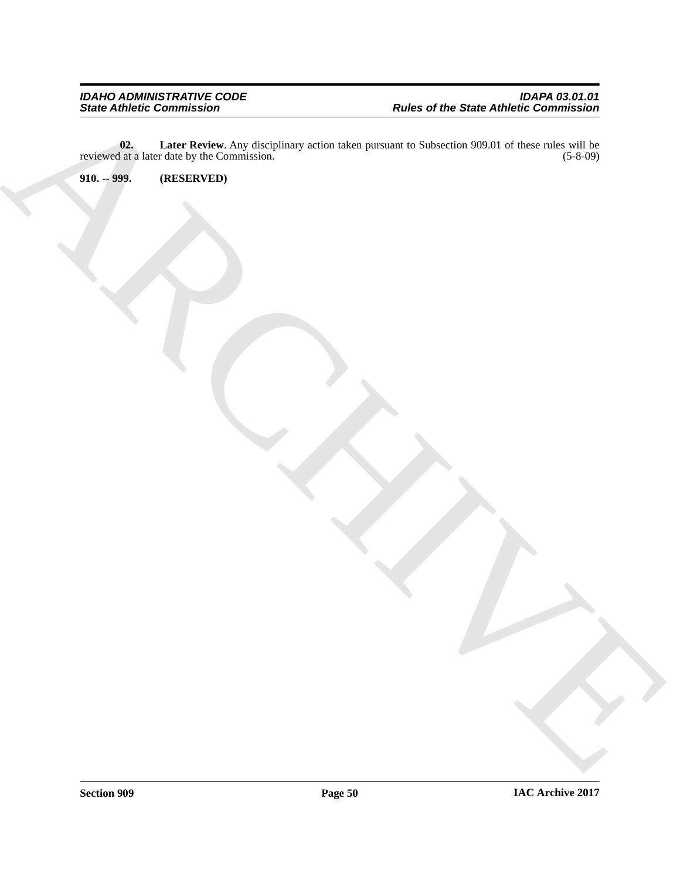ARCHIVE **02.** Later Review. Any disciplinary action taken pursuant to Subsection 909.01 of these rules will be at a later date by the Commission. (5-8-09) reviewed at a later date by the Commission.

<span id="page-49-1"></span><span id="page-49-0"></span>**910. -- 999. (RESERVED)**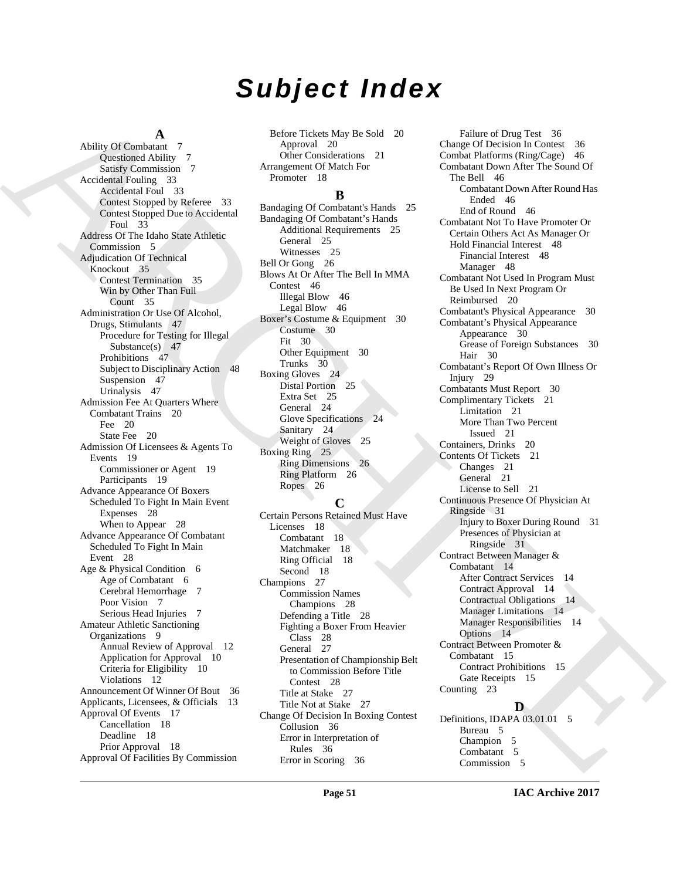# *Subject Index*

#### **A**

And  $\mu$  (Figure 2). [I](#page-30-5)n the case of the case of the case of the case of the case of the case of the case of the case of the case of the case of the case of the case of the case of the case of the case of the case of the c Ability Of Combatant 7 Questioned Ability 7 Satisfy Commission 7 Accidental Fouling 33 Accidental Foul 33 Contest Stopped by Referee 33 Contest Stopped Due to Accidental Foul 33 Address Of The Idaho State Athletic Commission 5 Adjudication Of Technical Knockout 35 Contest Termination 35 Win by Other Than Full Count 35 Administration Or Use Of Alcohol, Drugs, Stimulants 47 Procedure for Testing for Illegal Substance(s) 47 Prohibitions 47 Subject to Disciplinary Action 48 Suspension 47 Urinalysis 47 Admission Fee At Quarters Where Combatant Trains 20 Fee 20 State Fee 20 Admission Of Licensees & Agents To Events 19 Commissioner or Agent 19 Participants 19 Advance Appearance Of Boxers Scheduled To Fight In Main Event Expenses 28 When to Appear 28 Advance Appearance Of Combatant Scheduled To Fight In Main Event 28 Age & Physical Condition 6 Age of Combatant 6 Cerebral Hemorrhage 7 Poor Vision 7 Serious Head Injuries 7 Amateur Athletic Sanctioning Organizations 9 Annual Review of Approval 12 Application for Approval 10 Criteria for Eligibility 10 Violations 12 Announcement Of Winner Of Bout 36 Applicants, Licensees, & Officials 13 Approval Of Events 17 Cancellation 18 Deadline 18 Prior Approval 18 Approval Of Facilities By Commission

Before Tickets May Be Sold 20 Approval 20 Other Considerations 21 Arrangement Of Match For Promoter 18

#### **B**

Bandaging Of Combatant's Hands 25 Bandaging Of Combatant's Hands Additional Requirements 25 General 25 Witnesses 25 Bell Or Gong 26 Blows At Or After The Bell In MMA Contest 46 Illegal Blow 46 Legal Blow 46 Boxer's Costume & Equipment 30 Costume 30 Fit 30 Other Equipment 30 Trunks 30 Boxing Gloves 24 Distal Portion 25 Extra Set 25 General 24 Glove Specifications 24 Sanitary 24 Weight of Gloves 25 Boxing Ring 25 Ring Dimensions 26 Ring Platform 26 Ropes 26

#### **C**

Certain Persons Retained Must Have Licenses 18 Combatant 18 Matchmaker 18 Ring Official 18 Second 18 Champions 27 Commission Names Champions 28 Defending a Title 28 Fighting a Boxer From Heavier Class 28 General 27 Presentation of Championship Belt to Commission Before Title Contest 28 Title at Stake 27 Title Not at Stake 27 Change Of Decision In Boxing Contest Collusion 36 Error in Interpretation of Rules 36 Error in Scoring 36

Failure of Drug Test 36 Change Of Decision In Contest 36 Combat Platforms (Ring/Cage) 46 Combatant Down After The Sound Of The Bell 46 Combatant Down After Round Has Ended 46 End of Round 46 Combatant Not To Have Promoter Or Certain Others Act As Manager Or Hold Financial Interest 48 Financial Interest 48 Manager 48 Combatant Not Used In Program Must Be Used In Next Program Or Reimbursed 20 Combatant's Physical Appearance 30 Combatant's Physical Appearance Appearance 30 Grease of Foreign Substances 30 Hair 30 Combatant's Report Of Own Illness Or Injury 29 Combatants Must Report 30 Complimentary Tickets 21 Limitation 21 More Than Two Percent Issued 21 Containers, Drinks 20 Contents Of Tickets 21 Changes 21 General 21 License to Sell 21 Continuous Presence Of Physician At Ringside 31 Injury to Boxer During Round 31 Presences of Physician at Ringside 31 Contract Between Manager & Combatant 14 After Contract Services 14 Contract Approval 14 Contractual Obligations 14 Manager Limitations 14 Manager Responsibilities 14 Options 14 Contract Between Promoter & Combatant 15 Contract Prohibitions 15 Gate Receipts 15 Counting 23 **D**

Definitions, IDAPA 03.01.01 5 Bureau 5 Champion 5 Combatant 5 Commission 5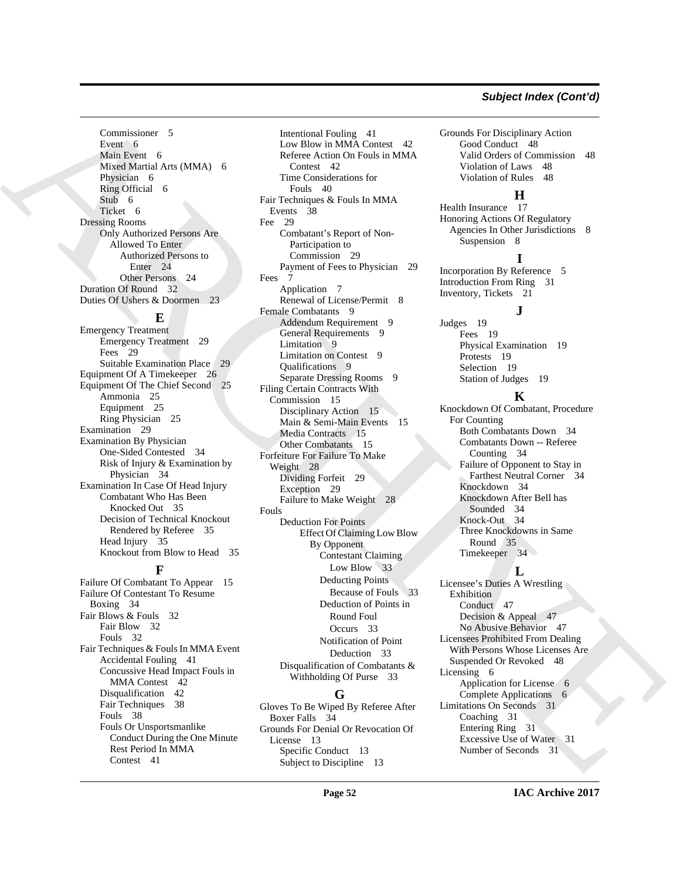### *Subject Index (Cont'd)*

Commissioner 5 Event 6 Main Event 6 Mixed Martial Arts (MMA) 6 Physician 6 Ring Official 6 Stub 6 Ticket 6 Dressing Rooms Only Authorized Persons Are Allowed To Enter Authorized Persons to Enter 24 Other Persons 24 Duration Of Round 32 Duties Of Ushers & Doormen 23

#### **E**

Emergency Treatment Emergency Treatment 29 Fees 29 Suitable Examination Place Equipment Of A Timekeeper 26 Equipment Of The Chief Second 25 Ammonia 25 Equipment 25 Ring Physician 25 Examination 29 Examination By Physician One-Sided Contested 34 Risk of Injury & Examination by Physician 34 Examination In Case Of Head Injury Combatant Who Has Been Knocked Out 35 Decision of Technical Knockout Rendered by Referee 35 Head Injury 35 Knockout from Blow to Head 35

### **F**

Failure Of Combatant To Appear 15 Failure Of Contestant To Resume Boxing 34 Fair Blows & Fouls 32 Fair Blow 32 Fouls 32 Fair Techniques & Fouls In MMA Event Accidental Fouling 41 Concussive Head Impact Fouls in MMA Contest 42 Disqualification 42 Fair Techniques 38 Fouls 38 Fouls Or Unsportsmanlike Conduct During the One Minute Rest Period In MMA Contest 41

Countries and the control of the signal of the signal of the signal of the signal of the signal of the signal of the signal of the signal of the signal of the signal of the signal of the signal of the signal of the signal Intentional Fouling 41 Low Blow in MMA Contest 42 Referee Action On Fouls in MMA Contest 42 Time Considerations for Fouls 40 Fair Techniques & Fouls In MMA Events 38 Fee 29 Combatant's Report of Non-Participation to Commission 29 Payment of Fees to Physician 29 Fees 7 Application 7 Renewal of License/Permit 8 Female Combatants 9 Addendum Requirement 9 General Requirements 9 Limitation 9 Limitation on Contest 9 Qualifications 9 Separate Dressing Rooms 9 Filing Certain Contracts With Commission 15 Disciplinary Action 15 Main & Semi-Main Events 15 Media Contracts 15 Other Combatants 15 Forfeiture For Failure To Make Weight 28 Dividing Forfeit 29 Exception 29 Failure to Make Weight 28 Fouls Deduction For Points Effect Of Claiming Low Blow By Opponent Contestant Claiming Low Blow 33 Deducting Points Because of Fouls 33 Deduction of Points in Round Foul Occurs 33 Notification of Point Deduction 33 Disqualification of Combatants & Withholding Of Purse 33

#### **G**

Gloves To Be Wiped By Referee After Boxer Falls 34 Grounds For Denial Or Revocation Of License 13 Specific Conduct 13 Subject to Discipline 13

Grounds For Disciplinary Action Good Conduct 48 Valid Orders of Commission 48 Violation of Laws 48 Violation of Rules 48

#### **H**

Health Insurance 17 Honoring Actions Of Regulatory Agencies In Other Jurisdictions 8 Suspension 8

#### **I**

Incorporation By Reference 5 Introduction From Ring 31 Inventory, Tickets 21

**J**

Judges 19 Fees 19 Physical Examination 19 Protests 19 Selection 19 Station of Judges 19

#### **K**

Knockdown Of Combatant, Procedure For Counting Both Combatants Down 34 Combatants Down -- Referee Counting 34 Failure of Opponent to Stay in Farthest Neutral Corner 34 Knockdown 34 Knockdown After Bell has Sounded 34 Knock-Out 34 Three Knockdowns in Same Round 35 Timekeeper 34

#### **L**

Licensee's Duties A Wrestling Exhibition Conduct 47 Decision & Appeal 47 No Abusive Behavior 47 Licensees Prohibited From Dealing With Persons Whose Licenses Are Suspended Or Revoked 48 Licensing 6 Application for License 6 Complete Applications 6 Limitations On Seconds 31 Coaching 31 Entering Ring 31 Excessive Use of Water 31 Number of Seconds 31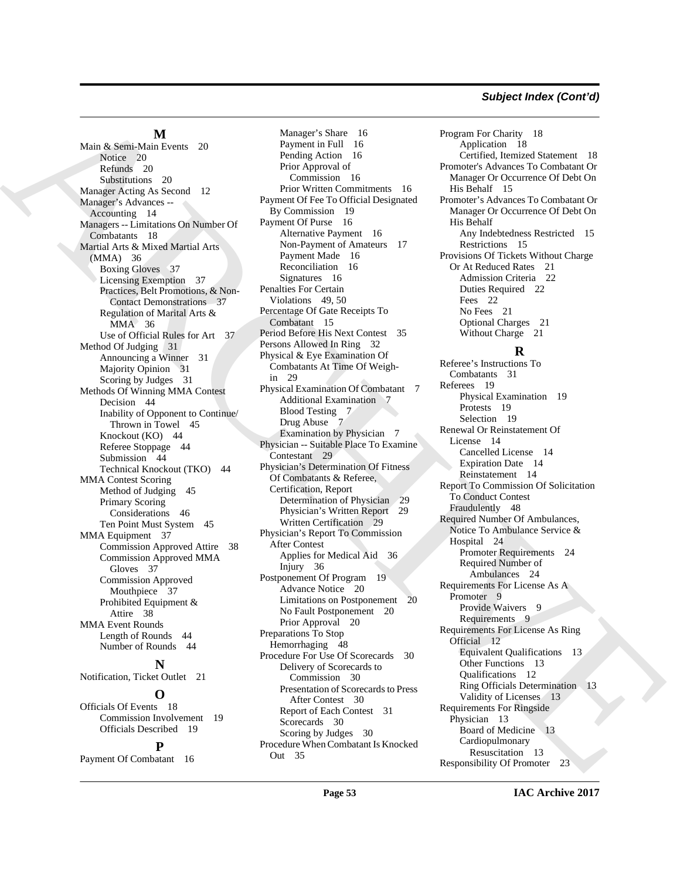#### *Subject Index (Cont'd)*

**M**

Main & Semi-Main Events 20 Notice 20 Refunds 20 Substitutions 20 Manager Acting As Second 12 Manager's Advances -- Accounting 14 Managers -- Limitations On Number Of Combatants 18 Martial Arts & Mixed Martial Arts (MMA) 36 Boxing Gloves 37 Licensing Exemption 37 Practices, Belt Promotions, & Non-Contact Demonstrations 37 Regulation of Marital Arts & MMA 36 Use of Official Rules for Art 37 Method Of Judging 31 Announcing a Winner 31 Majority Opinion 31 Scoring by Judges 31 Methods Of Winning MMA Contest Decision 44 Inability of Opponent to Continue/ Thrown in Towel 45 Knockout (KO) 44 Referee Stoppage 44 Submission 44 Technical Knockout (TKO) 44 MMA Contest Scoring Method of Judging 45 Primary Scoring Considerations 46 Ten Point Must System 45 MMA Equipment 37 Commission Approved Attire 38 Commission Approved MMA Gloves 37 Commission Approved Mouthpiece 37 Prohibited Equipment & Attire 38 MMA Event Rounds Length of Rounds 44 Number of Rounds 44 **N** Notification, Ticket Outlet 21 **O** Officials Of Events 18

> Officials Described 19 **P**

Commission Involvement 19

Payment Of Combatant 16

Main [A](#page-13-12)lgons M. Main a function of the spin of the spin of the spin of the spin of the spin of the spin of the spin of the spin of the spin of the spin of the spin of the spin of the spin of the spin of the spin of the spi Manager's Share 16 Payment in Full 16 Pending Action 16 Prior Approval of Commission 16 Prior Written Commitments 16 Payment Of Fee To Official Designated By Commission 19 Payment Of Purse 16 Alternative Payment 16 Non-Payment of Amateurs 17 Payment Made 16 Reconciliation 16 Signatures 16 Penalties For Certain Violations 49, 50 Percentage Of Gate Receipts To Combatant 15 Period Before His Next Contest 35 Persons Allowed In Ring 32 Physical & Eye Examination Of Combatants At Time Of Weighin 29 Physical Examination Of Combatant 7 Additional Examination 7 Blood Testing 7 Drug Abuse 7 Examination by Physician 7 Physician -- Suitable Place To Examine Contestant 29 Physician's Determination Of Fitness Of Combatants & Referee, Certification, Report Determination of Physician 29 Physician's Written Report 29 Written Certification 29 Physician's Report To Commission After Contest Applies for Medical Aid 36 Injury 36 Postponement Of Program 19 Advance Notice 20 Limitations on Postponement 20 No Fault Postponement 20 Prior Approval 20 Preparations To Stop Hemorrhaging 48 Procedure For Use Of Scorecards 30 Delivery of Scorecards to Commission 30 Presentation of Scorecards to Press After Contest 30 Report of Each Contest 31 Scorecards 30 Scoring by Judges 30 Procedure When Combatant Is Knocked Out 35

Program For Charity 18 Application 18 Certified, Itemized Statement 18 Promoter's Advances To Combatant Or Manager Or Occurrence Of Debt On His Behalf 15 Promoter's Advances To Combatant Or Manager Or Occurrence Of Debt On His Behalf Any Indebtedness Restricted 15 Restrictions 15 Provisions Of Tickets Without Charge Or At Reduced Rates 21 Admission Criteria 22 Duties Required 22 Fees 22 No Fees 21 Optional Charges 21 Without Charge 21

### **R**

Referee's Instructions To Combatants 31 Referees 19 Physical Examination 19 Protests 19 Selection 19 Renewal Or Reinstatement Of License 14 Cancelled License 14 Expiration Date 14 Reinstatement 14 Report To Commission Of Solicitation To Conduct Contest Fraudulently 48 Required Number Of Ambulances, Notice To Ambulance Service & Hospital 24 Promoter Requirements 24 Required Number of Ambulances 24 Requirements For License As A Promoter 9 Provide Waivers 9 Requirements 9 Requirements For License As Ring Official 12 Equivalent Qualifications 13 Other Functions 13 Qualifications 12 Ring Officials Determination 13 Validity of Licenses 13 Requirements For Ringside Physician 13 Board of Medicine 13 Cardiopulmonary Resuscitation 13 Responsibility Of Promoter 23